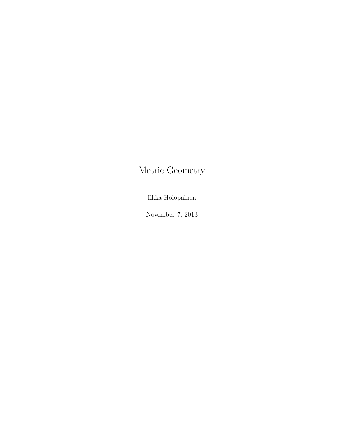# Metric Geometry

Ilkka Holopainen

November 7, 2013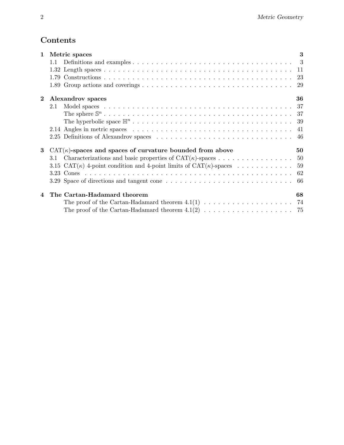# Contents

| $\mathbf 1$ | Metric spaces                                                                       | 3    |
|-------------|-------------------------------------------------------------------------------------|------|
|             |                                                                                     |      |
|             |                                                                                     |      |
|             |                                                                                     |      |
|             |                                                                                     |      |
| $\bf{2}$    | Alexandrov spaces                                                                   | 36   |
|             | 2.1                                                                                 |      |
|             |                                                                                     |      |
|             |                                                                                     |      |
|             |                                                                                     | -41  |
|             |                                                                                     | -46  |
| 3           | $CAT(\kappa)$ -spaces and spaces of curvature bounded from above                    | 50   |
|             | 3.1                                                                                 |      |
|             | 3.15 CAT( $\kappa$ ) 4-point condition and 4-point limits of CAT( $\kappa$ )-spaces | 59   |
|             |                                                                                     |      |
|             | 3.29 Space of directions and tangent cone                                           | - 66 |
|             | The Cartan-Hadamard theorem                                                         | 68   |
|             |                                                                                     |      |
|             |                                                                                     |      |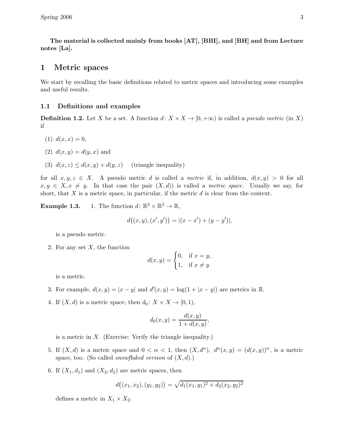The material is collected mainly from books [AT], [BBI], and [BH] and from Lecture notes [La].

## 1 Metric spaces

We start by recalling the basic definitions related to metric spaces and introducing some examples and useful results.

#### 1.1 Definitions and examples

**Definition 1.2.** Let X be a set. A function  $d: X \times X \to [0, +\infty)$  is called a *pseudo metric* (in X) if

- (1)  $d(x, x) = 0$ ,
- (2)  $d(x, y) = d(y, x)$  and
- (3)  $d(x, z) \leq d(x, y) + d(y, z)$  (triangle inequality)

for all  $x, y, z \in X$ . A pseudo metric d is called a *metric* if, in addition,  $d(x, y) > 0$  for all  $x, y \in X, x \neq y$ . In that case the pair  $(X, d)$  is called a *metric space*. Usually we say, for short, that  $X$  is a metric space, in particular, if the metric  $d$  is clear from the context.

**Example 1.3.** 1. The function  $d: \mathbb{R}^2 \times \mathbb{R}^2 \to \mathbb{R}$ ,

$$
d((x, y), (x', y')) = |(x - x') + (y - y')|,
$$

is a pseudo metric.

2. For any set  $X$ , the function

$$
d(x,y) = \begin{cases} 0, & \text{if } x = y, \\ 1, & \text{if } x \neq y \end{cases}
$$

is a metric.

- 3. For example,  $d(x, y) = |x y|$  and  $d'(x, y) = \log(1 + |x y|)$  are metrics in  $\mathbb{R}$ .
- 4. If  $(X, d)$  is a metric space, then  $d_0: X \times X \to [0, 1)$ ,

$$
d_0(x, y) = \frac{d(x, y)}{1 + d(x, y)},
$$

is a metric in  $X$ . (Exercise: Verify the triangle inequality.)

- 5. If  $(X, d)$  is a metric space and  $0 < \alpha < 1$ , then  $(X, d^{\alpha})$ ,  $d^{\alpha}(x, y) = (d(x, y))^{\alpha}$ , is a metric space, too. (So called *snowflaked version* of  $(X, d)$ .)
- 6. If  $(X_1, d_1)$  and  $(X_2, d_2)$  are metric spaces, then

$$
d((x_1,x_2),(y_1,y_2)) = \sqrt{d_1(x_1,y_1)^2 + d_2(x_2,y_2)^2}
$$

defines a metric in  $X_1 \times X_2$ .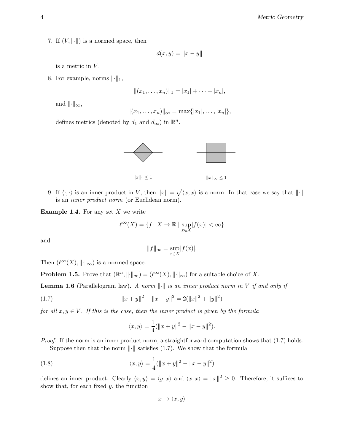7. If  $(V, \|\cdot\|)$  is a normed space, then

$$
d(x,y) = \|x - y\|
$$

is a metric in  $V$ .

8. For example, norms  $\lVert \cdot \rVert_1$ ,

$$
|| (x_1, \ldots, x_n) ||_1 = |x_1| + \cdots + |x_n|,
$$

and  $\|\cdot\|_{\infty}$ ,

$$
|| (x_1, \ldots, x_n) ||_{\infty} = \max\{|x_1|, \ldots, |x_n|\},
$$

defines metrics (denoted by  $d_1$  and  $d_{\infty}$ ) in  $\mathbb{R}^n$ .



9. If  $\langle \cdot, \cdot \rangle$  is an inner product in V, then  $||x|| = \sqrt{\langle x, x \rangle}$  is a norm. In that case we say that  $||\cdot||$ is an inner product norm (or Euclidean norm).

**Example 1.4.** For any set  $X$  we write

$$
\ell^\infty(X)=\{f\colon X\to\mathbb{R} \mid \sup_{x\in X} |f(x)|<\infty\}
$$

and

$$
||f||_{\infty} = \sup_{x \in X} |f(x)|.
$$

Then  $(\ell^{\infty}(X), \|\cdot\|_{\infty})$  is a normed space.

**Problem 1.5.** Prove that  $(\mathbb{R}^n, \| \cdot \|_{\infty}) = (\ell^{\infty}(X), \| \cdot \|_{\infty})$  for a suitable choice of X.

**Lemma 1.6** (Parallelogram law). A norm  $\|\cdot\|$  is an inner product norm in V if and only if

(1.7) 
$$
||x + y||^{2} + ||x - y||^{2} = 2(||x||^{2} + ||y||^{2})
$$

for all  $x, y \in V$ . If this is the case, then the inner product is given by the formula

$$
\langle x, y \rangle = \frac{1}{4}(\|x + y\|^2 - \|x - y\|^2).
$$

Proof. If the norm is an inner product norm, a straightforward computation shows that  $(1.7)$  holds. Suppose then that the norm  $\|\cdot\|$  satisfies (1.7). We show that the formula

(1.8) 
$$
\langle x, y \rangle = \frac{1}{4} (\|x + y\|^2 - \|x - y\|^2)
$$

defines an inner product. Clearly  $\langle x, y \rangle = \langle y, x \rangle$  and  $\langle x, x \rangle = ||x||^2 \ge 0$ . Therefore, it suffices to show that, for each fixed  $y$ , the function

$$
x\mapsto \langle x,y\rangle
$$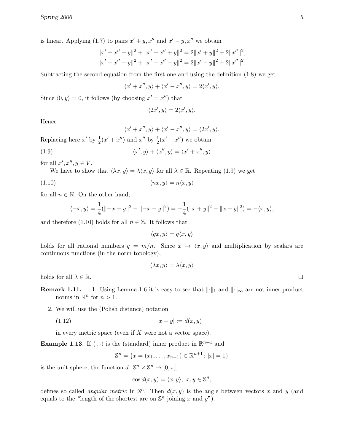is linear. Applying (1.7) to pairs  $x' + y$ , x'' and  $x' - y$ , x'' we obtain

$$
||x' + x'' + y||^2 + ||x' - x'' + y||^2 = 2||x' + y||^2 + 2||x''||^2,
$$
  

$$
||x' + x'' - y||^2 + ||x' - x'' - y||^2 = 2||x' - y||^2 + 2||x''||^2.
$$

Subtracting the second equation from the first one and using the definition (1.8) we get

$$
\langle x' + x'', y \rangle + \langle x' - x'', y \rangle = 2\langle x', y \rangle.
$$

Since  $\langle 0, y \rangle = 0$ , it follows (by choosing  $x' = x''$ ) that

$$
\langle 2x',y\rangle=2\langle x',y\rangle.
$$

Hence

$$
\langle x' + x'', y \rangle + \langle x' - x'', y \rangle = \langle 2x', y \rangle.
$$

Replacing here  $x'$  by  $\frac{1}{2}(x' + x'')$  and  $x''$  by  $\frac{1}{2}(x' - x'')$  we obtain

(1.9) 
$$
\langle x', y \rangle + \langle x'', y \rangle = \langle x' + x'', y \rangle
$$

for all  $x', x'', y \in V$ .

We have to show that  $\langle \lambda x, y \rangle = \lambda \langle x, y \rangle$  for all  $\lambda \in \mathbb{R}$ . Repeating (1.9) we get

$$
\langle nx, y \rangle = n \langle x, y \rangle
$$

for all  $n \in \mathbb{N}$ . On the other hand,

$$
\langle -x, y \rangle = \frac{1}{4}(\| -x + y \|^2 - \| -x - y \|^2) = -\frac{1}{4}(\|x + y\|^2 - \|x - y \|^2) = -\langle x, y \rangle,
$$

and therefore (1.10) holds for all  $n \in \mathbb{Z}$ . It follows that

 $\langle qx, y \rangle = q\langle x, y \rangle$ 

holds for all rational numbers  $q = m/n$ . Since  $x \mapsto \langle x, y \rangle$  and multiplication by scalars are continuous functions (in the norm topology),

$$
\langle \lambda x, y \rangle = \lambda \langle x, y \rangle
$$

holds for all  $\lambda \in \mathbb{R}$ .

- **Remark 1.11.** 1. Using Lemma 1.6 it is easy to see that  $\|\cdot\|_1$  and  $\|\cdot\|_{\infty}$  are not inner product norms in  $\mathbb{R}^n$  for  $n > 1$ .
	- 2. We will use the (Polish distance) notation
		- (1.12)  $|x y| := d(x, y)$

in every metric space (even if  $X$  were not a vector space).

**Example 1.13.** If  $\langle \cdot, \cdot \rangle$  is the (standard) inner product in  $\mathbb{R}^{n+1}$  and

$$
\mathbb{S}^n = \{x = (x_1, \dots, x_{n+1}) \in \mathbb{R}^{n+1} : |x| = 1\}
$$

is the unit sphere, the function  $d \colon \mathbb{S}^n \times \mathbb{S}^n \to [0, \pi],$ 

$$
\cos d(x, y) = \langle x, y \rangle, \ x, y \in \mathbb{S}^n,
$$

defines so called *angular metric* in  $\mathbb{S}^n$ . Then  $d(x, y)$  is the angle between vectors x and y (and equals to the "length of the shortest arc on  $\mathbb{S}^n$  joining x and y").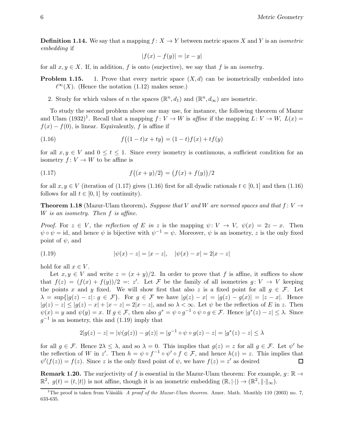**Definition 1.14.** We say that a mapping  $f: X \to Y$  between metric spaces X and Y is an *isometric* embedding if

$$
|f(x) - f(y)| = |x - y|
$$

for all  $x, y \in X$ . If, in addition, f is onto (surjective), we say that f is an *isometry*.

**Problem 1.15.** 1. Prove that every metric space  $(X, d)$  can be isometrically embedded into  $\ell^∞(X)$ . (Hence the notation (1.12) makes sense.)

2. Study for which values of *n* the spaces  $(\mathbb{R}^n, d_1)$  and  $(\mathbb{R}^n, d_\infty)$  are isometric.

To study the second problem above one may use, for instance, the following theorem of Mazur and Ulam  $(1932)^{1}$ . Recall that a mapping  $f: V \to W$  is affine if the mapping  $L: V \to W$ ,  $L(x) =$  $f(x) - f(0)$ , is linear. Equivalently, f is affine if

(1.16) 
$$
f((1-t)x + ty) = (1-t)f(x) + tf(y)
$$

for all  $x, y \in V$  and  $0 \le t \le 1$ . Since every isometry is continuous, a sufficient condition for an isometry  $f: V \to W$  to be affine is

(1.17) 
$$
f((x+y)/2) = (f(x) + f(y))/2
$$

for all  $x, y \in V$  (iteration of (1.17) gives (1.16) first for all dyadic rationals  $t \in [0, 1]$  and then (1.16) follows for all  $t \in [0, 1]$  by continuity).

**Theorem 1.18** (Mazur-Ulam theorem). Suppose that V and W are normed spaces and that  $f: V \rightarrow$ W is an isometry. Then f is affine.

*Proof.* For  $z \in V$ , the reflection of E in z is the mapping  $\psi: V \to V$ ,  $\psi(x) = 2z - x$ . Then  $\psi \circ \psi = id$ , and hence  $\psi$  is bijective with  $\psi^{-1} = \psi$ . Moreover,  $\psi$  is an isometry, z is the only fixed point of  $\psi$ , and

(1.19) 
$$
|\psi(x) - z| = |x - z|, \quad |\psi(x) - x| = 2|x - z|
$$

hold for all  $x \in V$ .

Let  $x, y \in V$  and write  $z = (x + y)/2$ . In order to prove that f is affine, it suffices to show that  $f(z) = (f(x) + f(y))/2 =: z'$ . Let F be the family of all isometries  $g: V \to V$  keeping the points x and y fixed. We will show first that also z is a fixed point for all  $g \in \mathcal{F}$ . Let  $\lambda = \sup\{|g(z) - z|: g \in \mathcal{F}\}\.$  For  $g \in \mathcal{F}$  we have  $|g(z) - x| = |g(z) - g(x)| = |z - x|$ . Hence  $|g(z) - z| \leq |g(z) - x| + |x - z| = 2|x - z|$ , and so  $\lambda < \infty$ . Let  $\psi$  be the reflection of E in z. Then  $\psi(x) = y$  and  $\psi(y) = x$ . If  $g \in \mathcal{F}$ , then also  $g^* = \psi \circ g^{-1} \circ \psi \circ g \in \mathcal{F}$ . Hence  $|g^*(z) - z| \leq \lambda$ . Since  $g^{-1}$  is an isometry, this and (1.19) imply that

$$
2|g(z) - z| = |\psi(g(z)) - g(z)| = |g^{-1} \circ \psi \circ g(z) - z| = |g^*(z) - z| \le \lambda
$$

for all  $g \in \mathcal{F}$ . Hence  $2\lambda \leq \lambda$ , and so  $\lambda = 0$ . This implies that  $g(z) = z$  for all  $g \in \mathcal{F}$ . Let  $\psi'$  be the reflection of W in z'. Then  $h = \psi \circ f^{-1} \circ \psi' \circ f \in \mathcal{F}$ , and hence  $h(z) = z$ . This implies that  $\psi'(f(z)) = f(z)$ . Since z is the only fixed point of  $\psi$ , we have  $f(z) = z'$  as desired

**Remark 1.20.** The surjectivity of f is essential in the Mazur-Ulam theorem: For example,  $g: \mathbb{R} \to$  $\mathbb{R}^2$ ,  $g(t) = (t, |t|)$  is not affine, though it is an isometric embedding  $(\mathbb{R}, |\cdot|) \to (\mathbb{R}^2, ||\cdot||_{\infty})$ .

<sup>&</sup>lt;sup>1</sup>The proof is taken from Väisälä: A proof of the Mazur-Ulam theorem. Amer. Math. Monthly 110 (2003) no. 7, 633-635.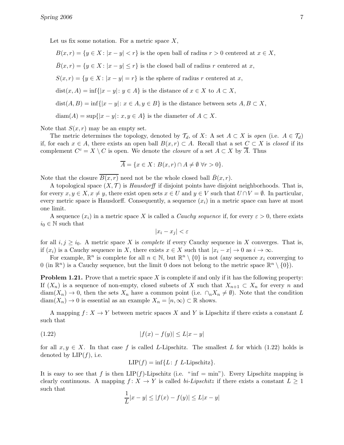Let us fix some notation. For a metric space  $X$ ,

$$
B(x,r) = \{y \in X : |x - y| < r\}
$$
 is the open ball of radius  $r > 0$  centered at  $x \in X$ ,  
\n
$$
\bar{B}(x,r) = \{y \in X : |x - y| \le r\}
$$
 is the closed ball of radius  $r$  centered at  $x$ ,  
\n
$$
S(x,r) = \{y \in X : |x - y| = r\}
$$
 is the sphere of radius  $r$  centered at  $x$ ,  
\n
$$
dist(x,A) = \inf\{|x - y| : y \in A\}
$$
 is the distance of  $x \in X$  to  $A \subset X$ ,  
\n
$$
dist(A,B) = \inf\{|x - y| : x \in A, y \in B\}
$$
 is the distance between sets  $A, B \subset X$ ,  
\n
$$
diam(A) = sup\{|x - y| : x, y \in A\}
$$
 is the diameter of  $A \subset X$ .

Note that  $S(x, r)$  may be an empty set.

The metric determines the topology, denoted by  $\mathcal{T}_d$ , of X: A set  $A \subset X$  is open (i.e.  $A \in \mathcal{T}_d$ ) if, for each  $x \in A$ , there exists an open ball  $B(x, r) \subset A$ . Recall that a set  $C \subset X$  is *closed* if its complement  $C^c = X \setminus C$  is open. We denote the *closure* of a set  $A \subset X$  by  $\overline{A}$ . Thus

$$
\overline{A} = \{ x \in X \colon B(x,r) \cap A \neq \emptyset \,\,\forall r > 0 \}.
$$

Note that the closure  $B(x, r)$  need not be the whole closed ball  $\bar{B}(x, r)$ .

A topological space  $(X, \mathcal{T})$  is *Hausdorff* if disjoint points have disjoint neighborhoods. That is, for every  $x, y \in X, x \neq y$ , there exist open sets  $x \in U$  and  $y \in V$  such that  $U \cap V = \emptyset$ . In particular, every metric space is Hausdorff. Consequently, a sequence  $(x_i)$  in a metric space can have at most one limit.

A sequence  $(x_i)$  in a metric space X is called a *Cauchy sequence* if, for every  $\varepsilon > 0$ , there exists  $i_0 \in \mathbb{N}$  such that

$$
|x_i - x_j| < \varepsilon
$$

for all  $i, j \geq i_0$ . A metric space X is *complete* if every Cauchy sequence in X converges. That is, if  $(x_i)$  is a Cauchy sequence in X, there exists  $x \in X$  such that  $|x_i - x| \to 0$  as  $i \to \infty$ .

For example,  $\mathbb{R}^n$  is complete for all  $n \in \mathbb{N}$ , but  $\mathbb{R}^n \setminus \{0\}$  is not (any sequence  $x_i$  converging to 0 (in  $\mathbb{R}^n$ ) is a Cauchy sequence, but the limit 0 does not belong to the metric space  $\mathbb{R}^n \setminus \{0\}$ ).

**Problem 1.21.** Prove that a metric space X is complete if and only if it has the following property: If  $(X_n)$  is a sequence of non-empty, closed subsets of X such that  $X_{n+1} \subset X_n$  for every n and  $diam(X_n) \to 0$ , then the sets  $X_n$  have a common point (i.e.  $\cap_n X_n \neq \emptyset$ ). Note that the condition  $diam(X_n) \to 0$  is essential as an example  $X_n = [n, \infty) \subset \mathbb{R}$  shows.

A mapping  $f: X \to Y$  between metric spaces X and Y is Lipschitz if there exists a constant L such that

(1.22) 
$$
|f(x) - f(y)| \le L|x - y|
$$

for all  $x, y \in X$ . In that case f is called L-Lipschitz. The smallest L for which (1.22) holds is denoted by  $LIP(f)$ , i.e.

$$
LIP(f) = \inf\{L: f \text{ } L\text{-Lipschitz}\}.
$$

It is easy to see that f is then  $LIP(f)$ -Lipschitz (i.e. " $\inf = \min$ "). Every Lipschitz mapping is clearly continuous. A mapping  $f: X \to Y$  is called bi-Lipschitz if there exists a constant  $L \geq 1$ such that

$$
\frac{1}{L}|x - y| \le |f(x) - f(y)| \le L|x - y|
$$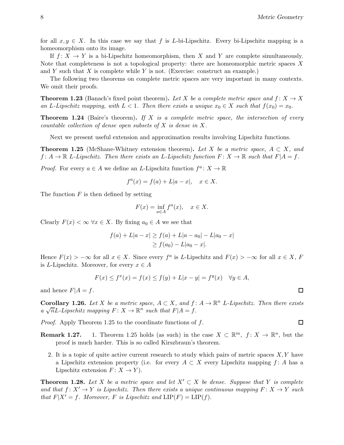for all  $x, y \in X$ . In this case we say that f is L-bi-Lipschitz. Every bi-Lipschitz mapping is a homeomorphism onto its image.

If  $f: X \to Y$  is a bi-Lipschitz homeomorphism, then X and Y are complete simultaneously. Note that completeness is not a topological property: there are homeomorphic metric spaces X and Y such that X is complete while Y is not. (Exercise: construct an example.)

The following two theorems on complete metric spaces are very important in many contexts. We omit their proofs.

**Theorem 1.23** (Banach's fixed point theorem). Let X be a complete metric space and  $f: X \to X$ an L-Lipschitz mapping, with  $L < 1$ . Then there exists a unique  $x_0 \in X$  such that  $f(x_0) = x_0$ .

**Theorem 1.24** (Baire's theorem). If X is a complete metric space, the intersection of every countable collection of dense open subsets of X is dense in X.

Next we present useful extension and approximation results involving Lipschitz functions.

**Theorem 1.25** (McShane-Whitney extension theorem). Let X be a metric space,  $A \subset X$ , and  $f: A \to \mathbb{R}$  L-Lipschitz. Then there exists an L-Lipschitz function  $F: X \to \mathbb{R}$  such that  $F|A = f$ .

*Proof.* For every  $a \in A$  we define an L-Lipschitz function  $f^a: X \to \mathbb{R}$ 

$$
f^{a}(x) = f(a) + L|a - x|, \quad x \in X
$$

The function  $F$  is then defined by setting

$$
F(x) = \inf_{a \in A} f^a(x), \quad x \in X.
$$

Clearly  $F(x) < \infty$   $\forall x \in X$ . By fixing  $a_0 \in A$  we see that

$$
f(a) + L|a - x| \ge f(a) + L|a - a_0| - L|a_0 - x|
$$
  
\n
$$
\ge f(a_0) - L|a_0 - x|.
$$

Hence  $F(x) > -\infty$  for all  $x \in X$ . Since every  $f^a$  is L-Lipschitz and  $F(x) > -\infty$  for all  $x \in X$ , F is L-Lipschitz. Moreover, for every  $x \in A$ 

$$
F(x) \le f^x(x) = f(x) \le f(y) + L|x - y| = f^y(x) \quad \forall y \in A,
$$

and hence  $F|A = f$ .

**Corollary 1.26.** Let X be a metric space,  $A \subset X$ , and  $f: A \to \mathbb{R}^n$  L-Lipschitz. Then there exists a  $\sqrt{n}L$ -Lipschitz mapping  $F: X \to \mathbb{R}^n$  such that  $F|A = f$ .

Proof. Apply Theorem 1.25 to the coordinate functions of f.

- **Remark 1.27.** 1. Theorem 1.25 holds (as such) in the case  $X \subset \mathbb{R}^m$ ,  $f: X \to \mathbb{R}^n$ , but the proof is much harder. This is so called Kirszbraun's theorem.
	- 2. It is a topic of quite active current research to study which pairs of metric spaces  $X, Y$  have a Lipschitz extension property (i.e. for every  $A \subset X$  every Lipschitz mapping f: A has a Lipschitz extension  $F: X \to Y$ .

**Theorem 1.28.** Let X be a metric space and let  $X' \subset X$  be dense. Suppose that Y is complete and that  $f: X' \to Y$  is Lipschitz. Then there exists a unique continuous mapping  $F: X \to Y$  such that  $F|X' = f$ . Moreover, F is Lipschitz and  $LIP(F) = LIP(f)$ .

$$
\Box
$$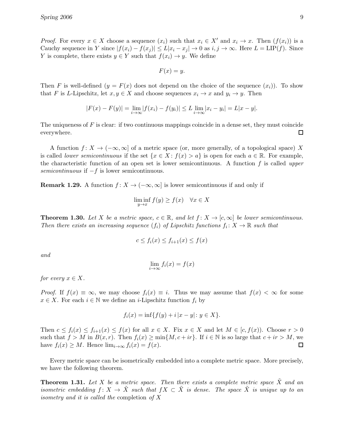*Proof.* For every  $x \in X$  choose a sequence  $(x_i)$  such that  $x_i \in X'$  and  $x_i \to x$ . Then  $(f(x_i))$  is a Cauchy sequence in Y since  $|f(x_i) - f(x_j)| \le L|x_i - x_j| \to 0$  as  $i, j \to \infty$ . Here  $L = LIP(f)$ . Since Y is complete, there exists  $y \in Y$  such that  $f(x_i) \to y$ . We define

$$
F(x) = y.
$$

Then F is well-defined  $(y = F(x)$  does not depend on the choice of the sequence  $(x_i)$ ). To show that F is L-Lipschitz, let  $x, y \in X$  and choose sequences  $x_i \to x$  and  $y_i \to y$ . Then

$$
|F(x) - F(y)| = \lim_{i \to \infty} |f(x_i) - f(y_i)| \le L \lim_{i \to \infty} |x_i - y_i| = L|x - y|.
$$

The uniqueness of  $F$  is clear: if two continuous mappings coincide in a dense set, they must coincide everywhere.  $\Box$ 

A function  $f: X \to (-\infty, \infty]$  of a metric space (or, more generally, of a topological space) X is called lower semicontinuous if the set  $\{x \in X : f(x) > a\}$  is open for each  $a \in \mathbb{R}$ . For example, the characteristic function of an open set is lower semicontinuous. A function  $f$  is called upper semicontinuous if  $-f$  is lower semicontinuous.

**Remark 1.29.** A function  $f: X \to (-\infty, \infty]$  is lower semicontinuous if and only if

$$
\liminf_{y \to x} f(y) \ge f(x) \quad \forall x \in X
$$

**Theorem 1.30.** Let X be a metric space,  $c \in \mathbb{R}$ , and let  $f: X \to [c, \infty]$  be lower semicontinuous. Then there exists an increasing sequence  $(f_i)$  of Lipschitz functions  $f_i: X \to \mathbb{R}$  such that

$$
c \le f_i(x) \le f_{i+1}(x) \le f(x)
$$

and

$$
\lim_{i \to \infty} f_i(x) = f(x)
$$

for every  $x \in X$ .

*Proof.* If  $f(x) \equiv \infty$ , we may choose  $f_i(x) \equiv i$ . Thus we may assume that  $f(x) < \infty$  for some  $x \in X$ . For each  $i \in \mathbb{N}$  we define an *i*-Lipschitz function  $f_i$  by

$$
f_i(x) = \inf\{f(y) + i |x - y| : y \in X\}.
$$

Then  $c \le f_i(x) \le f_{i+1}(x) \le f(x)$  for all  $x \in X$ . Fix  $x \in X$  and let  $M \in [c, f(x))$ . Choose  $r > 0$ such that  $f > M$  in  $B(x, r)$ . Then  $f_i(x) \ge \min\{M, c + ir\}$ . If  $i \in \mathbb{N}$  is so large that  $c + ir > M$ , we have  $f_i(x) > M$ . Hence  $\lim_{i \to \infty} f_i(x) = f(x)$ . have  $f_i(x) \geq M$ . Hence  $\lim_{i \to \infty} f_i(x) = f(x)$ .

Every metric space can be isometrically embedded into a complete metric space. More precisely, we have the following theorem.

**Theorem 1.31.** Let X be a metric space. Then there exists a complete metric space  $\tilde{X}$  and an isometric embedding  $f: X \to \tilde{X}$  such that  $fX \subset \tilde{X}$  is dense. The space  $\tilde{X}$  is unique up to an isometry and it is called the completion of X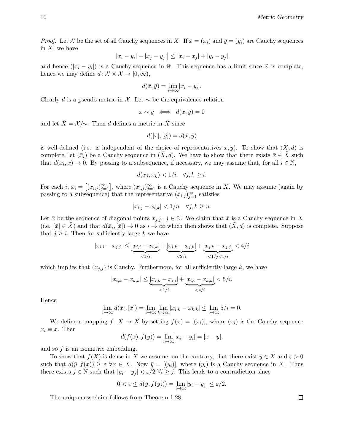*Proof.* Let X be the set of all Cauchy sequences in X. If  $\bar{x} = (x_i)$  and  $\bar{y} = (y_i)$  are Cauchy sequences in  $X$ , we have

$$
||x_i - y_i| - |x_j - y_j|| \le |x_i - x_j| + |y_i - y_j|,
$$

and hence  $(|x_i - y_i|)$  is a Cauchy-sequence in R. This sequence has a limit since R is complete, hence we may define  $d: \mathcal{X} \times \mathcal{X} \to [0, \infty),$ 

$$
d(\bar{x}, \bar{y}) = \lim_{i \to \infty} |x_i - y_i|.
$$

Clearly d is a pseudo metric in X. Let  $\sim$  be the equivalence relation

$$
\bar{x} \sim \bar{y} \iff d(\bar{x}, \bar{y}) = 0
$$

and let  $\tilde{X} = \mathcal{X}/\sim$ . Then d defines a metric in  $\tilde{X}$  since

$$
d([\bar{x}], [\bar{y}]) = d(\bar{x}, \bar{y})
$$

is well-defined (i.e. is independent of the choice of representatives  $\bar{x}, \bar{y}$ ). To show that  $(\tilde{X}, d)$  is complete, let  $(\bar{x}_i)$  be a Cauchy sequence in  $(\bar{X}, d)$ . We have to show that there exists  $\bar{x} \in \tilde{X}$  such that  $d(\bar{x}_i, \bar{x}) \to 0$ . By passing to a subsequence, if necessary, we may assume that, for all  $i \in \mathbb{N}$ ,

$$
d(\bar{x}_j, \bar{x}_k) < 1/i \quad \forall j, k \geq i.
$$

For each  $i, \bar{x}_i = [(x_{i,j})_{j=1}^{\infty}]$ , where  $(x_{i,j})_{j=1}^{\infty}$  is a Cauchy sequence in X. We may assume (again by passing to a subsequence) that the representative  $(x_{i,j})_{j=1}^{\infty}$  satisfies

$$
|x_{i,j} - x_{i,k}| < 1/n \quad \forall j, k \ge n.
$$

Let  $\bar{x}$  be the sequence of diagonal points  $x_{j,i}, j \in \mathbb{N}$ . We claim that  $\bar{x}$  is a Cauchy sequence in X (i.e.  $[\bar{x}] \in \tilde{X}$ ) and that  $d(\bar{x}_i, [\bar{x}]) \to 0$  as  $i \to \infty$  which then shows that  $(\tilde{X}, d)$  is complete. Suppose that  $j \geq i$ . Then for sufficiently large k we have

$$
|x_{i,i} - x_{j,j}| \le \underbrace{|x_{i,i} - x_{i,k}|}_{\le 1/i} + \underbrace{|x_{i,k} - x_{j,k}|}_{\le 2/i} + \underbrace{|x_{j,k} - x_{j,j}|}_{\le 1/j \le 1/i} < 4/i
$$

which implies that  $(x_{j,j})$  is Cauchy. Furthermore, for all sufficiently large k, we have

$$
|x_{i,k} - x_{k,k}| \leq \underbrace{|x_{i,k} - x_{i,i}|}_{\leq 1/i} + \underbrace{|x_{i,i} - x_{k,k}|}_{\leq 4/i} < 5/i.
$$

Hence

$$
\lim_{i \to \infty} d(\bar{x}_i, [\bar{x}]) = \lim_{i \to \infty} \lim_{k \to \infty} |x_{i,k} - x_{k,k}| \le \lim_{i \to \infty} 5/i = 0.
$$

We define a mapping  $f: X \to \tilde{X}$  by setting  $f(x) = [(x_i)]$ , where  $(x_i)$  is the Cauchy sequence  $x_i \equiv x$ . Then

$$
d(f(x), f(y)) = \lim_{i \to \infty} |x_i - y_i| = |x - y|,
$$

and so  $f$  is an isometric embedding.

To show that  $f(X)$  is dense in X we assume, on the contrary, that there exist  $\bar{y} \in X$  and  $\varepsilon > 0$ such that  $d(\bar{y}, f(x)) \geq \varepsilon \ \forall x \in X$ . Now  $\bar{y} = [(y_i)]$ , where  $(y_i)$  is a Cauchy sequence in X. Thus there exists  $j \in \mathbb{N}$  such that  $|y_i - y_j| < \varepsilon/2 \ \forall i \geq j$ . This leads to a contradiction since

$$
0 < \varepsilon \le d(\bar{y}, f(y_j)) = \lim_{i \to \infty} |y_i - y_j| \le \varepsilon/2.
$$

The uniqueness claim follows from Theorem 1.28.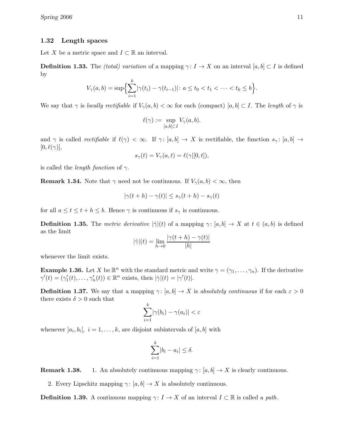#### 1.32 Length spaces

Let X be a metric space and  $I \subset \mathbb{R}$  an interval.

**Definition 1.33.** The *(total) variation* of a mapping  $\gamma: I \to X$  on an interval [a, b] ⊂ I is defined by

$$
V_{\gamma}(a,b) = \sup \Bigl\{ \sum_{i=1}^{k} |\gamma(t_i) - \gamma(t_{i-1})| \colon a \le t_0 < t_1 < \cdots < t_k \le b \Bigr\}.
$$

We say that  $\gamma$  is locally rectifiable if  $V_{\gamma}(a, b) < \infty$  for each (compact) [a, b]  $\subset I$ . The length of  $\gamma$  is

$$
\ell(\gamma):=\sup_{[a,b]\subset I}V_{\gamma}(a,b).
$$

and  $\gamma$  is called *rectifiable* if  $\ell(\gamma) < \infty$ . If  $\gamma : [a, b] \to X$  is rectifiable, the function  $s_{\gamma} : [a, b] \to X$  $[0, \ell(\gamma)],$ 

$$
s_{\gamma}(t) = V_{\gamma}(a, t) = \ell(\gamma|[0, t]),
$$

is called the *length function* of  $\gamma$ .

**Remark 1.34.** Note that  $\gamma$  need not be continuous. If  $V_{\gamma}(a, b) < \infty$ , then

$$
|\gamma(t+h) - \gamma(t)| \le s_{\gamma}(t+h) - s_{\gamma}(t)
$$

for all  $a \le t \le t + h \le b$ . Hence  $\gamma$  is continuous if  $s_{\gamma}$  is continuous.

**Definition 1.35.** The metric derivative  $|\dot{\gamma}|(t)$  of a mapping  $\gamma: [a, b] \to X$  at  $t \in (a, b)$  is defined as the limit

$$
|\dot{\gamma}|(t) = \lim_{h \to 0} \frac{|\gamma(t+h) - \gamma(t)|}{|h|}
$$

whenever the limit exists.

**Example 1.36.** Let X be  $\mathbb{R}^n$  with the standard metric and write  $\gamma = (\gamma_1, \dots, \gamma_n)$ . If the derivative  $\gamma'(t) = (\gamma'_1(t), \dots, \gamma'_n(t)) \in \mathbb{R}^n$  exists, then  $|\dot{\gamma}|(t) = |\gamma'(t)|$ .

**Definition 1.37.** We say that a mapping  $\gamma: [a, b] \to X$  is absolutely continuous if for each  $\varepsilon > 0$ there exists  $\delta > 0$  such that

$$
\sum_{i=1}^k |\gamma(b_i) - \gamma(a_i)| < \varepsilon
$$

whenever  $[a_i, b_i], i = 1, \ldots, k$ , are disjoint subintervals of  $[a, b]$  with

$$
\sum_{i=1}^{k} |b_i - a_i| \le \delta.
$$

**Remark 1.38.** 1. An absolutely continuous mapping  $\gamma: [a, b] \to X$  is clearly continuous.

2. Every Lipschitz mapping  $\gamma: [a, b] \to X$  is absolutely continuous.

**Definition 1.39.** A continuous mapping  $\gamma: I \to X$  of an interval  $I \subset \mathbb{R}$  is called a *path*.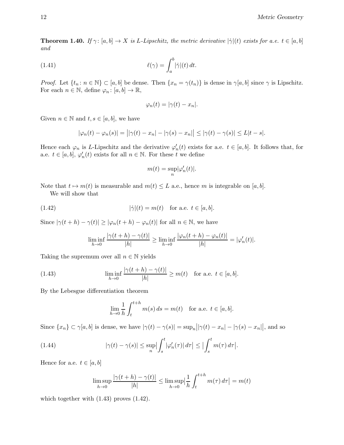**Theorem 1.40.** If  $\gamma$ :  $[a, b] \to X$  is L-Lipschitz, the metric derivative  $|\dot{\gamma}|(t)$  exists for a.e.  $t \in [a, b]$ and

(1.41) 
$$
\ell(\gamma) = \int_a^b |\dot{\gamma}|(t) dt.
$$

*Proof.* Let  $\{t_n : n \in \mathbb{N}\}\subset [a, b]$  be dense. Then  $\{x_n = \gamma(t_n)\}\$ is dense in  $\gamma[a, b]$  since  $\gamma$  is Lipschitz. For each  $n \in \mathbb{N}$ , define  $\varphi_n : [a, b] \to \mathbb{R}$ ,

$$
\varphi_n(t) = |\gamma(t) - x_n|.
$$

Given  $n \in \mathbb{N}$  and  $t, s \in [a, b]$ , we have

$$
|\varphi_n(t) - \varphi_n(s)| = | |\gamma(t) - x_n| - |\gamma(s) - x_n| | \leq |\gamma(t) - \gamma(s)| \leq L|t - s|.
$$

Hence each  $\varphi_n$  is L-Lipschitz and the derivative  $\varphi'_n(t)$  exists for a.e.  $t \in [a, b]$ . It follows that, for a.e.  $t \in [a, b], \varphi'_n(t)$  exists for all  $n \in \mathbb{N}$ . For these  $t$  we define

$$
m(t) = \sup_{n} |\varphi_n'(t)|.
$$

Note that  $t \mapsto m(t)$  is measurable and  $m(t) \leq L$  a.e., hence m is integrable on [a, b].

We will show that

(1.42) 
$$
|\dot{\gamma}|(t) = m(t) \text{ for a.e. } t \in [a, b].
$$

Since  $|\gamma(t+h) - \gamma(t)| \geq |\varphi_n(t+h) - \varphi_n(t)|$  for all  $n \in \mathbb{N}$ , we have

$$
\liminf_{h\to 0}\frac{|\gamma(t+h)-\gamma(t)|}{|h|}\geq \liminf_{h\to 0}\frac{|\varphi_n(t+h)-\varphi_n(t)|}{|h|}=|\varphi_n'(t)|.
$$

Taking the supremum over all  $n \in \mathbb{N}$  yields

(1.43) 
$$
\liminf_{h \to 0} \frac{|\gamma(t+h) - \gamma(t)|}{|h|} \ge m(t) \text{ for a.e. } t \in [a, b].
$$

By the Lebesgue differentiation theorem

$$
\lim_{h \to 0} \frac{1}{h} \int_{t}^{t+h} m(s) ds = m(t) \text{ for a.e. } t \in [a, b].
$$

Since  $\{x_n\} \subset \gamma[a, b]$  is dense, we have  $|\gamma(t) - \gamma(s)| = \sup_n ||\gamma(t) - x_n| - |\gamma(s) - x_n||$ , and so

(1.44) 
$$
|\gamma(t) - \gamma(s)| \le \sup_n \left| \int_s^t |\varphi'_n(\tau)| d\tau \right| \le \left| \int_s^t m(\tau) d\tau \right|.
$$

Hence for a.e.  $t \in [a, b]$ 

$$
\limsup_{h \to 0} \frac{|\gamma(t+h) - \gamma(t)|}{|h|} \le \limsup_{h \to 0} \left| \frac{1}{h} \int_{t}^{t+h} m(\tau) d\tau \right| = m(t)
$$

which together with  $(1.43)$  proves  $(1.42)$ .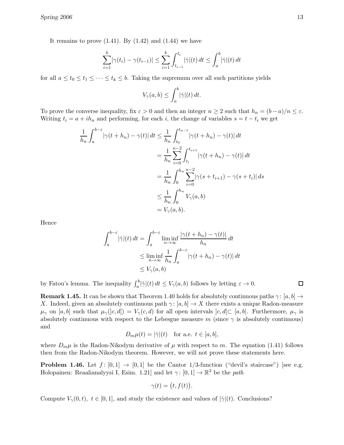It remains to prove  $(1.41)$ . By  $(1.42)$  and  $(1.44)$  we have

$$
\sum_{i=1}^{k} |\gamma(t_i) - \gamma(t_{i-1})| \le \sum_{i=1}^{k} \int_{t_{i-1}}^{t_i} |\dot{\gamma}|(t) dt \le \int_a^b |\dot{\gamma}|(t) dt
$$

for all  $a \le t_0 \le t_1 \le \cdots \le t_k \le b$ . Taking the supremum over all such partitions yields

$$
V_{\gamma}(a,b) \leq \int_a^b |\dot{\gamma}|(t) dt.
$$

To prove the converse inequality, fix  $\varepsilon > 0$  and then an integer  $n \geq 2$  such that  $h_n = (b-a)/n \leq \varepsilon$ . Writing  $t_i = a + ih_n$  and performing, for each i, the change of variables  $s = t - t_i$  we get

$$
\frac{1}{h_n} \int_{a}^{b-\varepsilon} |\gamma(t+h_n) - \gamma(t)| dt \le \frac{1}{h_n} \int_{t_0}^{t_{n-1}} |\gamma(t+h_n) - \gamma(t)| dt
$$
  
\n
$$
= \frac{1}{h_n} \sum_{i=0}^{n-2} \int_{t_i}^{t_{i+1}} |\gamma(t+h_n) - \gamma(t)| dt
$$
  
\n
$$
= \frac{1}{h_n} \int_{0}^{h_n} \sum_{i=0}^{n-2} |\gamma(s+t_{i+1}) - \gamma(s+t_i)| ds
$$
  
\n
$$
\le \frac{1}{h_n} \int_{0}^{h_n} V_{\gamma}(a, b)
$$
  
\n
$$
= V_{\gamma}(a, b).
$$

Hence

$$
\int_{a}^{b-\varepsilon} |\dot{\gamma}|(t) dt = \int_{a}^{b-\varepsilon} \liminf_{n \to \infty} \frac{|\gamma(t+h_n) - \gamma(t)|}{h_n} dt
$$
  

$$
\leq \liminf_{n \to \infty} \frac{1}{h_n} \int_{a}^{b-\varepsilon} |\gamma(t+h_n) - \gamma(t)| dt
$$
  

$$
\leq V_{\gamma}(a, b)
$$

by Fatou's lemma. The inequality  $\int_a^b |\dot{\gamma}|(t) dt \le V_{\gamma}(a, b)$  follows by letting  $\varepsilon \to 0$ .

 $\Box$ 

**Remark 1.45.** It can be shown that Theorem 1.40 holds for absolutely continuous paths  $\gamma: [a, b] \rightarrow$ X. Indeed, given an absolutely continuous path  $\gamma$ : [a, b]  $\rightarrow$  X there exists a unique Radon-measure  $\mu_{\gamma}$  on [a, b] such that  $\mu_{\gamma}(c, d) = V_{\gamma}(c, d)$  for all open intervals  $[c, d] \subset [a, b]$ . Furthermore,  $\mu_{\gamma}$  is absolutely continuous with respect to the Lebesgue measure m (since  $\gamma$  is absolutely continuous) and

$$
D_m \mu(t) = |\dot{\gamma}|(t) \quad \text{for a.e. } t \in [a, b],
$$

where  $D_m\mu$  is the Radon-Nikodym derivative of  $\mu$  with respect to m. The equation (1.41) follows then from the Radon-Nikodym theorem. However, we will not prove these statements here.

**Problem 1.46.** Let  $f: [0,1] \rightarrow [0,1]$  be the Cantor 1/3-function ("devil's staircase") [see e.g. Holopainen: Reaalianalyysi I, Esim. 1.21] and let  $\gamma$ :  $[0, 1] \rightarrow \mathbb{R}^2$  be the *path* 

$$
\gamma(t) = (t, f(t)).
$$

Compute  $V_{\gamma}(0,t), t \in [0,1],$  and study the existence and values of  $|\dot{\gamma}|(t)$ . Conclusions?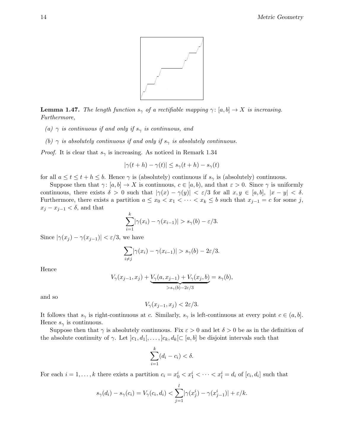

**Lemma 1.47.** The length function  $s_{\gamma}$  of a rectifiable mapping  $\gamma: [a, b] \to X$  is increasing. Furthermore,

- (a)  $\gamma$  is continuous if and only if  $s_{\gamma}$  is continuous, and
- (b)  $\gamma$  is absolutely continuous if and only if  $s_{\gamma}$  is absolutely continuous.

*Proof.* It is clear that  $s_{\gamma}$  is increasing. As noticed in Remark 1.34

$$
|\gamma(t+h) - \gamma(t)| \le s_\gamma(t+h) - s_\gamma(t)
$$

for all  $a \le t \le t + h \le b$ . Hence  $\gamma$  is (absolutely) continuous if  $s_{\gamma}$  is (absolutely) continuous.

Suppose then that  $\gamma: [a, b] \to X$  is continuous,  $c \in [a, b)$ , and that  $\varepsilon > 0$ . Since  $\gamma$  is uniformly continuous, there exists  $\delta > 0$  such that  $|\gamma(x) - \gamma(y)| < \varepsilon/3$  for all  $x, y \in [a, b], |x - y| < \delta$ . Furthermore, there exists a partition  $a \leq x_0 < x_1 < \cdots < x_k \leq b$  such that  $x_{j-1} = c$  for some j,  $x_j - x_{j-1} < \delta$ , and that

$$
\sum_{i=1}^k |\gamma(x_i) - \gamma(x_{i-1})| > s_{\gamma}(b) - \varepsilon/3.
$$

Since  $|\gamma(x_i) - \gamma(x_{i-1})| < \varepsilon/3$ , we have

$$
\sum_{i \neq j} |\gamma(x_i) - \gamma(x_{i-1})| > s_{\gamma}(b) - 2\varepsilon/3.
$$

Hence

$$
V_{\gamma}(x_{j-1}, x_j) + \underbrace{V_{\gamma}(a, x_{j-1}) + V_{\gamma}(x_j, b)}_{>s_{\gamma}(b)-2\varepsilon/3} = s_{\gamma}(b),
$$

and so

$$
V_{\gamma}(x_{j-1}, x_j) < 2\varepsilon/3.
$$

It follows that  $s_{\gamma}$  is right-continuous at c. Similarly,  $s_{\gamma}$  is left-continuous at every point  $c \in (a, b]$ . Hence  $s_{\gamma}$  is continuous.

Suppose then that  $\gamma$  is absolutely continuous. Fix  $\varepsilon > 0$  and let  $\delta > 0$  be as in the definition of the absolute continuity of  $\gamma$ . Let  $]c_1, d_1[, \ldots, c_k, d_k[ \subset [a, b]$  be disjoint intervals such that

$$
\sum_{i=1}^{k} (d_i - c_i) < \delta.
$$

For each  $i = 1, ..., k$  there exists a partition  $c_i = x_0^i < x_1^i < \cdots < x_l^i = d_i$  of  $[c_i, d_i]$  such that

$$
s_{\gamma}(d_i) - s_{\gamma}(c_i) = V_{\gamma}(c_i, d_i) < \sum_{j=1}^{l} |\gamma(x_j^i) - \gamma(x_{j-1}^i)| + \varepsilon/k.
$$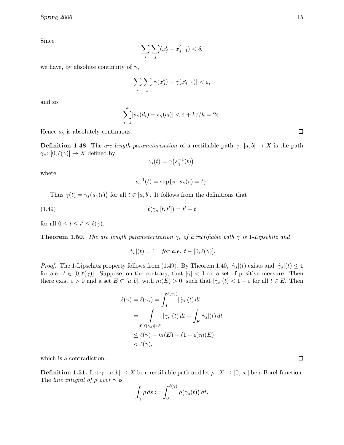Since

$$
\sum_{i}\sum_{j}(x_j^i-x_{j-1}^i)<\delta,
$$

we have, by absolute continuity of  $\gamma$ ,

$$
\sum_{i}\sum_{j}|\gamma(x_j^i)-\gamma(x_{j-1}^i)|<\varepsilon,
$$

and so

$$
\sum_{i=1}^k |s_{\gamma}(d_i) - s_{\gamma}(c_i)| < \varepsilon + k\varepsilon/k = 2\varepsilon.
$$

Hence  $s_{\gamma}$  is absolutely continuous.

**Definition 1.48.** The arc length parameterization of a rectifiable path  $\gamma: [a, b] \to X$  is the path  $\gamma_s \colon [0, \ell(\gamma)] \to X$  defined by

$$
\gamma_s(t) = \gamma(s_\gamma^{-1}(t)),
$$

where

$$
s_{\gamma}^{-1}(t) = \sup\{s : s_{\gamma}(s) = t\}.
$$

Thus  $\gamma(t) = \gamma_s(s_\gamma(t))$  for all  $t \in [a, b]$ . It follows from the definitions that

$$
\ell(\gamma_s|[t, t']) = t' - t
$$

for all  $0 \le t \le t' \le \ell(\gamma)$ .

**Theorem 1.50.** The arc length parameterization  $\gamma_s$  of a rectifiable path  $\gamma$  is 1-Lipschitz and

 $|\dot{\gamma}_s|(t) = 1$  for a.e.  $t \in [0, \ell(\gamma)].$ 

*Proof.* The 1-Lipschitz property follows from (1.49). By Theorem 1.40,  $|\dot{\gamma}_s|(t)$  exists and  $|\dot{\gamma}_s|(t) \leq 1$ for a.e.  $t \in [0, \ell(\gamma)]$ . Suppose, on the contrary, that  $|\dot{\gamma}| < 1$  on a set of positive measure. Then there exist  $\varepsilon > 0$  and a set  $E \subset [a, b]$ , with  $m(E) > 0$ , such that  $|\dot{\gamma}_s|(t) < 1 - \varepsilon$  for all  $t \in E$ . Then

$$
\ell(\gamma) = \ell(\gamma_s) = \int_0^{\ell(\gamma_s)} |\dot{\gamma}_s|(t) dt
$$
  
= 
$$
\int_{[0,\ell(\gamma_s)]\backslash E} |\dot{\gamma}_s|(t) dt + \int_E |\dot{\gamma}_s|(t) dt
$$
  

$$
\leq \ell(\gamma) - m(E) + (1 - \varepsilon) m(E)
$$
  

$$
< \ell(\gamma),
$$

which is a contradiction.

**Definition 1.51.** Let  $\gamma$ :  $[a, b] \to X$  be a rectifiable path and let  $\rho$ :  $X \to [0, \infty]$  be a Borel-function. The *line* integral of  $\rho$  over  $\gamma$  is

$$
\int_{\gamma} \rho ds := \int_0^{\ell(\gamma)} \rho(\gamma_s(t)) dt.
$$

口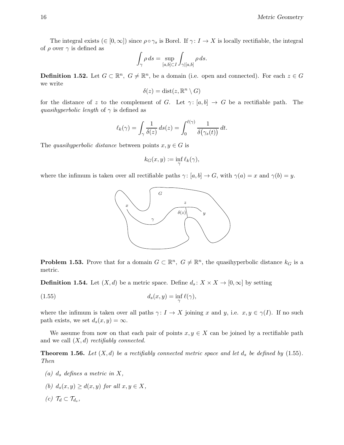The integral exists  $(∈ [0,∞])$  since  $ρ ∘ γ_s$  is Borel. If  $γ: I → X$  is locally rectifiable, the integral of  $\rho$  over  $\gamma$  is defined as

$$
\int_{\gamma} \rho \, ds = \sup_{[a,b] \subset I} \int_{\gamma | [a,b]} \rho \, ds.
$$

**Definition 1.52.** Let  $G \subset \mathbb{R}^n$ ,  $G \neq \mathbb{R}^n$ , be a domain (i.e. open and connected). For each  $z \in G$ we write

$$
\delta(z) = \text{dist}(z, \mathbb{R}^n \setminus G)
$$

for the distance of z to the complement of G. Let  $\gamma: [a, b] \to G$  be a rectifiable path. The quasihyperbolic length of  $\gamma$  is defined as

$$
\ell_k(\gamma) = \int_{\gamma} \frac{1}{\delta(z)} ds(z) = \int_0^{\ell(\gamma)} \frac{1}{\delta(\gamma_s(t))} dt.
$$

The quasihyperbolic distance between points  $x, y \in G$  is

$$
k_G(x, y) := \inf_{\gamma} \ell_k(\gamma),
$$

where the infimum is taken over all rectifiable paths  $\gamma: [a, b] \to G$ , with  $\gamma(a) = x$  and  $\gamma(b) = y$ .



**Problem 1.53.** Prove that for a domain  $G \subset \mathbb{R}^n$ ,  $G \neq \mathbb{R}^n$ , the quasihyperbolic distance  $k_G$  is a metric.

**Definition 1.54.** Let  $(X, d)$  be a metric space. Define  $d_s: X \times X \to [0, \infty]$  by setting

$$
(1.55) \t\t d_s(x,y) = \inf_{\gamma} \ell(\gamma),
$$

where the infimum is taken over all paths  $\gamma: I \to X$  joining x and y, i.e.  $x, y \in \gamma(I)$ . If no such path exists, we set  $d_s(x, y) = \infty$ .

We assume from now on that each pair of points  $x, y \in X$  can be joined by a rectifiable path and we call  $(X, d)$  rectifiably connected.

**Theorem 1.56.** Let  $(X, d)$  be a rectifiably connected metric space and let  $d_s$  be defined by  $(1.55)$ . Then

- (a)  $d_s$  defines a metric in X,
- (b)  $d_s(x, y) \geq d(x, y)$  for all  $x, y \in X$ ,

$$
(c) \mathcal{T}_d \subset \mathcal{T}_{d_s},
$$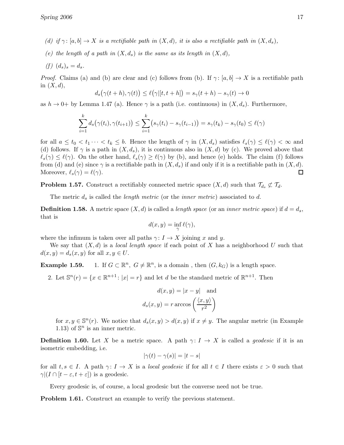- (d) if  $\gamma: [a, b] \to X$  is a rectifiable path in  $(X, d)$ , it is also a rectifiable path in  $(X, d_s)$ ,
- (e) the length of a path in  $(X, d_s)$  is the same as its length in  $(X, d)$ ,

$$
(f) \ (d_s)_s = d_s.
$$

*Proof.* Claims (a) and (b) are clear and (c) follows from (b). If  $\gamma$ : [a, b]  $\rightarrow X$  is a rectifiable path in  $(X, d)$ ,

$$
d_s(\gamma(t+h),\gamma(t)) \leq \ell(\gamma|[t,t+h]) = s_\gamma(t+h) - s_\gamma(t) \to 0
$$

as  $h \to 0^+$  by Lemma 1.47 (a). Hence  $\gamma$  is a path (i.e. continuous) in  $(X, d_s)$ . Furthermore,

$$
\sum_{i=1}^k d_s(\gamma(t_i), \gamma(t_{i+1})) \leq \sum_{i=1}^k (s_{\gamma}(t_i) - s_{\gamma}(t_{i-1})) = s_{\gamma}(t_k) - s_{\gamma}(t_0) \leq \ell(\gamma)
$$

for all  $a \le t_0 < t_1 \cdots < t_k \le b$ . Hence the length of  $\gamma$  in  $(X, d_s)$  satisfies  $\ell_s(\gamma) \le \ell(\gamma) < \infty$  and (d) follows. If  $\gamma$  is a path in  $(X, d_s)$ , it is continuous also in  $(X, d)$  by (c). We proved above that  $\ell_s(\gamma) \leq \ell(\gamma)$ . On the other hand,  $\ell_s(\gamma) \geq \ell(\gamma)$  by (b), and hence (e) holds. The claim (f) follows from (d) and (e) since  $\gamma$  is a rectifiable path in  $(X, d_s)$  if and only if it is a rectifiable path in  $(X, d)$ . Moreover,  $\ell_s(\gamma) = \ell(\gamma)$ .  $\Box$ 

**Problem 1.57.** Construct a rectifiably connected metric space  $(X,d)$  such that  $\mathcal{T}_{d_s} \not\subset \mathcal{T}_{d}$ .

The metric  $d_s$  is called the *length metric* (or the *inner metric*) associated to d.

**Definition 1.58.** A metric space  $(X, d)$  is called a *length space* (or an *inner metric space*) if  $d = d_s$ , that is

$$
d(x, y) = \inf_{\gamma} \ell(\gamma),
$$

where the infimum is taken over all paths  $\gamma: I \to X$  joining x and y.

We say that  $(X, d)$  is a *local length space* if each point of X has a neighborhood U such that  $d(x, y) = d_s(x, y)$  for all  $x, y \in U$ .

Example 1.59. <sup>n</sup>,  $G \neq \mathbb{R}^n$ , is a domain, then  $(G, k_G)$  is a length space.

2. Let  $\mathbb{S}^n(r) = \{x \in \mathbb{R}^{n+1} : |x| = r\}$  and let d be the standard metric of  $\mathbb{R}^{n+1}$ . Then

$$
d(x, y) = |x - y|
$$
 and  

$$
d_s(x, y) = r \arccos\left(\frac{\langle x, y \rangle}{r^2}\right)
$$

for  $x, y \in \mathbb{S}^n(r)$ . We notice that  $d_s(x, y) > d(x, y)$  if  $x \neq y$ . The angular metric (in Example 1.13) of  $\mathbb{S}^n$  is an inner metric.

**Definition 1.60.** Let X be a metric space. A path  $\gamma: I \to X$  is called a *geodesic* if it is an isometric embedding, i.e.

$$
|\gamma(t) - \gamma(s)| = |t - s|
$$

for all  $t, s \in I$ . A path  $\gamma: I \to X$  is a *local geodesic* if for all  $t \in I$  there exists  $\varepsilon > 0$  such that  $\gamma$ |(I ∩ [t –  $\varepsilon$ , t +  $\varepsilon$ ]) is a geodesic.

Every geodesic is, of course, a local geodesic but the converse need not be true.

Problem 1.61. Construct an example to verify the previous statement.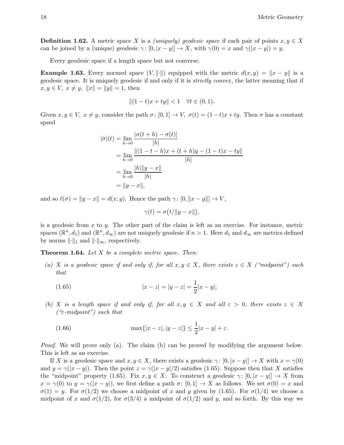**Definition 1.62.** A metric space X is a *(uniquely) geodesic space* if each pair of points  $x, y \in X$ can be joined by a (unique) geodesic  $\gamma: [0, |x - y|] \to X$ , with  $\gamma(0) = x$  and  $\gamma(|x - y|) = y$ .

Every geodesic space if a length space but not converse.

**Example 1.63.** Every normed space  $(V, \|\cdot\|)$  equipped with the metric  $d(x, y) = \|x - y\|$  is a geodesic space. It is uniquely geodesic if and only if it is strictly convex , the latter meaning that if  $x, y \in V, x \neq y, ||x|| = ||y|| = 1$ , then

$$
||(1-t)x + ty|| < 1 \quad \forall t \in (0,1).
$$

Given  $x, y \in V$ ,  $x \neq y$ , consider the path  $\sigma : [0, 1] \to V$ ,  $\sigma(t) = (1-t)x + ty$ . Then  $\sigma$  has a constant speed

$$
|\dot{\sigma}|(t) = \lim_{h \to 0} \frac{|\sigma(t+h) - \sigma(t)|}{|h|}
$$
  
= 
$$
\lim_{h \to 0} \frac||(1 - t - h)x + (t + h)y - (1 - t)x - ty||}{|h|}
$$
  
= 
$$
\lim_{h \to 0} \frac{|h| ||y - x||}{|h|}
$$
  
= 
$$
||y - x||,
$$

and so  $\ell(\sigma) = ||y - x|| = d(x, y)$ . Hence the path  $\gamma : [0, ||x - y||] \to V$ ,

$$
\gamma(t) = \sigma(t/\|y - x\|),
$$

is a geodesic from x to y. The other part of the claim is left as an exercise. For instance, metric spaces  $(\mathbb{R}^n, d_1)$  and  $(\mathbb{R}^n, d_\infty)$  are not uniquely geodesic if  $n > 1$ . Here  $d_1$  and  $d_\infty$  are metrics defined by norms  $\lVert \cdot \rVert_1$  and  $\lVert \cdot \rVert_{\infty}$ , respectively.

**Theorem 1.64.** Let  $X$  be a complete metric space. Then:

(a) X is a geodesic space if and only if, for all  $x, y \in X$ , there exists  $z \in X$  ("midpoint") such that

(1.65) 
$$
|x - z| = |y - z| = \frac{1}{2}|x - y|;
$$

(b) X is a length space if and only if, for all  $x, y \in X$  and all  $\varepsilon > 0$ , there exists  $z \in X$  $(*\varepsilon\text{-}midpoint")$  such that

(1.66) 
$$
\max\{|x-z|, |y-z|\} \le \frac{1}{2}|x-y| + \varepsilon.
$$

Proof. We will prove only (a). The claim (b) can be proved by modifying the argument below. This is left as an exercise.

If X is a geodesic space and  $x, y \in X$ , there exists a geodesic  $\gamma : [0, |x - y|] \to X$  with  $x = \gamma(0)$ and  $y = \gamma(|x - y|)$ . Then the point  $z = \gamma(|x - y|/2)$  satisfies (1.65). Suppose then that X satisfies the "midpoint" property (1.65). Fix  $x, y \in X$ . To construct a geodesic  $\gamma: [0, |x - y|] \to X$  from  $x = \gamma(0)$  to  $y = \gamma(|x - y|)$ , we first define a path  $\sigma: [0,1] \to X$  as follows. We set  $\sigma(0) = x$  and  $\sigma(1) = y$ . For  $\sigma(1/2)$  we choose a midpoint of x and y given by (1.65). For  $\sigma(1/4)$  we choose a midpoint of x and  $\sigma(1/2)$ , for  $\sigma(3/4)$  a midpoint of  $\sigma(1/2)$  and y, and so forth. By this way we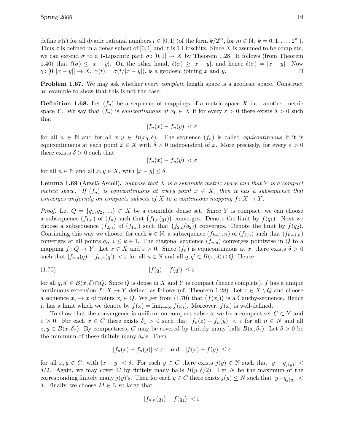define  $\sigma(t)$  for all dyadic rational numbers  $t \in [0,1]$  (of the form  $k/2^m$ , for  $m \in \mathbb{N}, k = 0, 1, ..., 2^m$ ). Thus  $\sigma$  is defined in a dense subset of [0, 1] and it is 1-Lipschitz. Since X is assumed to be complete, we can extend  $\sigma$  to a 1-Lipschitz path  $\sigma: [0, 1] \to X$  by Theorem 1.28. It follows (from Theorem 1.40) that  $\ell(\sigma) \le |x - y|$ . On the other hand,  $\ell(\sigma) \ge |x - y|$ , and hence  $\ell(\sigma) = |x - y|$ . Now  $\gamma: [0, |x - y|] \to X$ ,  $\gamma(t) = \sigma(t/|x - y|)$ , is a geodesic joining x and y.  $\gamma: [0, |x-y|] \to X$ ,  $\gamma(t) = \sigma(t/|x-y|)$ , is a geodesic joining x and y.

**Problem 1.67.** We may ask whether every *complete* length space is a geodesic space. Construct an example to show that this is not the case.

**Definition 1.68.** Let  $(f_n)$  be a sequence of mappings of a metric space X into another metric space Y. We say that  $(f_n)$  is *equicontinuous at*  $x_0 \in X$  if for every  $\varepsilon > 0$  there exists  $\delta > 0$  such that

$$
|f_n(x) - f_n(y)| < \varepsilon
$$

for all  $n \in \mathbb{N}$  and for all  $x, y \in B(x_0, \delta)$ . The sequence  $(f_n)$  is called *equicontinuous* if it is equicontinuous at each point  $x \in X$  with  $\delta > 0$  independent of x. More precisely, for every  $\varepsilon > 0$ there exists  $\delta > 0$  such that

$$
|f_n(x) - f_n(y)| < \varepsilon
$$

for all  $n \in \mathbb{N}$  and all  $x, y \in X$ , with  $|x - y| \leq \delta$ .

**Lemma 1.69** (Arzelà-Ascoli). Suppose that X is a separable metric space and that Y is a compact metric space. If  $(f_n)$  is equicontinuous at every point  $x \in X$ , then it has a subsequence that converges uniformly on compacts subsets of X to a continuous mapping  $f: X \to Y$ .

*Proof.* Let  $Q = \{q_1, q_2, ...\} \subset X$  be a countable dense set. Since Y is compact, we can choose a subsequence  $(f_{1,n})$  of  $(f_n)$  such that  $(f_{1,n}(q_1))$  converges. Denote the limit by  $f(q_1)$ . Next we choose a subsequence  $(f_{2,n})$  of  $(f_{1,n})$  such that  $(f_{2,n}(q_2))$  converges. Denote the limit by  $f(q_2)$ . Continuing this way we choose, for each  $k \in \mathbb{N}$ , a subsequence  $(f_{k+1}, n)$  of  $(f_{k,n})$  such that  $(f_{k+1,n})$ converges at all points  $q_i, i \leq k+1$ . The diagonal sequence  $(f_{n,n})$  converges pointwise in Q to a mapping  $f: Q \to Y$ . Let  $x \in X$  and  $\varepsilon > 0$ . Since  $(f_n)$  is equicontinuous at x, there exists  $\delta > 0$ such that  $|f_{n,n}(q) - f_{n,n}(q')| < \varepsilon$  for all  $n \in \mathbb{N}$  and all  $q, q' \in B(x, \delta) \cap Q$ . Hence

$$
(1.70)\t\t\t |f(q) - f(q')| \le \varepsilon
$$

for all  $q, q' \in B(x, \delta) \cap Q$ . Since Q is dense in X and Y is compact (hence complete), f has a unique continuous extension  $f: X \to Y$  defined as follows (cf. Theorem 1.28). Let  $x \in X \setminus Q$  and choose a sequence  $x_i \to x$  of points  $x_i \in Q$ . We get from  $(1.70)$  that  $(f(x_i))$  is a Cauchy-sequence. Hence it has a limit which we denote by  $f(x) = \lim_{i \to \infty} f(x_i)$ . Moreover,  $f(x)$  is well-defined.

To show that the convergence is uniform on compact subsets, we fix a compact set  $C \subset Y$  and  $\varepsilon > 0$ . For each  $x \in C$  there exists  $\delta_x > 0$  such that  $|f_n(z) - f_n(y)| < \varepsilon$  for all  $n \in N$  and all  $z, y \in B(x, \delta_x)$ . By compactness, C may be covered by finitely many balls  $B(x, \delta_x)$ . Let  $\delta > 0$  be the minimum of these finitely many  $\delta_x$ 's. Then

$$
|f_n(x) - f_n(y)| < \varepsilon \quad \text{and} \quad |f(x) - f(y)| \le \varepsilon
$$

for all  $x, y \in C$ , with  $|x - y| < \delta$ . For each  $y \in C$  there exists  $j(y) \in \mathbb{N}$  such that  $|y - q_{j(y)}|$  $\delta/2$ . Again, we may cover C by finitely many balls  $B(y, \delta/2)$ . Let N be the maximum of the corresponding finitely many  $j(y)$ 's. Then for each  $y \in C$  there exists  $j(y) \leq N$  such that  $|y - q_{j(y)}|$ <sup>δ</sup>. Finally, we choose <sup>M</sup> <sup>∈</sup> <sup>N</sup> so large that

$$
|f_{n,n}(q_j)-f(q_j)|<\varepsilon
$$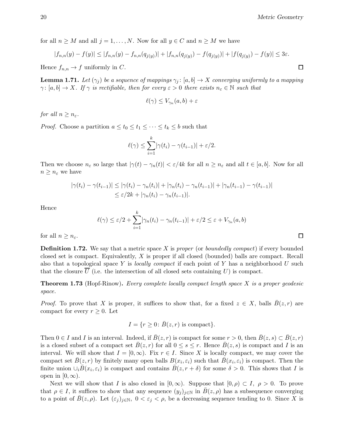for all  $n \geq M$  and all  $j = 1, ..., N$ . Now for all  $y \in C$  and  $n \geq M$  we have

$$
|f_{n,n}(y) - f(y)| \le |f_{n,n}(y) - f_{n,n}(q_{j(y)})| + |f_{n,n}(q_{j(y)}) - f(q_{j(y)})| + |f(q_{j(y)}) - f(y)| \le 3\varepsilon.
$$

Hence  $f_{n,n} \to f$  uniformly in C.

**Lemma 1.71.** Let  $(\gamma_i)$  be a sequence of mappings  $\gamma_i: [a, b] \to X$  converging uniformly to a mapping  $\gamma: [a, b] \to X$ . If  $\gamma$  is rectifiable, then for every  $\varepsilon > 0$  there exists  $n_{\varepsilon} \in \mathbb{N}$  such that

$$
\ell(\gamma) \le V_{\gamma_n}(a, b) + \varepsilon
$$

for all  $n \geq n_{\varepsilon}$ .

*Proof.* Choose a partition  $a \le t_0 \le t_1 \le \cdots \le t_k \le b$  such that

$$
\ell(\gamma) \leq \sum_{i=1}^k |\gamma(t_i) - \gamma(t_{i-1})| + \varepsilon/2.
$$

Then we choose  $n_{\varepsilon}$  so large that  $|\gamma(t) - \gamma_n(t)| < \varepsilon/4k$  for all  $n \geq n_{\varepsilon}$  and all  $t \in [a, b]$ . Now for all  $n \geq n_{\varepsilon}$  we have

$$
|\gamma(t_i) - \gamma(t_{i-1})| \leq |\gamma(t_i) - \gamma_n(t_i)| + |\gamma_n(t_i) - \gamma_n(t_{i-1})| + |\gamma_n(t_{i-1}) - \gamma(t_{i-1})|
$$
  

$$
\leq \varepsilon/2k + |\gamma_n(t_i) - \gamma_n(t_{i-1})|.
$$

Hence

$$
\ell(\gamma) \le \varepsilon/2 + \sum_{i=1}^k |\gamma_n(t_i) - \gamma_n(t_{i-1})| + \varepsilon/2 \le \varepsilon + V_{\gamma_n}(a, b)
$$

for all  $n \geq n_{\varepsilon}$ .

**Definition 1.72.** We say that a metric space X is proper (or boundedly compact) if every bounded closed set is compact. Equivalently, X is proper if all closed (bounded) balls are compact. Recall also that a topological space Y is *locally compact* if each point of Y has a neighborhood U such that the closure  $\overline{U}$  (i.e. the intersection of all closed sets containing U) is compact.

**Theorem 1.73** (Hopf-Rinow). Every complete locally compact length space  $X$  is a proper geodesic space.

*Proof.* To prove that X is proper, it suffices to show that, for a fixed  $z \in X$ , balls  $\bar{B}(z,r)$  are compact for every  $r \geq 0$ . Let

$$
I = \{r \ge 0 \colon \bar{B}(z,r) \text{ is compact}\}.
$$

Then  $0 \in I$  and I is an interval. Indeed, if  $\overline{B}(z, r)$  is compact for some  $r > 0$ , then  $\overline{B}(z, s) \subset \overline{B}(z, r)$ is a closed subset of a compact set  $B(z, r)$  for all  $0 \leq s \leq r$ . Hence  $B(z, s)$  is compact and I is an interval. We will show that  $I = [0, \infty)$ . Fix  $r \in I$ . Since X is locally compact, we may cover the compact set  $\bar{B}(z,r)$  by finitely many open balls  $B(x_i, \varepsilon_i)$  such that  $\bar{B}(x_i, \varepsilon_i)$  is compact. Then the finite union  $\cup_i \bar{B}(x_i, \varepsilon_i)$  is compact and contains  $\bar{B}(z, r + \delta)$  for some  $\delta > 0$ . This shows that I is open in  $[0, \infty)$ .

Next we will show that I is also closed in  $[0, \infty)$ . Suppose that  $[0, \rho) \subset I$ ,  $\rho > 0$ . To prove that  $\rho \in I$ , it suffices to show that any sequence  $(y_j)_{j\in\mathbb{N}}$  in  $B(z,\rho)$  has a subsequence converging to a point of  $B(z, \rho)$ . Let  $(\varepsilon_j)_{j \in \mathbb{N}}$ ,  $0 < \varepsilon_j < \rho$ , be a decreasing sequence tending to 0. Since X is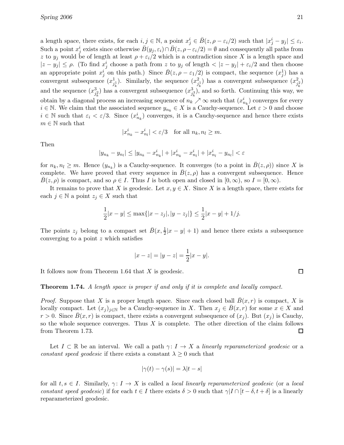a length space, there exists, for each  $i, j \in \mathbb{N}$ , a point  $x_j^i \in \overline{B}(z, \rho - \varepsilon_i/2)$  such that  $|x_j^i - y_j| \le \varepsilon_i$ . Such a point  $x_j^i$  exists since otherwise  $\bar{B}(y_j, \varepsilon_i) \cap \bar{B}(z, \rho - \varepsilon_i/2) = \emptyset$  and consequently all paths from z to  $y_j$  would be of length at least  $\rho + \varepsilon_i/2$  which is a contradiction since X is a length space and  $|z-y_j| \leq \rho$ . (To find  $x_j^i$  choose a path from z to  $y_j$  of length  $\langle |z-y_j| + \varepsilon_i/2$  and then choose an appropriate point  $x_j^i$  on this path.) Since  $\bar{B}(z, \rho - \varepsilon_1/2)$  is compact, the sequence  $(x_j^1)$  has a convergent subsequence  $(x_i^1)$  $j_k^1$ ). Similarly, the sequence  $(x_j^2)$  $\binom{2}{j_k}$ ) has a convergent subsequence  $(x_j^2)$  $\binom{2}{j_k^2}$ and the sequence  $(x_i^3)$  $\binom{3}{j_k^2}$  has a convergent subsequence  $(x_j^3)$  $j_k^3$ ), and so forth. Continuing this way, we obtain by a diagonal process an increasing sequence of  $n_k \nearrow \infty$  such that  $(x_{n_k}^i)$  converges for every  $i \in \mathbb{N}$ . We claim that the associated sequence  $y_{n_k} \in X$  is a Cauchy-sequence. Let  $\varepsilon > 0$  and choose  $i \in \mathbb{N}$  such that  $\varepsilon_i < \varepsilon/3$ . Since  $(x_{n_k}^i)$  converges, it is a Cauchy-sequence and hence there exists  $m \in \mathbb{N}$  such that

$$
|x_{n_k}^i - x_{n_l}^i| < \varepsilon/3 \quad \text{for all } n_k, n_l \ge m.
$$

Then

$$
|y_{n_k} - y_{n_l}| \le |y_{n_k} - x_{n_k}^i| + |x_{n_k}^i - x_{n_l}^i| + |x_{n_l}^i - y_{n_l}| < \varepsilon
$$

for  $n_k, n_l \geq m$ . Hence  $(y_{n_k})$  is a Cauchy-sequence. It converges (to a point in  $\bar{B}(z, \rho)$ ) since X is complete. We have proved that every sequence in  $B(z, \rho)$  has a convergent subsequence. Hence  $B(z, \rho)$  is compact, and so  $\rho \in I$ . Thus I is both open and closed in  $[0, \infty)$ , so  $I = [0, \infty)$ .

It remains to prove that X is geodesic. Let  $x, y \in X$ . Since X is a length space, there exists for each  $j \in \mathbb{N}$  a point  $z_j \in X$  such that

$$
\frac{1}{2}|x-y| \le \max\{|x-z_j|, |y-z_j|\} \le \frac{1}{2}|x-y| + 1/j.
$$

The points  $z_j$  belong to a compact set  $\bar{B}(x, \frac{1}{2}|x-y| + 1)$  and hence there exists a subsequence converging to a point z which satisfies

$$
|x - z| = |y - z| = \frac{1}{2}|x - y|.
$$

It follows now from Theorem 1.64 that  $X$  is geodesic.

#### Theorem 1.74. A length space is proper if and only if it is complete and locally compact.

*Proof.* Suppose that X is a proper length space. Since each closed ball  $B(x, r)$  is compact, X is locally compact. Let  $(x_j)_{j\in\mathbb{N}}$  be a Cauchy-sequence in X. Then  $x_j \in B(x,r)$  for some  $x \in X$  and  $r > 0$ . Since  $B(x, r)$  is compact, there exists a convergent subsequence of  $(x_i)$ . But  $(x_i)$  is Cauchy, so the whole sequence converges. Thus  $X$  is complete. The other direction of the claim follows from Theorem 1.73.  $\Box$ 

Let  $I \subset \mathbb{R}$  be an interval. We call a path  $\gamma: I \to X$  a linearly reparameterized geodesic or a constant speed geodesic if there exists a constant  $\lambda \geq 0$  such that

$$
|\gamma(t) - \gamma(s)| = \lambda |t - s|
$$

for all  $t, s \in I$ . Similarly,  $\gamma: I \to X$  is called a *local linearly reparameterized geodesic* (or a *local* constant speed geodesic) if for each  $t \in I$  there exists  $\delta > 0$  such that  $\gamma |I \cap [t - \delta, t + \delta]$  is a linearly reparameterized geodesic.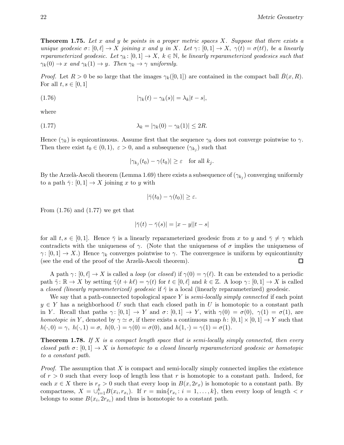**Theorem 1.75.** Let x and y be points in a proper metric spaces X. Suppose that there exists a unique geodesic  $\sigma: [0, \ell] \to X$  joining x and y in X. Let  $\gamma: [0, 1] \to X$ ,  $\gamma(t) = \sigma(t\ell)$ , be a linearly reparameterized geodesic. Let  $\gamma_k : [0, 1] \to X$ ,  $k \in \mathbb{N}$ , be linearly reparameterized geodesics such that  $\gamma_k(0) \to x$  and  $\gamma_k(1) \to y$ . Then  $\gamma_k \to \gamma$  uniformly.

*Proof.* Let  $R > 0$  be so large that the images  $\gamma_k([0,1])$  are contained in the compact ball  $\bar{B}(x,R)$ . For all  $t, s \in [0, 1]$ 

(1.76) 
$$
|\gamma_k(t) - \gamma_k(s)| = \lambda_k |t - s|,
$$

where

$$
\lambda_k = |\gamma_k(0) - \gamma_k(1)| \le 2R.
$$

Hence  $(\gamma_k)$  is equicontinuous. Assume first that the sequence  $\gamma_k$  does not converge pointwise to  $\gamma$ . Then there exist  $t_0 \in (0,1)$ ,  $\varepsilon > 0$ , and a subsequence  $(\gamma_{k_j})$  such that

$$
|\gamma_{k_j}(t_0) - \gamma(t_0)| \ge \varepsilon \quad \text{for all } k_j.
$$

By the Arzelà-Ascoli theorem (Lemma 1.69) there exists a subsequence of  $(\gamma_{k_j})$  converging uniformly to a path  $\bar{\gamma}$ :  $[0,1] \rightarrow X$  joining x to y with

$$
|\bar{\gamma}(t_0)-\gamma(t_0)|\geq\varepsilon.
$$

From  $(1.76)$  and  $(1.77)$  we get that

$$
|\bar{\gamma}(t) - \bar{\gamma}(s)| = |x - y||t - s|
$$

for all  $t, s \in [0, 1]$ . Hence  $\overline{\gamma}$  is a linearly reparameterized geodesic from x to y and  $\overline{\gamma} \neq \gamma$  which contradicts with the uniqueness of  $\gamma$ . (Note that the uniqueness of  $\sigma$  implies the uniqueness of  $\gamma: [0,1] \to X$ .) Hence  $\gamma_k$  converges pointwise to  $\gamma$ . The convergence is uniform by equicontinuity (see the end of the proof of the Arzelà-Ascoli theorem). (see the end of the proof of the Arzelà-Ascoli theorem).

A path  $\gamma : [0, \ell] \to X$  is called a *loop* (or *closed*) if  $\gamma(0) = \gamma(\ell)$ . It can be extended to a periodic path  $\tilde{\gamma}$ :  $\mathbb{R} \to X$  by setting  $\tilde{\gamma}(t + k\ell) = \gamma(t)$  for  $t \in [0, \ell]$  and  $k \in \mathbb{Z}$ . A loop  $\gamma$ :  $[0, 1] \to X$  is called a closed (linearly reparameterized) geodesic if  $\tilde{\gamma}$  is a local (linearly reparameterized) geodesic.

We say that a path-connected topological space Y is *semi-locally simply connected* if each point  $y \in Y$  has a neighborhood U such that each closed path in U is homotopic to a constant path in Y. Recall that paths  $\gamma: [0,1] \to Y$  and  $\sigma: [0,1] \to Y$ , with  $\gamma(0) = \sigma(0)$ ,  $\gamma(1) = \sigma(1)$ , are homotopic in Y, denoted by  $\gamma \simeq \sigma$ , if there exists a continuous map  $h: [0,1] \times [0,1] \to Y$  such that  $h(\cdot, 0) = \gamma$ ,  $h(\cdot, 1) = \sigma$ ,  $h(0, \cdot) = \gamma(0) = \sigma(0)$ , and  $h(1, \cdot) = \gamma(1) = \sigma(1)$ .

**Theorem 1.78.** If X is a compact length space that is semi-locally simply connected, then every closed path  $\sigma: [0,1] \to X$  is homotopic to a closed linearly reparameterized geodesic or homotopic to a constant path.

*Proof.* The assumption that X is compact and semi-locally simply connected implies the existence of  $r > 0$  such that every loop of length less that r is homotopic to a constant path. Indeed, for each  $x \in X$  there is  $r_x > 0$  such that every loop in  $B(x, 2r_x)$  is homotopic to a constant path. By compactness,  $X = \bigcup_{i=1}^{k} B(x_i, r_{x_i})$ . If  $r = \min\{r_{x_i}: i = 1, ..., k\}$ , then every loop of length  $\lt r$ belongs to some  $B(x_i, 2r_{x_i})$  and thus is homotopic to a constant path.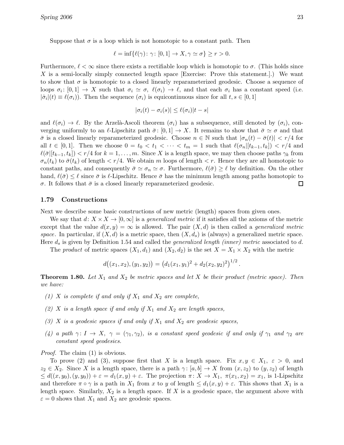Suppose that  $\sigma$  is a loop which is not homotopic to a constant path. Then

$$
\ell = \inf \{ \ell(\gamma) \colon \gamma \colon [0,1] \to X, \gamma \simeq \sigma \} \ge r > 0.
$$

Furthermore,  $\ell < \infty$  since there exists a rectifiable loop which is homotopic to  $\sigma$ . (This holds since X is a semi-locally simply connected length space [Exercise: Prove this statement.].) We want to show that  $\sigma$  is homotopic to a closed linearly reparameterized geodesic. Choose a sequence of loops  $\sigma_i: [0,1] \to X$  such that  $\sigma_i \simeq \sigma$ ,  $\ell(\sigma_i) \to \ell$ , and that each  $\sigma_i$  has a constant speed (i.e.  $|\dot{\sigma}_i|(t) \equiv \ell(\sigma_i)$ ). Then the sequence  $(\sigma_i)$  is equicontinuous since for all  $t, s \in [0, 1]$ 

$$
|\sigma_i(t) - \sigma_i(s)| \leq \ell(\sigma_i)|t - s|
$$

and  $\ell(\sigma_i) \to \ell$ . By the Arzelà-Ascoli theorem  $(\sigma_i)$  has a subsequence, still denoted by  $(\sigma_i)$ , converging uniformly to an  $\ell$ -Lipschitz path  $\bar{\sigma}$ :  $[0, 1] \to X$ . It remains to show that  $\bar{\sigma} \simeq \sigma$  and that  $\bar{\sigma}$  is a closed linearly reparameterized geodesic. Choose  $n \in \mathbb{N}$  such that  $|\sigma_n(t) - \bar{\sigma}(t)| < r/4$  for all  $t \in [0,1]$ . Then we choose  $0 = t_0 < t_1 < \cdots < t_m = 1$  such that  $\ell(\sigma_n|[t_{k-1}, t_k]) < r/4$  and  $\ell(\bar{\sigma}[[t_{k-1}, t_k]) < r/4$  for  $k = 1, ..., m$ . Since X is a length space, we may then choose paths  $\gamma_k$  from  $\sigma_n(t_k)$  to  $\bar{\sigma}(t_k)$  of length  $\langle r/4$ . We obtain m loops of length  $\langle r$ . Hence they are all homotopic to constant paths, and consequently  $\bar{\sigma} \simeq \sigma_n \simeq \sigma$ . Furthermore,  $\ell(\bar{\sigma}) \geq \ell$  by definition. On the other hand,  $\ell(\bar{\sigma}) \leq \ell$  since  $\bar{\sigma}$  is  $\ell$ -Lipschitz. Hence  $\bar{\sigma}$  has the minimum length among paths homotopic to σ. It follows that  $\bar{\sigma}$  is a closed linearly reparameterized geodesic. □

#### 1.79 Constructions

Next we describe some basic constructions of new metric (length) spaces from given ones.

We say that  $d: X \times X \to [0,\infty]$  is a *generalized metric* if it satisfies all the axioms of the metric except that the value  $d(x, y) = \infty$  is allowed. The pair  $(X, d)$  is then called a *generalized metric* space. In particular, if  $(X, d)$  is a metric space, then  $(X, d_s)$  is (always) a generalized metric space. Here  $d_s$  is given by Definition 1.54 and called the *generalized length (inner) metric* associated to d.

The product of metric spaces  $(X_1, d_1)$  and  $(X_2, d_2)$  is the set  $X = X_1 \times X_2$  with the metric

$$
d((x_1, x_2), (y_1, y_2)) = (d_1(x_1, y_1)^2 + d_2(x_2, y_2)^2)^{1/2}.
$$

**Theorem 1.80.** Let  $X_1$  and  $X_2$  be metric spaces and let X be their product (metric space). Then we have:

- (1) X is complete if and only if  $X_1$  and  $X_2$  are complete,
- (2) X is a length space if and only if  $X_1$  and  $X_2$  are length spaces,
- (3) X is a geodesic spaces if and only if  $X_1$  and  $X_2$  are geodesic spaces,
- (4) a path  $\gamma: I \to X$ ,  $\gamma = (\gamma_1, \gamma_2)$ , is a constant speed geodesic if and only if  $\gamma_1$  and  $\gamma_2$  are constant speed geodesics.

*Proof.* The claim (1) is obvious.

To prove (2) and (3), suppose first that X is a length space. Fix  $x, y \in X_1$ ,  $\varepsilon > 0$ , and  $z_2 \in X_2$ . Since X is a length space, there is a path  $\gamma: [a, b] \to X$  from  $(x, z_2)$  to  $(y, z_2)$  of length  $\leq d((x,y_0),(y,y_0)) + \varepsilon = d_1(x,y) + \varepsilon$ . The projection  $\pi \colon X \to X_1, \pi(x_1,x_2) = x_1$ , is 1-Lipschitz and therefore  $\pi \circ \gamma$  is a path in  $X_1$  from x to y of length  $\leq d_1(x, y) + \varepsilon$ . This shows that  $X_1$  is a length space. Similarly,  $X_2$  is a length space. If X is a geodesic space, the argument above with  $\varepsilon = 0$  shows that  $X_1$  and  $X_2$  are geodesic spaces.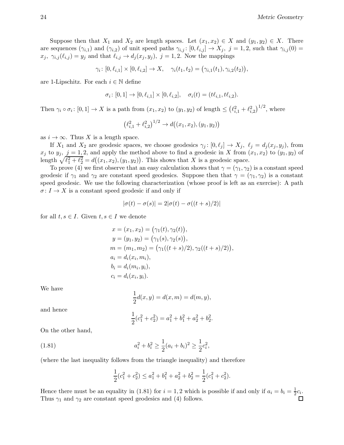Suppose then that  $X_1$  and  $X_2$  are length spaces. Let  $(x_1, x_2) \in X$  and  $(y_1, y_2) \in X$ . There are sequences  $(\gamma_{i,1})$  and  $(\gamma_{i,2})$  of unit speed paths  $\gamma_{i,j} : [0, \ell_{i,j}] \to X_j$ ,  $j = 1, 2$ , such that  $\gamma_{i,j}(0) =$  $x_j, \gamma_{i,j} (\ell_{i,j}) = y_j$  and that  $\ell_{i,j} \to d_j (x_j , y_j )$ ,  $j = 1, 2$ . Now the mappings

$$
\gamma_i \colon [0,\ell_{i,1}] \times [0,\ell_{i,2}] \to X, \quad \gamma_i(t_1,t_2) = (\gamma_{i,1}(t_1),\gamma_{i,2}(t_2)),
$$

are 1-Lipschitz. For each  $i \in \mathbb{N}$  define

$$
\sigma_i \colon [0,1] \to [0,\ell_{i,1}] \times [0,\ell_{i,2}], \quad \sigma_i(t) = (t\ell_{i,1}, t\ell_{i,2}).
$$

Then  $\gamma_i \circ \sigma_i : [0,1] \to X$  is a path from  $(x_1, x_2)$  to  $(y_1, y_2)$  of length  $\leq (\ell_{i,1}^2 + \ell_{i,2}^2)^{1/2}$ , where

$$
(\ell_{i,1}^2 + \ell_{i,2}^2)^{1/2} \to d((x_1, x_2), (y_1, y_2))
$$

as  $i \to \infty$ . Thus X is a length space.

If  $X_1$  and  $X_2$  are geodesic spaces, we choose geodesics  $\gamma_j : [0, \ell_j] \to X_j$ ,  $\ell_j = d_j (x_j, y_j)$ , from  $x_j$  to  $y_j$ ,  $j = 1, 2$ , and apply the method above to find a geodesic in X from  $(x_1, x_2)$  to  $(y_1, y_2)$  of length  $\sqrt{\ell_1^2 + \ell_2^2} = d((x_1, x_2), (y_1, y_2))$ . This shows that X is a geodesic space.

To prove (4) we first observe that an easy calculation shows that  $\gamma = (\gamma_1, \gamma_2)$  is a constant speed geodesic if  $\gamma_1$  and  $\gamma_2$  are constant speed geodesics. Suppose then that  $\gamma = (\gamma_1, \gamma_2)$  is a constant speed geodesic. We use the following characterization (whose proof is left as an exercise): A path  $\sigma: I \to X$  is a constant speed geodesic if and only if

$$
|\sigma(t) - \sigma(s)| = 2|\sigma(t) - \sigma((t+s)/2)|
$$

for all  $t, s \in I$ . Given  $t, s \in I$  we denote

$$
x = (x_1, x_2) = (\gamma_1(t), \gamma_2(t)),
$$
  
\n
$$
y = (y_1, y_2) = (\gamma_1(s), \gamma_2(s)),
$$
  
\n
$$
m = (m_1, m_2) = (\gamma_1((t + s)/2), \gamma_2((t + s)/2)),
$$
  
\n
$$
a_i = d_i(x_i, m_i),
$$
  
\n
$$
b_i = d_i(m_i, y_i),
$$
  
\n
$$
c_i = d_i(x_i, y_i).
$$

We have

$$
\frac{1}{2}d(x,y) = d(x,m) = d(m,y),
$$

and hence

$$
\frac{1}{2}(c_1^2 + c_2^2) = a_1^2 + b_1^2 + a_2^2 + b_2^2.
$$

On the other hand,

(1.81) 
$$
a_i^2 + b_i^2 \ge \frac{1}{2}(a_i + b_i)^2 \ge \frac{1}{2}c_i^2,
$$

(where the last inequality follows from the triangle inequality) and therefore

$$
\frac{1}{2}(c_1^2 + c_2^2) \le a_1^2 + b_1^2 + a_2^2 + b_2^2 = \frac{1}{2}(c_1^2 + c_2^2).
$$

Hence there must be an equality in (1.81) for  $i = 1, 2$  which is possible if and only if  $a_i = b_i = \frac{1}{2}$  $rac{1}{2}c_i$ . Thus  $\gamma_1$  and  $\gamma_2$  are constant speed geodesics and (4) follows.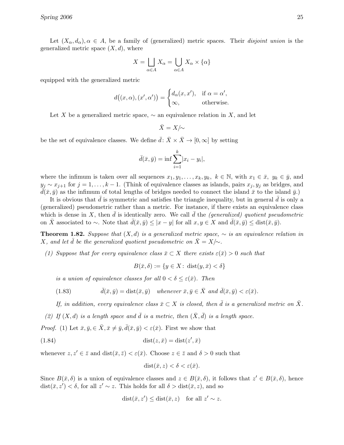Let  $(X_\alpha, d_\alpha), \alpha \in A$ , be a family of (generalized) metric spaces. Their *disjoint union* is the generalized metric space  $(X, d)$ , where

$$
X = \bigsqcup_{\alpha \in A} X_{\alpha} = \bigcup_{\alpha \in A} X_{\alpha} \times \{\alpha\}
$$

equipped with the generalized metric

$$
d((x, \alpha), (x', \alpha')) = \begin{cases} d_{\alpha}(x, x'), & \text{if } \alpha = \alpha', \\ \infty, & \text{otherwise.} \end{cases}
$$

Let X be a generalized metric space,  $\sim$  an equivalence relation in X, and let

$$
\bar{X}=X/\!\!\!\sim
$$

be the set of equivalence classes. We define  $\bar{d}: \bar{X} \times \bar{X} \to [0, \infty]$  by setting

$$
\bar{d}(\bar{x}, \bar{y}) = \inf \sum_{i=1}^{k} |x_i - y_i|,
$$

where the infimum is taken over all sequences  $x_1, y_1, \ldots, x_k, y_k, k \in \mathbb{N}$ , with  $x_1 \in \bar{x}$ ,  $y_k \in \bar{y}$ , and  $y_j \sim x_{j+1}$  for  $j = 1, \ldots, k-1$ . (Think of equivalence classes as islands, pairs  $x_j, y_j$  as bridges, and  $\bar{d}(\bar{x}, \bar{y})$  as the infimum of total lengths of bridges needed to connect the island  $\bar{x}$  to the island  $\bar{y}$ .)

It is obvious that  $\bar{d}$  is symmetric and satisfies the triangle inequality, but in general  $d$  is only a (generalized) pseudometric rather than a metric. For instance, if there exists an equivalence class which is dense in X, then  $\bar{d}$  is identically zero. We call  $\bar{d}$  the (generalized) quotient pseudometric on  $\bar{X}$  associated to ∼. Note that  $\bar{d}(\bar{x}, \bar{y}) \leq |x - y|$  for all  $x, y \in X$  and  $\bar{d}(\bar{x}, \bar{y}) \leq \text{dist}(\bar{x}, \bar{y})$ .

**Theorem 1.82.** Suppose that  $(X,d)$  is a generalized metric space,  $\sim$  is an equivalence relation in X, and let  $\bar{d}$  be the generalized quotient pseudometric on  $\bar{X} = X/\sim$ .

(1) Suppose that for every equivalence class  $\bar{x} \subset X$  there exists  $\varepsilon(\bar{x}) > 0$  such that

$$
B(\bar{x}, \delta) := \{ y \in X \colon \operatorname{dist}(y, \bar{x}) < \delta \}
$$

is a union of equivalence classes for all  $0 < \delta < \varepsilon(\bar{x})$ . Then

(1.83) 
$$
\bar{d}(\bar{x}, \bar{y}) = \text{dist}(\bar{x}, \bar{y}) \quad \text{whenever } \bar{x}, \bar{y} \in \bar{X} \text{ and } \bar{d}(\bar{x}, \bar{y}) < \varepsilon(\bar{x}).
$$

If, in addition, every equivalence class  $\bar{x} \subset X$  is closed, then  $\bar{d}$  is a generalized metric on  $\bar{X}$ .

(2) If  $(X, d)$  is a length space and  $\overline{d}$  is a metric, then  $(\overline{X}, \overline{d})$  is a length space.

*Proof.* (1) Let  $\bar{x}, \bar{y} \in \bar{X}, \bar{x} \neq \bar{y}, \bar{d}(\bar{x}, \bar{y}) < \varepsilon(\bar{x})$ . First we show that

$$
(1.84) \qquad \qquad \text{dist}(z,\bar{x}) = \text{dist}(z',\bar{x})
$$

whenever  $z, z' \in \bar{z}$  and  $dist(\bar{x}, \bar{z}) < \varepsilon(\bar{x})$ . Choose  $z \in \bar{z}$  and  $\delta > 0$  such that

$$
dist(\bar{x}, z) < \delta < \varepsilon(\bar{x}).
$$

Since  $B(\bar{x}, \delta)$  is a union of equivalence classes and  $z \in B(\bar{x}, \delta)$ , it follows that  $z' \in B(\bar{x}, \delta)$ , hence  $dist(\bar{x}, z') < \delta$ , for all  $z' \sim z$ . This holds for all  $\delta > dist(\bar{x}, z)$ , and so

$$
dist(\bar{x}, z') \leq dist(\bar{x}, z) \quad \text{for all } z' \sim z.
$$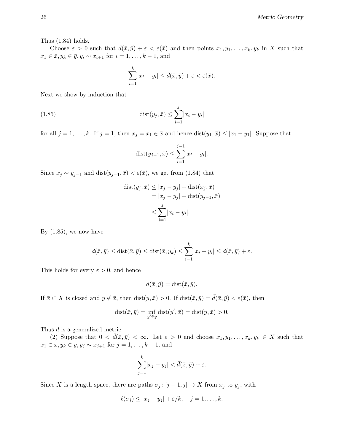Thus (1.84) holds.

Choose  $\varepsilon > 0$  such that  $\bar{d}(\bar{x}, \bar{y}) + \varepsilon < \varepsilon(\bar{x})$  and then points  $x_1, y_1, \ldots, x_k, y_k$  in X such that  $x_1 \in \bar{x}, y_k \in \bar{y}, y_i \sim x_{i+1}$  for  $i = 1, ..., k-1$ , and

$$
\sum_{i=1}^k |x_i - y_i| \le \bar{d}(\bar{x}, \bar{y}) + \varepsilon < \varepsilon(\bar{x}).
$$

Next we show by induction that

(1.85) 
$$
\text{dist}(y_j, \bar{x}) \le \sum_{i=1}^j |x_i - y_i|
$$

for all  $j = 1, ..., k$ . If  $j = 1$ , then  $x_j = x_1 \in \bar{x}$  and hence  $dist(y_1, \bar{x}) \leq |x_1 - y_1|$ . Suppose that

dist
$$
(y_{j-1}, \bar{x}) \le \sum_{i=1}^{j-1} |x_i - y_i|
$$
.

Since  $x_j \sim y_{j-1}$  and  $dist(y_{j-1}, \bar{x}) < \varepsilon(\bar{x})$ , we get from (1.84) that

$$
dist(y_j, \bar{x}) \le |x_j - y_j| + dist(x_j, \bar{x})
$$
  
=  $|x_j - y_j| + dist(y_{j-1}, \bar{x})$   

$$
\le \sum_{i=1}^j |x_i - y_i|.
$$

By  $(1.85)$ , we now have

$$
\bar{d}(\bar{x}, \bar{y}) \leq \text{dist}(\bar{x}, \bar{y}) \leq \text{dist}(\bar{x}, y_k) \leq \sum_{i=1}^k |x_i - y_i| \leq \bar{d}(\bar{x}, \bar{y}) + \varepsilon.
$$

This holds for every  $\varepsilon > 0$ , and hence

$$
\bar{d}(\bar{x}, \bar{y}) = \text{dist}(\bar{x}, \bar{y}).
$$

If  $\bar{x} \subset X$  is closed and  $y \notin \bar{x}$ , then  $dist(y, \bar{x}) > 0$ . If  $dist(\bar{x}, \bar{y}) = d(\bar{x}, \bar{y}) < \varepsilon(\bar{x})$ , then

$$
dist(\bar{x}, \bar{y}) = \inf_{y' \in \bar{y}} dist(y', \bar{x}) = dist(y, \bar{x}) > 0.
$$

Thus  $\bar{d}$  is a generalized metric.

(2) Suppose that  $0 < \bar{d}(\bar{x}, \bar{y}) < \infty$ . Let  $\varepsilon > 0$  and choose  $x_1, y_1, \ldots, x_k, y_k \in X$  such that  $x_1 \in \bar{x}, y_k \in \bar{y}, y_j \sim x_{j+1}$  for  $j = 1, ..., k - 1$ , and

$$
\sum_{j=1}^{k} |x_j - y_j| < \bar{d}(\bar{x}, \bar{y}) + \varepsilon.
$$

Since X is a length space, there are paths  $\sigma_j : [j-1, j] \to X$  from  $x_j$  to  $y_j$ , with

$$
\ell(\sigma_j) \leq |x_j - y_j| + \varepsilon/k, \quad j = 1, \dots, k.
$$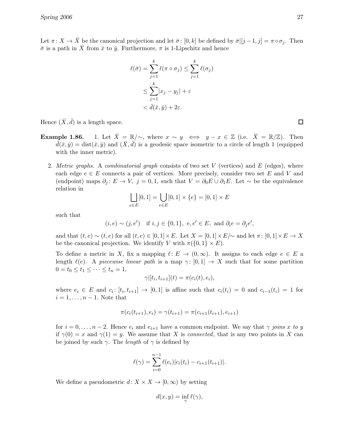Let  $\pi: X \to \overline{X}$  be the canonical projection and let  $\overline{\sigma}: [0, k]$  be defined by  $\overline{\sigma}$ [[j -1, j] =  $\pi \circ \sigma_j$ . Then  $\bar{\sigma}$  is a path in  $\bar{X}$  from  $\bar{x}$  to  $\bar{y}$ . Furthermore,  $\pi$  is 1-Lipschitz and hence

$$
\ell(\bar{\sigma}) = \sum_{j=1}^{k} \ell(\pi \circ \sigma_j) \le \sum_{j=1}^{k} \ell(\sigma_j)
$$

$$
\le \sum_{j=1}^{k} |x_j - y_j| + \varepsilon
$$

$$
< \bar{d}(\bar{x}, \bar{y}) + 2\varepsilon.
$$

Hence  $(\bar{X}, \bar{d})$  is a length space.

- **Example 1.86.** 1. Let  $\bar{X} = \mathbb{R}/\sim$ , where  $x \sim y \iff y x \in \mathbb{Z}$  (i.e.  $\bar{X} = \mathbb{R}/\mathbb{Z}$ ). Then  $\bar{d}(\bar{x},\bar{y}) = \text{dist}(\bar{x},\bar{y})$  and  $(\bar{X},\bar{d})$  is a geodesic space isometric to a circle of length 1 (equipped with the inner metric).
	- 2. Metric graphs. A combinatorial graph consists of two set V (vertices) and E (edges), where each edge  $e \in E$  connects a pair of vertices. More precisely, consider two set E and V and (endpoint) maps  $\partial_j : E \to V$ ,  $j = 0, 1$ , such that  $V = \partial_0 E \cup \partial_1 E$ . Let  $\sim$  be the equivalence relation in

$$
\bigsqcup_{e \in E} [0,1] = \bigcup_{e \in E} [0,1] \times \{e\} = [0,1] \times E
$$

such that

 $(i, e) \sim (j, e')$  if  $i, j \in \{0, 1\}, e, e' \in E$ , and  $\partial_i e = \partial_j e'$ ,

and that  $(t, e) \sim (t, e)$  for all  $(t, e) \in [0, 1] \times E$ . Let  $X = [0, 1] \times E/\sim$  and let  $\pi : [0, 1] \times E \to X$ be the canonical projection. We identify V with  $\pi({0, 1} \times E)$ .

To define a metric in X, fix a mapping  $\ell : E \to (0,\infty)$ . It assigns to each edge  $e \in E$  a length  $\ell(e)$ . A piecewise linear path is a map  $\gamma: [0, 1] \to X$  such that for some partition  $0 = t_0 \le t_1 \le \cdots \le t_n = 1,$ 

$$
\gamma|[t_i,t_{i+1}](t) = \pi(c_i(t),e_i),
$$

where  $e_i \in E$  and  $c_i : [t_i, t_{i+1}] \to [0, 1]$  is affine such that  $c_i(t_i) = 0$  and  $c_{i-1}(t_i) = 1$  for  $i = 1, \ldots, n - 1$ . Note that

$$
\pi(c_i(t_{i+1}), e_i) = \gamma(t_{i+1}) = \pi(c_{i+1}(t_{i+1}), e_{i+1})
$$

for  $i = 0, \ldots, n-2$ . Hence  $e_i$  and  $e_{i+1}$  have a common endpoint. We say that  $\gamma$  joins x to y if  $\gamma(0) = x$  and  $\gamma(1) = y$ . We assume that X is connected, that is any two points in X can be joined by such  $\gamma$ . The *length* of  $\gamma$  is defined by

$$
\ell(\gamma) = \sum_{i=0}^{n-1} \ell(e_i) |c_i(t_i) - c_{i+1}(t_{i+1})|.
$$

We define a pseudometric  $d: X \times X \to [0, \infty)$  by setting

$$
d(x, y) = \inf_{\gamma} \ell(\gamma),
$$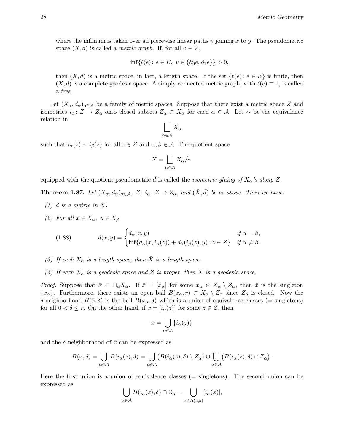where the infimum is taken over all piecewise linear paths  $\gamma$  joining x to y. The pseudometric space  $(X, d)$  is called a *metric graph*. If, for all  $v \in V$ ,

$$
\inf\{\ell(e)\colon e\in E,\ v\in\{\partial_0e,\partial_1e\}\}>0,
$$

then  $(X, d)$  is a metric space, in fact, a length space. If the set  $\{\ell(e): e \in E\}$  is finite, then  $(X, d)$  is a complete geodesic space. A simply connected metric graph, with  $\ell(e) \equiv 1$ , is called a tree.

Let  $(X_\alpha, d_\alpha)_{\alpha \in \mathcal{A}}$  be a family of metric spaces. Suppose that there exist a metric space Z and isometries  $i_{\alpha} : Z \to Z_{\alpha}$  onto closed subsets  $Z_{\alpha} \subset X_{\alpha}$  for each  $\alpha \in A$ . Let  $\sim$  be the equivalence relation in

$$
\bigsqcup_{\alpha \in \mathcal{A}} X_{\alpha}
$$

such that  $i_{\alpha}(z) \sim i_{\beta}(z)$  for all  $z \in Z$  and  $\alpha, \beta \in A$ . The quotient space

$$
\bar{X} = \bigsqcup_{\alpha \in \mathcal{A}} X_{\alpha} / \!\!\sim
$$

equipped with the quotient pseudometric  $\bar{d}$  is called the *isometric gluing of*  $X_{\alpha}$ 's along Z.

**Theorem 1.87.** Let  $(X_\alpha, d_\alpha)_{\alpha \in \mathcal{A}}, Z_i, i_\alpha : Z \to Z_\alpha$ , and  $(\bar{X}, \bar{d})$  be as above. Then we have:

- (1)  $\bar{d}$  is a metric in  $\bar{X}$ .
- (2) For all  $x \in X_\alpha$ ,  $y \in X_\beta$

(1.88) 
$$
\bar{d}(\bar{x}, \bar{y}) = \begin{cases} d_{\alpha}(x, y) & \text{if } \alpha = \beta, \\ \inf \{ d_{\alpha}(x, i_{\alpha}(z)) + d_{\beta}(i_{\beta}(z), y) \colon z \in Z \} & \text{if } \alpha \neq \beta. \end{cases}
$$

- (3) If each  $X_{\alpha}$  is a length space, then  $\overline{X}$  is a length space.
- (4) If each  $X_{\alpha}$  is a geodesic space and Z is proper, then  $\overline{X}$  is a geodesic space.

*Proof.* Suppose that  $\bar{x} \subset \Box_{\alpha}X_{\alpha}$ . If  $\bar{x} = [x_{\alpha}]$  for some  $x_{\alpha} \in X_{\alpha} \setminus Z_{\alpha}$ , then  $\bar{x}$  is the singleton  ${x<sub>\alpha</sub>}$ . Furthermore, there exists an open ball  $B(x_{\alpha}, r) \subset X_{\alpha} \setminus Z_{\alpha}$  since  $Z_{\alpha}$  is closed. Now the δ-neighborhood  $B(\bar{x}, \delta)$  is the ball  $B(x<sub>α</sub>, \delta)$  which is a union of equivalence classes (= singletons) for all  $0 < \delta \leq r$ . On the other hand, if  $\bar{x} = [i_{\alpha}(z)]$  for some  $z \in Z$ , then

$$
\bar{x} = \bigcup_{\alpha \in \mathcal{A}} \{i_{\alpha}(z)\}
$$

and the  $\delta$ -neighborhood of  $\bar{x}$  can be expressed as

$$
B(\bar{x},\delta) = \bigcup_{\alpha \in \mathcal{A}} B(i_{\alpha}(z),\delta) = \bigcup_{\alpha \in \mathcal{A}} \big(B(i_{\alpha}(z),\delta) \setminus Z_{\alpha}\big) \cup \bigcup_{\alpha \in \mathcal{A}} \big(B(i_{\alpha}(z),\delta) \cap Z_{\alpha}\big).
$$

Here the first union is a union of equivalence classes (= singletons). The second union can be expressed as

$$
\bigcup_{\alpha \in \mathcal{A}} B(i_{\alpha}(z), \delta) \cap Z_{\alpha} = \bigcup_{x \in B(z, \delta)} [i_{\alpha}(x)],
$$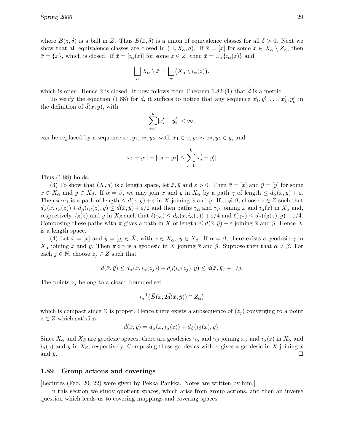where  $B(z, \delta)$  is a ball in Z. Thus  $B(\bar{x}, \delta)$  is a union of equivalence classes for all  $\delta > 0$ . Next we show that all equivalence classes are closed in  $(\sqcup_{\alpha} X_{\alpha}, d)$ . If  $\bar{x} = [x]$  for some  $x \in X_{\alpha} \setminus Z_{\alpha}$ , then  $\bar{x} = \{x\}$ , which is closed. If  $\bar{x} = [i_{\alpha}(z)]$  for some  $z \in Z$ , then  $\bar{x} = \bigcup_{\alpha} \{i_{\alpha}(z)\}\$  and

$$
\bigsqcup_{\alpha} X_{\alpha} \setminus \bar{x} = \bigsqcup_{\alpha} \bigl( X_{\alpha} \setminus i_{\alpha}(z) \bigr),
$$

which is open. Hence  $\bar{x}$  is closed. It now follows from Theorem 1.82 (1) that  $\bar{d}$  is a metric.

To verify the equation (1.88) for  $\bar{d}$ , it suffices to notice that any sequence  $x'_1, y'_1, \ldots, x'_k, y'_k$  in the definition of  $d(\bar{x}, \bar{y})$ , with

$$
\sum_{i=1}^k |x'_i - y'_i| < \infty
$$

can be replaced by a sequence  $x_1, y_1, x_2, y_2$ , with  $x_1 \in \bar{x}, y_1 \sim x_2, y_2 \in \bar{y}$ , and

$$
|x_1 - y_1| + |x_2 - y_2| \le \sum_{i=1}^k |x'_i - y'_i|.
$$

Thus (1.88) holds.

(3) To show that  $(\bar{X}, d)$  is a length space, let  $\bar{x}, \bar{y}$  and  $\varepsilon > 0$ . Then  $\bar{x} = [x]$  and  $\bar{y} = [y]$  for some  $x \in X_\alpha$  and  $y \in X_\beta$ . If  $\alpha = \beta$ , we may join x and y in  $X_\alpha$  by a path  $\gamma$  of length  $\leq d_\alpha(x, y) + \varepsilon$ . Then  $\pi \circ \gamma$  is a path of length  $\leq d(\bar{x}, \bar{y}) + \varepsilon$  in  $\bar{X}$  joining  $\bar{x}$  and  $\bar{y}$ . If  $\alpha \neq \beta$ , choose  $z \in Z$  such that  $d_{\alpha}(x, i_{\alpha}(z)) + d_{\beta}(i_{\beta}(z), y) \leq d(\bar{x}, \bar{y}) + \varepsilon/2$  and then paths  $\gamma_{\alpha}$  and  $\gamma_{\beta}$  joining x and  $i_{\alpha}(z)$  in  $X_{\alpha}$  and, respectively,  $i_\beta(z)$  and y in  $X_\beta$  such that  $\ell(\gamma_\alpha) \leq d_\alpha(x, i_\alpha(z)) + \varepsilon/4$  and  $\ell(\gamma_\beta) \leq d_\beta(i_\beta(z), y) + \varepsilon/4$ . Composing these paths with  $\pi$  gives a path in  $\bar{X}$  of length  $\leq d(\bar{x}, \bar{y}) + \varepsilon$  joining  $\bar{x}$  and  $\bar{y}$ . Hence  $\bar{X}$ is a length space.

(4) Let  $\bar{x} = [x]$  and  $\bar{y} = [y] \in \bar{X}$ , with  $x \in X_\alpha$ ,  $y \in X_\beta$ . If  $\alpha = \beta$ , there exists a geodesic  $\gamma$  in  $X_{\alpha}$  joining x and y. Then  $\pi \circ \gamma$  is a geodesic in X joining  $\bar{x}$  and  $\bar{y}$ . Suppose then that  $\alpha \neq \beta$ . For each  $j \in \mathbb{N}$ , choose  $z_j \in Z$  such that

$$
\bar{d}(\bar{x}, \bar{y}) \leq d_{\alpha}(x, i_{\alpha}(z_j)) + d_{\beta}(i_{\beta}(z_j), y) \leq \bar{d}(\bar{x}, \bar{y}) + 1/j.
$$

The points  $z_i$  belong to a closed bounded set

$$
i_{\alpha}^{-1}(\bar{B}(x, 2\bar{d}(\bar{x}, \bar{y})) \cap Z_{\alpha})
$$

which is compact since Z is proper. Hence there exists a subsequence of  $(z_i)$  converging to a point  $z \in Z$  which satisfies

$$
\bar{d}(\bar{x}, \bar{y}) = d_{\alpha}(x, i_{\alpha}(z)) + d_{\beta}(i_{\beta}(x), y).
$$

Since  $X_\alpha$  and  $X_\beta$  are geodesic spaces, there are geodesics  $\gamma_\alpha$  and  $\gamma_\beta$  joining  $x_\alpha$  and  $i_\alpha(z)$  in  $X_\alpha$  and  $i_{\beta}(z)$  and y in  $X_{\beta}$ , respectively. Composing these geodesics with  $\pi$  gives a geodesic in X joining  $\bar{x}$  $\Box$ and  $\bar{y}$ .

#### 1.89 Group actions and coverings

[Lectures (Feb. 20, 22) were given by Pekka Pankka. Notes are written by him.]

In this section we study quotient spaces, which arise from group actions, and then an inverse question which leads us to covering mappings and covering spaces.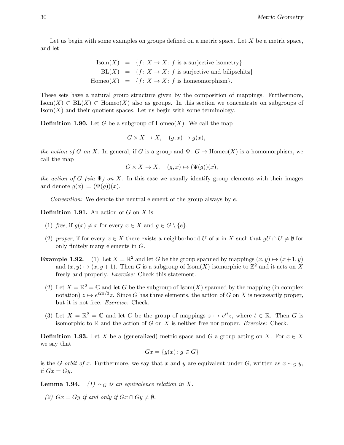Let us begin with some examples on groups defined on a metric space. Let  $X$  be a metric space, and let

$$
Isom(X) = \{f: X \to X : f \text{ is a surjective isometry}\}
$$

$$
BL(X) = \{f: X \to X : f \text{ is surjective and bilipschitz}\}
$$

$$
Homeo(X) = \{f: X \to X : f \text{ is homeomorphism}\}.
$$

These sets have a natural group structure given by the composition of mappings. Furthermore, Isom(X)  $\subset BL(X)$   $\subset$  Homeo(X) also as groups. In this section we concentrate on subgroups of  $\text{Isom}(X)$  and their quotient spaces. Let us begin with some terminology.

**Definition 1.90.** Let G be a subgroup of  $Homeo(X)$ . We call the map

$$
G \times X \to X, \quad (g, x) \mapsto g(x),
$$

the action of G on X. In general, if G is a group and  $\Psi: G \to \text{Homeo}(X)$  is a homomorphism, we call the map

 $G \times X \to X$ ,  $(g, x) \mapsto (\Psi(g))(x)$ ,

the action of G (via  $\Psi$ ) on X. In this case we usually identify group elements with their images and denote  $q(x) := (\Psi(q))(x)$ .

Convention: We denote the neutral element of the group always by  $e$ .

**Definition 1.91.** An action of  $G$  on  $X$  is

- (1) free, if  $g(x) \neq x$  for every  $x \in X$  and  $g \in G \setminus \{e\}.$
- (2) proper, if for every  $x \in X$  there exists a neighborhood U of x in X such that  $gU \cap U \neq \emptyset$  for only finitely many elements in G.
- **Example 1.92.** (1) Let  $X = \mathbb{R}^2$  and let G be the group spanned by mappings  $(x, y) \mapsto (x+1, y)$ and  $(x, y) \mapsto (x, y + 1)$ . Then G is a subgroup of Isom $(X)$  isomorphic to  $\mathbb{Z}^2$  and it acts on X freely and properly. Exercise: Check this statement.
	- (2) Let  $X = \mathbb{R}^2 = \mathbb{C}$  and let G be the subgroup of Isom(X) spanned by the mapping (in complex notation)  $z \mapsto e^{i2\pi/3}z$ . Since G has three elements, the action of G on X is necessarily proper, but it is not free. Exercise: Check.
	- (3) Let  $X = \mathbb{R}^2 = \mathbb{C}$  and let G be the group of mappings  $z \mapsto e^{it}z$ , where  $t \in \mathbb{R}$ . Then G is isomorphic to  $\mathbb R$  and the action of G on X is neither free nor proper. *Exercise:* Check.

**Definition 1.93.** Let X be a (generalized) metric space and G a group acting on X. For  $x \in X$ we say that

$$
Gx = \{g(x) \colon g \in G\}
$$

is the G-orbit of x. Furthermore, we say that x and y are equivalent under G, written as  $x \sim_G y$ , if  $Gx = Gy$ .

**Lemma 1.94.** (1)  $\sim_G$  is an equivalence relation in X.

(2)  $Gx = Gy$  if and only if  $Gx \cap Gy \neq \emptyset$ .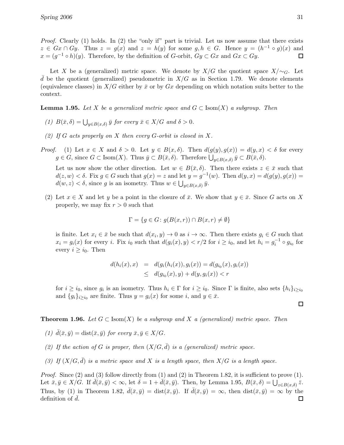Proof. Clearly (1) holds. In (2) the "only if" part is trivial. Let us now assume that there exists  $z \in Gx \cap Gy$ . Thus  $z = g(x)$  and  $z = h(y)$  for some  $g, h \in G$ . Hence  $y = (h^{-1} \circ g)(x)$  and  $x = (g^{-1} \circ h)(y)$ . Therefore, by the definition of G-orbit,  $Gy \subset Gx$  and  $Gx \subset Gy$ .

Let X be a (generalized) metric space. We denote by  $X/G$  the quotient space  $X/\sim_G$ . Let d be the quotient (generalized) pseudometric in  $X/G$  as in Section 1.79. We denote elements (equivalence classes) in  $X/G$  either by  $\bar{x}$  or by  $Gx$  depending on which notation suits better to the context.

**Lemma 1.95.** Let X be a generalized metric space and  $G \subset \text{Isom}(X)$  a subgroup. Then

- (1)  $B(\bar{x}, \delta) = \bigcup_{y \in B(x, \delta)} \bar{y}$  for every  $\bar{x} \in X/G$  and  $\delta > 0$ .
- (2) If G acts properly on X then every G-orbit is closed in X.
- *Proof.* (1) Let  $x \in X$  and  $\delta > 0$ . Let  $y \in B(x, \delta)$ . Then  $d(g(y), g(x)) = d(y, x) < \delta$  for every  $g \in G$ , since  $G \subset \text{Isom}(X)$ . Thus  $\bar{y} \subset B(\bar{x}, \delta)$ . Therefore  $\bigcup_{y \in B(x, \delta)} \bar{y} \subset B(\bar{x}, \delta)$ .

Let us now show the other direction. Let  $w \in B(\bar{x}, \delta)$ . Then there exists  $z \in \bar{x}$  such that  $d(z, w) < \delta$ . Fix  $g \in G$  such that  $g(x) = z$  and let  $y = g^{-1}(w)$ . Then  $d(y, x) = d(g(y), g(x)) =$  $d(w, z) < \delta$ , since g is an isometry. Thus  $w \in \bigcup_{y \in B(x, \delta)} \bar{y}$ .

(2) Let  $x \in X$  and let y be a point in the closure of  $\bar{x}$ . We show that  $y \in \bar{x}$ . Since G acts on X properly, we may fix  $r > 0$  such that

$$
\Gamma = \{ g \in G \colon g(B(x, r)) \cap B(x, r) \neq \emptyset \}
$$

is finite. Let  $x_i \in \bar{x}$  be such that  $d(x_i, y) \to 0$  as  $i \to \infty$ . Then there exists  $g_i \in G$  such that  $x_i = g_i(x)$  for every i. Fix  $i_0$  such that  $d(g_i(x), y) < r/2$  for  $i \ge i_0$ , and let  $h_i = g_i^{-1} \circ g_{i_0}$  for every  $i \geq i_0$ . Then

$$
d(h_i(x), x) = d(g_i(h_i(x)), g_i(x)) = d(g_{i_0}(x), g_i(x))
$$
  
 
$$
\leq d(g_{i_0}(x), y) + d(y, g_i(x)) < r
$$

for  $i \geq i_0$ , since  $g_i$  is an isometry. Thus  $h_i \in \Gamma$  for  $i \geq i_0$ . Since  $\Gamma$  is finite, also sets  $\{h_i\}_{i \geq i_0}$ and  ${g_i}_{i \geq i_0}$  are finite. Thus  $y = g_i(x)$  for some i, and  $y \in \bar{x}$ .

**Theorem 1.96.** Let  $G \subset \text{Isom}(X)$  be a subgroup and X a (generalized) metric space. Then

- (1)  $\bar{d}(\bar{x}, \bar{y}) = \text{dist}(\bar{x}, \bar{y})$  for every  $\bar{x}, \bar{y} \in X/G$ .
- (2) If the action of G is proper, then  $(X/G, \bar{d})$  is a (generalized) metric space.
- (3) If  $(X/G, \overline{d})$  is a metric space and X is a length space, then  $X/G$  is a length space.

*Proof.* Since (2) and (3) follow directly from (1) and (2) in Theorem 1.82, it is sufficient to prove (1). Let  $\bar{x}, \bar{y} \in X/G$ . If  $\bar{d}(\bar{x}, \bar{y}) < \infty$ , let  $\delta = 1 + \bar{d}(\bar{x}, \bar{y})$ . Then, by Lemma 1.95,  $B(\bar{x}, \delta) = \bigcup_{z \in B(x, \delta)} \bar{z}$ . Thus, by (1) in Theorem 1.82,  $\bar{d}(\bar{x}, \bar{y}) = \text{dist}(\bar{x}, \bar{y})$ . If  $\bar{d}(\bar{x}, \bar{y}) = \infty$ , then  $\text{dist}(\bar{x}, \bar{y}) = \infty$  by the definition of  $\bar{d}$ . definition of  $d$ .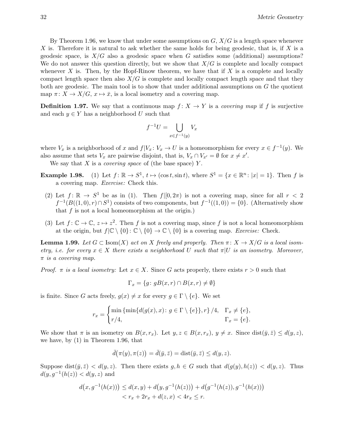By Theorem 1.96, we know that under some assumptions on  $G, X/G$  is a length space whenever X is. Therefore it is natural to ask whether the same holds for being geodesic, that is, if X is a geodesic space, is  $X/G$  also a geodesic space when G satisfies some (additional) assumptions? We do not answer this question directly, but we show that  $X/G$  is complete and locally compact whenever  $X$  is. Then, by the Hopf-Rinow theorem, we have that if  $X$  is a complete and locally compact length space then also  $X/G$  is complete and locally compact length space and that they both are geodesic. The main tool is to show that under additional assumptions on  $G$  the quotient map  $\pi: X \to X/G$ ,  $x \mapsto \bar{x}$ , is a local isometry and a covering map.

**Definition 1.97.** We say that a continuous map  $f: X \to Y$  is a *covering map* if f is surjective and each  $y \in Y$  has a neighborhood U such that

$$
f^{-1}U = \bigcup_{x \in f^{-1}(y)} V_x
$$

where  $V_x$  is a neighborhood of x and  $f|V_x: V_x \to U$  is a homeomorphism for every  $x \in f^{-1}(y)$ . We also assume that sets  $V_x$  are pairwise disjoint, that is,  $V_x \cap V_{x'} = \emptyset$  for  $x \neq x'$ .

We say that  $X$  is a *covering space* of (the base space)  $Y$ .

- **Example 1.98.** (1) Let  $f: \mathbb{R} \to S^1$ ,  $t \mapsto (\cos t, \sin t)$ , where  $S^1 = \{x \in \mathbb{R}^n : |x| = 1\}$ . Then f is a covering map. Exercise: Check this.
	- (2) Let  $f: \mathbb{R} \to S^1$  be as in (1). Then  $f|[0, 2\pi)$  is not a covering map, since for all  $r < 2$  $f^{-1}(B((1,0),r) \cap S^1)$  consists of two components, but  $f^{-1}((1,0)) = \{0\}$ . (Alternatively show that  $f$  is not a local homeomorphism at the origin.)
	- (3) Let  $f: \mathbb{C} \to \mathbb{C}$ ,  $z \mapsto z^2$ . Then f is not a covering map, since f is not a local homeomorphism at the origin, but  $f(\mathbb{C} \setminus \{0\} : \mathbb{C} \setminus \{0\} \to \mathbb{C} \setminus \{0\}$  is a covering map. Exercise: Check.

**Lemma 1.99.** Let  $G \subset \text{Isom}(X)$  act on X freely and properly. Then  $\pi \colon X \to X/G$  is a local isometry, i.e. for every  $x \in X$  there exists a neighborhood U such that  $\pi|U$  is an isometry. Moreover,  $\pi$  is a covering map.

Proof.  $\pi$  is a local isometry: Let  $x \in X$ . Since G acts properly, there exists  $r > 0$  such that

$$
\Gamma_x = \{ g \colon gB(x, r) \cap B(x, r) \neq \emptyset \}
$$

is finite. Since G acts freely,  $g(x) \neq x$  for every  $g \in \Gamma \setminus \{e\}$ . We set

$$
r_x = \begin{cases} \min \{ \min \{ d(g(x), x) \colon g \in \Gamma \setminus \{e\} \}, r \} / 4, & \Gamma_x \neq \{e\}, \\ r / 4, & \Gamma_x = \{e\}. \end{cases}
$$

We show that  $\pi$  is an isometry on  $B(x, r_x)$ . Let  $y, z \in B(x, r_x)$ ,  $y \neq x$ . Since  $dist(\bar{y}, \bar{z}) \leq d(y, z)$ , we have, by (1) in Theorem 1.96, that

$$
\bar{d}(\pi(y), \pi(z)) = \bar{d}(\bar{y}, \bar{z}) = \text{dist}(\bar{y}, \bar{z}) \le d(y, z).
$$

Suppose dist $(\bar{y}, \bar{z}) < d(y, z)$ . Then there exists  $g, h \in G$  such that  $d(g(y), h(z)) < d(y, z)$ . Thus  $d(y, g^{-1}(h(z)) < d(y, z)$  and

$$
d(x, g^{-1}(h(x))) \le d(x, y) + d(y, g^{-1}(h(z))) + d(g^{-1}(h(z)), g^{-1}(h(x)))
$$
  

$$
< r_x + 2r_x + d(z, x) < 4r_x \le r.
$$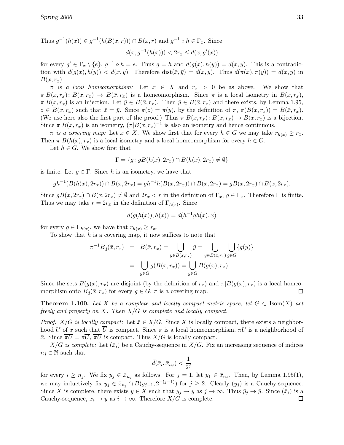Thus  $g^{-1}(h(x)) \in g^{-1}(h(B(x,r))) \cap B(x,r)$  and  $g^{-1} \circ h \in \Gamma_x$ . Since

$$
d(x, g^{-1}(h(x))) < 2r_x \le d(x, g'(x))
$$

for every  $g' \in \Gamma_x \setminus \{e\}$ ,  $g^{-1} \circ h = e$ . Thus  $g = h$  and  $d(g(x), h(y)) = d(x, y)$ . This is a contradiction with  $d(g(x), h(y)) < d(x, y)$ . Therefore  $dist(\bar{x}, \bar{y}) = d(x, y)$ . Thus  $d(\pi(x), \pi(y)) = d(x, y)$  in  $B(x, r_x)$ .

 $\pi$  is a local homeomorphism: Let  $x \in X$  and  $r_x > 0$  be as above. We show that  $\pi|B(x,r_x): B(x,r_x) \to B(\bar{x},r_x)$  is a homeomorphism. Since  $\pi$  is a local isometry in  $B(x,r_x)$ ,  $\pi|B(x, r_x)|$  is an injection. Let  $\bar{y} \in B(\bar{x}, r_x)$ . Then  $\bar{y} \in B(\bar{x}, r_x)$  and there exists, by Lemma 1.95,  $z \in B(x, r_x)$  such that  $\bar{z} = \bar{y}$ . Since  $\pi(z) = \pi(y)$ , by the definition of  $\pi$ ,  $\pi(B(x, r_x)) = B(\bar{x}, r_x)$ . (We use here also the first part of the proof.) Thus  $\pi | B(x, r_x): B(x, r_x) \to B(\bar{x}, r_x)$  is a bijection. Since  $\pi | B(x, r_x)$  is an isometry,  $(\pi | B(x, r_x)^{-1})$  is also an isometry and hence continuous.

 $\pi$  is a covering map: Let  $x \in X$ . We show first that for every  $h \in G$  we may take  $r_{h(x)} \geq r_x$ . Then  $\pi|B(h(x), r_x)$  is a local isometry and a local homeomorphism for every  $h \in G$ .

Let  $h \in G$ . We show first that

$$
\Gamma = \{ g \colon gB(h(x), 2r_x) \cap B(h(x), 2r_x) \neq \emptyset \}
$$

is finite. Let  $g \in \Gamma$ . Since h is an isometry, we have that

$$
gh^{-1}(B(h(x), 2r_x)) \cap B(x, 2r_x) = gh^{-1}h(B(x, 2r_x)) \cap B(x, 2r_x) = gB(x, 2r_x) \cap B(x, 2r_x).
$$

Since  $gB(x, 2r_x) \cap B(x, 2r_x) \neq \emptyset$  and  $2r_x < r$  in the definition of  $\Gamma_x$ ,  $g \in \Gamma_x$ . Therefore  $\Gamma$  is finite. Thus we may take  $r = 2r_x$  in the definition of  $\Gamma_{h(x)}$ . Since

$$
d(g(h(x)), h(x)) = d(h^{-1}gh(x), x)
$$

for every  $g \in \Gamma_{h(x)}$ , we have that  $r_{h(x)} \geq r_x$ .

To show that  $h$  is a covering map, it now suffices to note that

$$
\pi^{-1}B_{\bar{d}}(\bar{x},r_x) = B(\bar{x},r_x) = \bigcup_{y \in B(x,r_x)} \bar{y} = \bigcup_{y \in B(x,r_x)} \bigcup_{g \in G} \{g(y)\}
$$

$$
= \bigcup_{g \in G} g(B(x,r_x)) = \bigcup_{g \in G} B(g(x),r_x).
$$

Since the sets  $B(g(x), r_x)$  are disjoint (by the definition of  $r_x$ ) and  $\pi |B(g(x), r_x)$  is a local homeo-<br>morphism onto  $B_{\bar{J}}(\bar{x}, r_x)$  for every  $a \in G$ ,  $\pi$  is a covering map. morphism onto  $B_{\bar{d}}(\bar{x}, r_x)$  for every  $g \in G$ ,  $\pi$  is a covering map.

**Theorem 1.100.** Let X be a complete and locally compact metric space, let  $G \subset \text{Isom}(X)$  act freely and properly on X. Then  $X/G$  is complete and locally compact.

*Proof.* X/G is locally compact: Let  $\bar{x} \in X/G$ . Since X is locally compact, there exists a neighborhood U of x such that  $\overline{U}$  is compact. Since  $\pi$  is a local homeomorphism,  $\pi U$  is a neighborhood of  $\bar{x}$ . Since  $\overline{\pi U} = \pi \overline{U}$ ,  $\overline{\pi U}$  is compact. Thus  $X/G$  is locally compact.

 $X/G$  is complete: Let  $(\bar{x}_i)$  be a Cauchy-sequence in  $X/G$ . Fix an increasing sequence of indices  $n_i \in \mathbb{N}$  such that

$$
\bar{d}(\bar{x}_i, \bar{x}_{n_j}) < \frac{1}{2^j}
$$

for every  $i \geq n_j$ . We fix  $y_j \in \bar{x}_{n_j}$  as follows. For  $j = 1$ , let  $y_1 \in \bar{x}_{n_j}$ . Then, by Lemma 1.95(1), we may inductively fix  $y_j \in \bar{x}_{n_j} \cap B(y_{j-1}, 2^{-(j-1)})$  for  $j \geq 2$ . Clearly  $(y_j)$  is a Cauchy-sequence. Since X is complete, there exists  $y \in X$  such that  $y_j \to y$  as  $j \to \infty$ . Thus  $\bar{y}_j \to \bar{y}$ . Since  $(\bar{x}_i)$  is a Cauchy-sequence,  $\bar{x}_i \to \bar{y}$  as  $i \to \infty$ . Therefore  $X/G$  is complete. Cauchy-sequence,  $\bar{x}_i \to \bar{y}$  as  $i \to \infty$ . Therefore  $X/G$  is complete.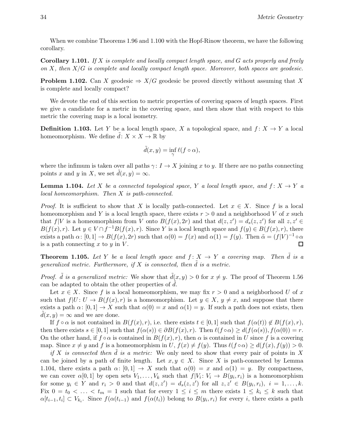When we combine Theorems 1.96 and 1.100 with the Hopf-Rinow theorem, we have the following corollary.

**Corollary 1.101.** If X is complete and locally compact length space, and G acts properly and freely on  $X$ , then  $X/G$  is complete and locally compact length space. Moreover, both spaces are geodesic.

**Problem 1.102.** Can X geodesic  $\Rightarrow X/G$  geodesic be proved directly without assuming that X is complete and locally compact?

We devote the end of this section to metric properties of covering spaces of length spaces. First we give a candidate for a metric in the covering space, and then show that with respect to this metric the covering map is a local isometry.

**Definition 1.103.** Let Y be a local length space, X a topological space, and  $f: X \to Y$  a local homeomorphism. We define  $\tilde{d}: X \times X \to \mathbb{R}$  by

$$
\tilde{d}(x,y) = \inf_{\gamma} \ell(f \circ \alpha),
$$

where the infimum is taken over all paths  $\gamma: I \to X$  joining x to y. If there are no paths connecting points x and y in X, we set  $d(x, y) = \infty$ .

**Lemma 1.104.** Let X be a connected topological space, Y a local length space, and  $f: X \rightarrow Y$  a local homeomorphism. Then X is path-connected.

*Proof.* It is sufficient to show that X is locally path-connected. Let  $x \in X$ . Since f is a local homeomorphism and Y is a local length space, there exists  $r > 0$  and a neighborhood V of x such that  $f|V$  is a homeomorphism from V onto  $B(f(x), 2r)$  and that  $d(z, z') = d_s(z, z')$  for all  $z, z' \in$  $B(f(x), r)$ . Let  $y \in V \cap f^{-1}B(f(x), r)$ . Since Y is a local length space and  $f(y) \in B(f(x), r)$ , there exists a path  $\alpha$ :  $[0,1] \to B(f(x), 2r)$  such that  $\alpha(0) = f(x)$  and  $\alpha(1) = f(y)$ . Then  $\tilde{\alpha} = (f|V)^{-1} \circ \alpha$ is a path connecting  $x$  to  $y$  in  $V$ .

**Theorem 1.105.** Let Y be a local length space and  $f: X \to Y$  a covering map. Then  $\tilde{d}$  is a generalized metric. Furthermore, if  $X$  is connected, then  $\tilde{d}$  is a metric.

*Proof.*  $\tilde{d}$  is a generalized metric: We show that  $\tilde{d}(x, y) > 0$  for  $x \neq y$ . The proof of Theorem 1.56 can be adapted to obtain the other properties of  $d$ .

Let  $x \in X$ . Since f is a local homeomorphism, we may fix  $r > 0$  and a neighborhood U of x such that  $f|U: U \to B(f(x), r)$  is a homeomorphism. Let  $y \in X, y \neq x$ , and suppose that there exists a path  $\alpha: [0,1] \to X$  such that  $\alpha(0) = x$  and  $\alpha(1) = y$ . If such a path does not exists, then  $d(x, y) = \infty$  and we are done.

If  $f \circ \alpha$  is not contained in  $B(f(x), r)$ , i.e. there exists  $t \in [0, 1]$  such that  $f(\alpha(t)) \notin B(f(x), r)$ , then there exists  $s \in [0,1]$  such that  $f(\alpha(s)) \in \partial B(f(x),r)$ . Then  $\ell(f \circ \alpha) \geq d(f(\alpha(s)), f(\alpha(0)) = r$ . On the other hand, if  $f \circ \alpha$  is contained in  $B(f(x), r)$ , then  $\alpha$  is contained in U since f is a covering map. Since  $x \neq y$  and f is a homeomorphism in  $U, f(x) \neq f(y)$ . Thus  $\ell(f \circ \alpha) \geq d(f(x), f(y)) > 0$ .

if X is connected then d is a metric: We only need to show that every pair of points in X can be joined by a path of finite length. Let  $x, y \in X$ . Since X is path-connected by Lemma 1.104, there exists a path  $\alpha: [0, 1] \to X$  such that  $\alpha(0) = x$  and  $\alpha(1) = y$ . By compactness, we can cover  $\alpha[0,1]$  by open sets  $V_1,\ldots,V_k$  such that  $f|V_i: V_i \to B(y_i,r_i)$  is a homeomorphism for some  $y_i \in Y$  and  $r_i > 0$  and that  $d(z, z') = d_s(z, z')$  for all  $z, z' \in B(y_i, r_i), i = 1, ..., k$ . Fix  $0 = t_0 < \ldots < t_m = 1$  such that for every  $1 \leq i \leq m$  there exists  $1 \leq k_i \leq k$  such that  $\alpha[t_{i-1}, t_i] \subset V_{k_i}$ . Since  $f(\alpha(t_{i-1})$  and  $f(\alpha(t_i))$  belong to  $B(y_i, r_i)$  for every i, there exists a path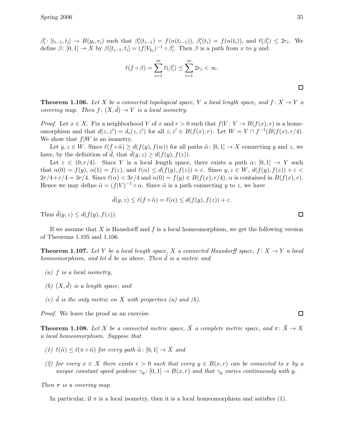$\beta_i': [t_{t-1}, t_i] \to B(y_i, r_i)$  such that  $\beta_i'(t_{i-1}) = f(\alpha(t_{i-1})), \beta_i'(t_i) = f(\alpha(t_i)),$  and  $\ell(\beta_i') \leq 2r_i$ . We define  $\beta \colon [0,1] \to X$  by  $\beta[[t_{i-1}, t_i] = (f|V_{k_i})^{-1} \circ \beta'_i$ . Then  $\beta$  is a path from x to y and

$$
\ell(f \circ \beta) = \sum_{i=1}^{m} \ell(\beta'_i) \le \sum_{i=1}^{m} 2r_i < \infty.
$$

**Theorem 1.106.** Let X be a connected topological space, Y a local length space, and  $f: X \rightarrow Y$  a covering map. Then  $f : (X, d) \to Y$  is a local isometry.

*Proof.* Let  $x \in X$ . Fix a neighborhood V of x and  $r > 0$  such that  $f|V: V \to B(f(x), r)$  is a homeomorphism and that  $d(z, z') = d_s(z, z')$  for all  $z, z' \in B(f(x), r)$ . Let  $W = V \cap f^{-1}(B(f(x), r/4)$ . We show that  $f|W$  is an isometry.

Let  $y, z \in W$ . Since  $\ell(f \circ \tilde{\alpha}) \geq d(f(y), f(w))$  for all paths  $\tilde{\alpha} : [0, 1] \to X$  connecting y and z, we have, by the definition of d, that  $d(y, z) \geq d(f(y), f(z)).$ 

Let  $\varepsilon \in (0, r/4)$ . Since Y is a local length space, there exists a path  $\alpha: [0, 1] \to Y$  such that  $\alpha(0) = f(y)$ ,  $\alpha(1) = f(z)$ , and  $\ell(\alpha) \leq d(f(y), f(z)) + \varepsilon$ . Since  $y, z \in W$ ,  $d(f(y), f(z)) + \varepsilon$  $2r/4+r/4 = 3r/4$ . Since  $\ell(\alpha) < 3r/4$  and  $\alpha(0) = f(y) \in B(f(x), r/4)$ ,  $\alpha$  is contained in  $B(f(x), r)$ . Hence we may define  $\tilde{\alpha} = (f|V)^{-1} \circ \alpha$ . Since  $\tilde{\alpha}$  is a path connecting y to z, we have

$$
\tilde{d}(y, z) \le \ell(f \circ \tilde{\alpha}) = \ell(\alpha) \le d(f(y), f(z)) + \varepsilon.
$$

Thus  $\tilde{d}(y, z) \leq d(f(y), f(z)).$ 

If we assume that X is Hausdorff and  $f$  is a local homeomorphism, we get the following version of Theorems 1.105 and 1.106.

**Theorem 1.107.** Let Y be a local length space, X a connected Hausdorff space,  $f: X \to Y$  a local homeomorphism, and let  $\tilde{d}$  be as above. Then  $\tilde{d}$  is a metric and

- $(a)$  f is a local isometry,
- (b)  $(X, \tilde{d})$  is a length space, and
- (c)  $\tilde{d}$  is the only metric on X with properties (a) and (b).

Proof. We leave the proof as an exercise.

**Theorem 1.108.** Let X be a connected metric space,  $\tilde{X}$  a complete metric space, and  $\pi: \tilde{X} \to X$ a local homeomorphism. Suppose that

- (1)  $\ell(\tilde{\alpha}) \leq \ell(\pi \circ \tilde{\alpha})$  for every path  $\tilde{\alpha} : [0, 1] \rightarrow \tilde{X}$  and
- (2) for every  $x \in X$  there exists  $r > 0$  such that every  $y \in B(x,r)$  can be connected to x by a unique constant speed geodesic  $\gamma_y: [0, 1] \to B(x, r)$  and that  $\gamma_y$  varies continuously with y.

Then  $\pi$  is a covering map.

In particular, if  $\pi$  is a local isometry, then it is a local homeomorphism and satisfies (1).

 $\Box$ 

 $\Box$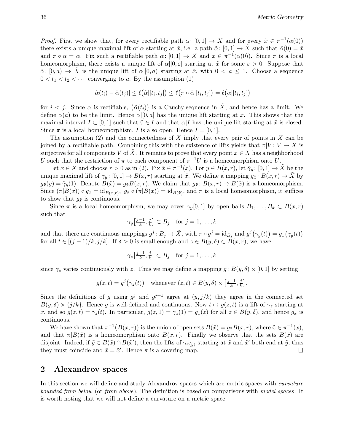*Proof.* First we show that, for every rectifiable path  $\alpha: [0,1] \to X$  and for every  $\tilde{x} \in \pi^{-1}(\alpha(0))$ there exists a unique maximal lift of  $\alpha$  starting at  $\tilde{x}$ , i.e. a path  $\tilde{\alpha}$ :  $[0,1] \rightarrow \tilde{X}$  such that  $\tilde{\alpha}(0) = \tilde{x}$ and  $\pi \circ \tilde{\alpha} = \alpha$ . Fix such a rectifiable path  $\alpha \colon [0,1] \to X$  and  $\tilde{x} \in \pi^{-1}(\alpha(0))$ . Since  $\pi$  is a local homeomorphism, there exists a unique lift of  $\alpha|[0,\varepsilon]$  starting at  $\tilde{x}$  for some  $\varepsilon > 0$ . Suppose that  $\tilde{\alpha}: [0, a) \to X$  is the unique lift of  $\alpha | [0, a)$  starting at  $\tilde{x}$ , with  $0 < a \leq 1$ . Choose a sequence  $0 < t_1 < t_2 < \cdots$  converging to a. By the assumption (1)

$$
|\tilde{\alpha}(t_i) - \tilde{\alpha}(t_j)| \leq \ell(\tilde{\alpha}[[t_i, t_j]) \leq \ell(\pi \circ \tilde{\alpha}[[t_i, t_j]) = \ell(\alpha[[t_i, t_j])
$$

for  $i < j$ . Since  $\alpha$  is rectifiable,  $(\tilde{\alpha}(t_i))$  is a Cauchy-sequence in  $\tilde{X}$ , and hence has a limit. We define  $\tilde{\alpha}(a)$  to be the limit. Hence  $\alpha|[0, a]$  has the unique lift starting at  $\tilde{x}$ . This shows that the maximal interval  $I \subset [0,1]$  such that  $0 \in I$  and that  $\alpha | I$  has the unique lift starting at  $\tilde{x}$  is closed. Since  $\pi$  is a local homeomorphism, I is also open. Hence  $I = [0, 1]$ .

The assumption  $(2)$  and the connectedness of X imply that every pair of points in X can be joined by a rectifiable path. Combining this with the existence of lifts yields that  $\pi|V: V \to X$  is surjective for all components V of X. It remains to prove that every point  $x \in X$  has a neighborhood U such that the restriction of  $\pi$  to each component of  $\pi^{-1}U$  is a homeomorphism onto U.

Let  $x \in X$  and choose  $r > 0$  as in (2). Fix  $\tilde{x} \in \pi^{-1}(x)$ . For  $y \in B(x, r)$ , let  $\tilde{\gamma}_y : [0, 1] \to \tilde{X}$  be the unique maximal lift of  $\gamma_y: [0, 1] \to B(x, r)$  starting at  $\tilde{x}$ . We define a mapping  $g_{\tilde{x}}: B(x, r) \to \tilde{X}$  by  $g_{\tilde{x}}(y) = \tilde{\gamma}_y(1)$ . Denote  $B(\tilde{x}) = g_{\tilde{x}}B(x,r)$ . We claim that  $g_{\tilde{x}}: B(x,r) \to B(\tilde{x})$  is a homeomorphism. Since  $(\pi|B(\tilde{x})) \circ g_{\tilde{x}} = id_{B(x,r)}, g_{\tilde{x}} \circ (\pi|B(\tilde{x})) = id_{B(\tilde{x})},$  and  $\pi$  is a local homeomorphism, it suffices to show that  $g_{\tilde{x}}$  is continuous.

Since  $\pi$  is a local homeomorphism, we may cover  $\gamma_y[0,1]$  by open balls  $B_1,\ldots,B_k \subset B(x,r)$ such that

$$
\gamma_y\big[\tfrac{j-1}{k},\tfrac{j}{k}\big] \subset B_j \quad \text{for } j = 1,\ldots,k
$$

and that there are continuous mappings  $g^j: B_j \to \tilde{X}$ , with  $\pi \circ g^j = \mathrm{id}_{B_j}$  and  $g^j(\gamma_y(t)) = g_{\tilde{x}}(\gamma_y(t))$ for all  $t \in [(j-1)/k, j/k]$ . If  $\delta > 0$  is small enough and  $z \in B(y, \delta) \subset B(x, r)$ , we have

$$
\gamma_z\big[\tfrac{j-1}{k},\tfrac{j}{k}\big] \subset B_j \quad \text{for } j = 1,\ldots,k
$$

since  $\gamma_z$  varies continuously with z. Thus we may define a mapping  $g : B(y, \delta) \times [0, 1]$  by setting

$$
g(z,t) = g^{j}(\gamma_{z}(t))
$$
 whenever  $(z,t) \in B(y,\delta) \times \left[\frac{j-1}{k}, \frac{j}{k}\right]$ .

Since the definitions of g using  $g^j$  and  $g^{j+1}$  agree at  $(y, j/k)$  they agree in the connected set  $B(y,\delta) \times \{j/k\}$ . Hence g is well-defined and continuous. Now  $t \mapsto g(z,t)$  is a lift of  $\gamma_z$  starting at  $\tilde{x}$ , and so  $g(z, t) = \tilde{g}_z(t)$ . In particular,  $g(z, 1) = \tilde{g}_z(1) = g_{\tilde{x}}(z)$  for all  $z \in B(y, \delta)$ , and hence  $g_{\tilde{x}}$  is continuous.

We have shown that  $\pi^{-1}(B(x,r))$  is the union of open sets  $B(\tilde{x}) = g_{\tilde{x}}B(x,r)$ , where  $\tilde{x} \in \pi^{-1}(x)$ , and that  $\pi|B(\tilde{x})|$  is a homeomorphism onto  $B(x, r)$ . Finally we observe that the sets  $B(\tilde{x})$  are disjoint. Indeed, if  $\tilde{y} \in B(\tilde{x}) \cap B(\tilde{x}')$ , then the lifts of  $\gamma_{\pi(\tilde{y})}$  starting at  $\tilde{x}$  and  $\tilde{x}'$  both end at  $\tilde{y}$ , thus they must coincide and  $\tilde{x} = \tilde{x}'$ . Hence  $\pi$  is a covering map.  $\Box$ 

### 2 Alexandrov spaces

In this section we will define and study Alexandrov spaces which are metric spaces with *curvature* bounded from below (or from above). The definition is based on comparisons with model spaces. It is worth noting that we will not define a curvature on a metric space.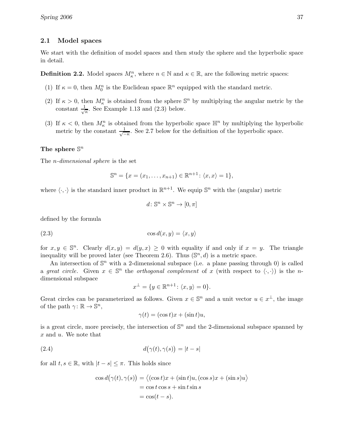### 2.1 Model spaces

We start with the definition of model spaces and then study the sphere and the hyperbolic space in detail.

**Definition 2.2.** Model spaces  $M_{\kappa}^n$ , where  $n \in \mathbb{N}$  and  $\kappa \in \mathbb{R}$ , are the following metric spaces:

- (1) If  $\kappa = 0$ , then  $M_0^n$  is the Euclidean space  $\mathbb{R}^n$  equipped with the standard metric.
- (2) If  $\kappa > 0$ , then  $M_{\kappa}^{n}$  is obtained from the sphere  $\mathbb{S}^{n}$  by multiplying the angular metric by the constant  $\frac{1}{\sqrt{2}}$  $\frac{1}{\kappa}$ . See Example 1.13 and (2.3) below.
- (3) If  $\kappa < 0$ , then  $M_{\kappa}^{n}$  is obtained from the hyperbolic space  $\mathbb{H}^{n}$  by multiplying the hyperbolic metric by the constant  $\frac{1}{\sqrt{2}}$  $\frac{1}{-k}$ . See 2.7 below for the definition of the hyperbolic space.

# The sphere  $\mathbb{S}^n$

The n-dimensional sphere is the set

$$
\mathbb{S}^n = \{x = (x_1, \dots, x_{n+1}) \in \mathbb{R}^{n+1} : \langle x, x \rangle = 1\},\
$$

where  $\langle \cdot, \cdot \rangle$  is the standard inner product in  $\mathbb{R}^{n+1}$ . We equip  $\mathbb{S}^n$  with the (angular) metric

$$
d\colon\mathbb{S}^n\times\mathbb{S}^n\to[0,\pi]
$$

defined by the formula

(2.3) 
$$
\cos d(x, y) = \langle x, y \rangle
$$

for  $x, y \in \mathbb{S}^n$ . Clearly  $d(x, y) = d(y, x) \ge 0$  with equality if and only if  $x = y$ . The triangle inequality will be proved later (see Theorem 2.6). Thus  $(\mathbb{S}^n, d)$  is a metric space.

An intersection of  $\mathbb{S}^n$  with a 2-dimensional subspace (i.e. a plane passing through 0) is called a great circle. Given  $x \in \mathbb{S}^n$  the orthogonal complement of x (with respect to  $\langle \cdot, \cdot \rangle$ ) is the ndimensional subspace

$$
x^{\perp} = \{ y \in \mathbb{R}^{n+1} \colon \langle x, y \rangle = 0 \}.
$$

Great circles can be parameterized as follows. Given  $x \in \mathbb{S}^n$  and a unit vector  $u \in x^{\perp}$ , the image of the path  $\gamma \colon \mathbb{R} \to \mathbb{S}^n$ ,

$$
\gamma(t) = (\cos t)x + (\sin t)u,
$$

is a great circle, more precisely, the intersection of  $\mathbb{S}^n$  and the 2-dimensional subspace spanned by x and u. We note that

(2.4) 
$$
d(\gamma(t), \gamma(s)) = |t - s|
$$

for all  $t, s \in \mathbb{R}$ , with  $|t - s| \leq \pi$ . This holds since

$$
\cos d(\gamma(t), \gamma(s)) = \langle (\cos t)x + (\sin t)u, (\cos s)x + (\sin s)u \rangle
$$
  
= cos t cos s + sin t sin s  
= cos(t - s).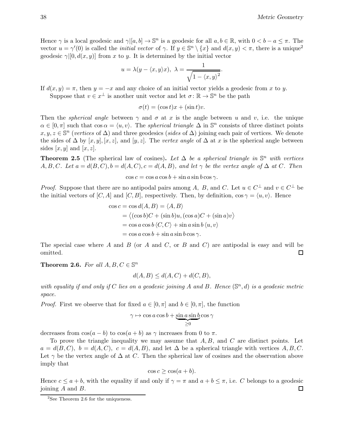Hence  $\gamma$  is a local geodesic and  $\gamma|[a, b] \to \mathbb{S}^n$  is a geodesic for all  $a, b \in \mathbb{R}$ , with  $0 < b - a \leq \pi$ . The vector  $u = \gamma'(0)$  is called the *initial vector* of  $\gamma$ . If  $y \in \mathbb{S}^n \setminus \{x\}$  and  $d(x, y) < \pi$ , there is a unique<sup>2</sup> geodesic  $\gamma$ [0,  $d(x, y)$ ] from x to y. It is determined by the initial vector

$$
u = \lambda(y - \langle x, y \rangle x), \ \lambda = \frac{1}{\sqrt{1 - \langle x, y \rangle^2}}.
$$

If  $d(x, y) = \pi$ , then  $y = -x$  and any choice of an initial vector yields a geodesic from x to y.

Suppose that  $v \in x^{\perp}$  is another unit vector and let  $\sigma \colon \mathbb{R} \to \mathbb{S}^n$  be the path

 $\sigma(t) = (\cos t)x + (\sin t)v.$ 

Then the *spherical angle* between  $\gamma$  and  $\sigma$  at x is the angle between u and v, i.e. the unique  $\alpha \in [0, \pi]$  such that  $\cos \alpha = \langle u, v \rangle$ . The spherical triangle  $\Delta$  in  $\mathbb{S}^n$  consists of three distinct points  $x, y, z \in \mathbb{S}^n$  (vertices of  $\Delta$ ) and three geodesics (sides of  $\Delta$ ) joining each pair of vertices. We denote the sides of  $\Delta$  by [x, y], [x, z], and [y, z]. The vertex angle of  $\Delta$  at x is the spherical angle between sides  $[x, y]$  and  $[x, z]$ .

**Theorem 2.5** (The spherical law of cosines). Let  $\Delta$  be a spherical triangle in  $\mathbb{S}^n$  with vertices A, B, C. Let  $a = d(B, C), b = d(A, C), c = d(A, B),$  and let  $\gamma$  be the vertex angle of  $\Delta$  at C. Then

 $\cos c = \cos a \cos b + \sin a \sin b \cos \gamma$ .

*Proof.* Suppose that there are no antipodal pairs among A, B, and C. Let  $u \in C^{\perp}$  and  $v \in C^{\perp}$  be the initial vectors of [C, A] and [C, B], respectively. Then, by definition,  $\cos \gamma = \langle u, v \rangle$ . Hence

$$
\cos c = \cos d(A, B) = \langle A, B \rangle
$$
  
=  $\langle (\cos b)C + (\sin b)u, (\cos a)C + (\sin a)v \rangle$   
=  $\cos a \cos b \langle C, C \rangle + \sin a \sin b \langle u, v \rangle$   
=  $\cos a \cos b + \sin a \sin b \cos \gamma$ .

The special case where A and B (or A and C, or B and C) are antipodal is easy and will be omitted.  $\Box$ 

**Theorem 2.6.** For all  $A, B, C \in \mathbb{S}^n$ 

$$
d(A, B) \le d(A, C) + d(C, B),
$$

with equality if and only if C lies on a geodesic joining A and B. Hence  $(\mathbb{S}^n,d)$  is a geodesic metric space.

*Proof.* First we observe that for fixed  $a \in [0, \pi]$  and  $b \in [0, \pi]$ , the function

$$
\gamma \mapsto \cos a \cos b + \underbrace{\sin a \sin b}_{\geq 0} \cos \gamma
$$

decreases from  $\cos(a-b)$  to  $\cos(a+b)$  as  $\gamma$  increases from 0 to  $\pi$ .

To prove the triangle inequality we may assume that  $A, B$ , and  $C$  are distinct points. Let  $a = d(B, C), b = d(A, C), c = d(A, B)$ , and let  $\Delta$  be a spherical triangle with vertices A, B, C. Let  $\gamma$  be the vertex angle of  $\Delta$  at C. Then the spherical law of cosines and the observation above imply that

$$
\cos c \geq \cos(a+b).
$$

Hence  $c \le a + b$ , with the equality if and only if  $\gamma = \pi$  and  $a + b \le \pi$ , i.e. C belongs to a geodesic ioning A and B. joining  $A$  and  $B$ .

 $2$ See Theorem 2.6 for the uniqueness.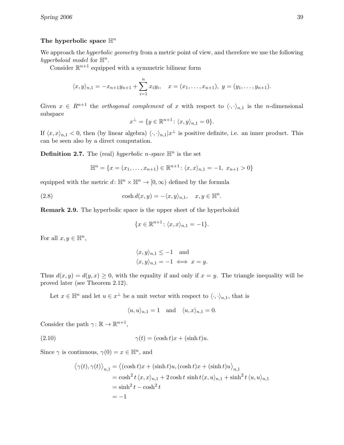## The hyperbolic space  $\mathbb{H}^n$

We approach the *hyperbolic geometry* from a metric point of view, and therefore we use the following hyperboloid model for  $\mathbb{H}^n$ .

Consider  $\mathbb{R}^{n+1}$  equipped with a symmetric bilinear form

$$
\langle x, y \rangle_{n,1} = -x_{n+1}y_{n+1} + \sum_{i=1}^{n} x_i y_i, \quad x = (x_1, \dots, x_{n+1}), \ y = (y_1, \dots, y_{n+1}).
$$

Given  $x \in R^{n+1}$  the *orthogonal complement* of x with respect to  $\langle \cdot, \cdot \rangle_{n,1}$  is the n-dimensional subspace

$$
x^{\perp} = \{ y \in \mathbb{R}^{n+1} \colon \langle x, y \rangle_{n,1} = 0 \}.
$$

If  $\langle x, x \rangle_{n,1} < 0$ , then (by linear algebra)  $\langle \cdot, \cdot \rangle_{n,1}|x^{\perp}$  is positive definite, i.e. an inner product. This can be seen also by a direct computation.

**Definition 2.7.** The (real) hyperbolic n-space  $\mathbb{H}^n$  is the set

$$
\mathbb{H}^{n} = \{x = (x_1, \ldots, x_{n+1}) \in \mathbb{R}^{n+1} : \langle x, x \rangle_{n,1} = -1, \ x_{n+1} > 0\}
$$

equipped with the metric  $d: \mathbb{H}^n \times \mathbb{H}^n \to [0, \infty)$  defined by the formula

(2.8) 
$$
\cosh d(x, y) = -\langle x, y \rangle_{n,1}, \quad x, y \in \mathbb{H}^n.
$$

Remark 2.9. The hyperbolic space is the upper sheet of the hyperboloid

$$
\{x \in \mathbb{R}^{n+1} \colon \langle x, x \rangle_{n,1} = -1\}.
$$

For all  $x, y \in \mathbb{H}^n$ ,

$$
\langle x, y \rangle_{n,1} \le -1
$$
 and  
 $\langle x, y \rangle_{n,1} = -1 \iff x = y.$ 

Thus  $d(x, y) = d(y, x) \ge 0$ , with the equality if and only if  $x = y$ . The triangle inequality will be proved later (see Theorem 2.12).

Let  $x \in \mathbb{H}^n$  and let  $u \in x^{\perp}$  be a unit vector with respect to  $\langle \cdot, \cdot \rangle_{n,1}$ , that is

$$
\langle u, u \rangle_{n,1} = 1 \quad \text{and} \quad \langle u, x \rangle_{n,1} = 0.
$$

Consider the path  $\gamma \colon \mathbb{R} \to \mathbb{R}^{n+1}$ ,

(2.10) 
$$
\gamma(t) = (\cosh t)x + (\sinh t)u.
$$

Since  $\gamma$  is continuous,  $\gamma(0) = x \in \mathbb{H}^n$ , and

$$
\langle \gamma(t), \gamma(t) \rangle_{n,1} = \langle (\cosh t)x + (\sinh t)u, (\cosh t)x + (\sinh t)u \rangle_{n,1}
$$
  
=  $\cosh^2 t \langle x, x \rangle_{n,1} + 2 \cosh t \sinh t \langle x, u \rangle_{n,1} + \sinh^2 t \langle u, u \rangle_{n,1}$   
=  $\sinh^2 t - \cosh^2 t$   
= -1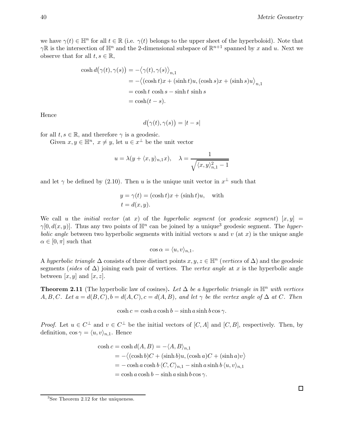we have  $\gamma(t) \in \mathbb{H}^n$  for all  $t \in \mathbb{R}$  (i.e.  $\gamma(t)$  belongs to the upper sheet of the hyperboloid). Note that  $\gamma \mathbb{R}$  is the intersection of  $\mathbb{H}^n$  and the 2-dimensional subspace of  $\mathbb{R}^{n+1}$  spanned by x and u. Next we observe that for all  $t, s \in \mathbb{R}$ ,

$$
\cosh d(\gamma(t), \gamma(s)) = -\langle \gamma(t), \gamma(s) \rangle_{n,1}
$$
  
= -\langle (\cosh t)x + (\sinh t)u, (\cosh s)x + (\sinh s)u \rangle\_{n,1}  
= \cosh t \cosh s - \sinh t \sinh s  
= \cosh(t - s).

Hence

$$
d(\gamma(t),\gamma(s)\big)=|t-s|
$$

for all  $t, s \in \mathbb{R}$ , and therefore  $\gamma$  is a geodesic.

Given  $x, y \in \mathbb{H}^n$ ,  $x \neq y$ , let  $u \in x^{\perp}$  be the unit vector

$$
u = \lambda(y + \langle x, y \rangle_{n,1} x), \quad \lambda = \frac{1}{\sqrt{\langle x, y \rangle_{n,1}^2 - 1}}
$$

and let  $\gamma$  be defined by (2.10). Then u is the unique unit vector in  $x^{\perp}$  such that

$$
y = \gamma(t) = (\cosh t)x + (\sinh t)u, \text{ with}
$$
  

$$
t = d(x, y).
$$

We call u the *initial vector* (at x) of the *hyperbolic segment* (or *geodesic segment*)  $[x, y] =$  $\gamma[0, d(x, y)]$ . Thus any two points of  $\mathbb{H}^n$  can be joined by a unique<sup>3</sup> geodesic segment. The hyperbolic angle between two hyperbolic segments with initial vectors u and v (at x) is the unique angle  $\alpha \in [0, \pi]$  such that

$$
\cos \alpha = \langle u, v \rangle_{n,1}.
$$

A hyperbolic triangle  $\Delta$  consists of three distinct points  $x, y, z \in \mathbb{H}^n$  (vertices of  $\Delta$ ) and the geodesic segments (sides of  $\Delta$ ) joining each pair of vertices. The vertex angle at x is the hyperbolic angle between  $[x, y]$  and  $[x, z]$ .

**Theorem 2.11** (The hyperbolic law of cosines). Let  $\Delta$  be a hyperbolic triangle in  $\mathbb{H}^n$  with vertices A, B, C. Let  $a = d(B, C), b = d(A, C), c = d(A, B),$  and let  $\gamma$  be the vertex angle of  $\Delta$  at C. Then

 $\cosh c = \cosh a \cosh b - \sinh a \sinh b \cos \gamma$ .

*Proof.* Let  $u \in C^{\perp}$  and  $v \in C^{\perp}$  be the initial vectors of  $[C, A]$  and  $[C, B]$ , respectively. Then, by definition,  $\cos \gamma = \langle u, v \rangle_{n,1}$ . Hence

$$
\cosh c = \cosh d(A, B) = -\langle A, B \rangle_{n,1}
$$
  
= -\langle (\cosh b)C + (\sinh b)u, (\cosh a)C + (\sinh a)v \rangle  
= - \cosh a \cosh b \langle C, C \rangle\_{n,1} - \sinh a \sinh b \langle u, v \rangle\_{n,1}  
= \cosh a \cosh b - \sinh a \sinh b \cos \gamma.

<sup>3</sup>See Theorem 2.12 for the uniqueness.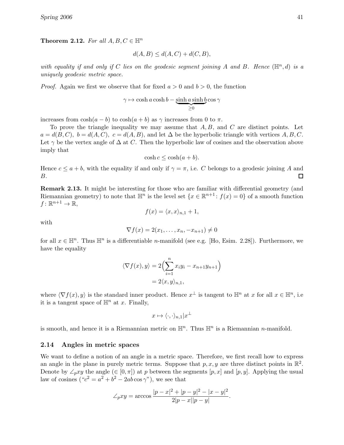Theorem 2.12. For all  $A, B, C \in \mathbb{H}^n$ 

$$
d(A, B) \le d(A, C) + d(C, B),
$$

with equality if and only if C lies on the geodesic segment joining A and B. Hence  $(\mathbb{H}^n,d)$  is a uniquely geodesic metric space.

*Proof.* Again we first we observe that for fixed  $a > 0$  and  $b > 0$ , the function

$$
\gamma \mapsto \cosh a \cosh b - \underleftarrow{\sinh a \sinh b}{\geq 0} \cos \gamma
$$

increases from  $\cosh(a-b)$  to  $\cosh(a+b)$  as  $\gamma$  increases from 0 to  $\pi$ .

To prove the triangle inequality we may assume that  $A, B$ , and  $C$  are distinct points. Let  $a = d(B, C), b = d(A, C), c = d(A, B)$ , and let  $\Delta$  be the hyperbolic triangle with vertices A, B, C. Let  $\gamma$  be the vertex angle of  $\Delta$  at C. Then the hyperbolic law of cosines and the observation above imply that

$$
\cosh c \leq \cosh(a+b).
$$

Hence  $c \le a + b$ , with the equality if and only if  $\gamma = \pi$ , i.e. C belongs to a geodesic joining A and B. B.

Remark 2.13. It might be interesting for those who are familiar with differential geometry (and Riemannian geometry) to note that  $\mathbb{H}^n$  is the level set  $\{x \in \mathbb{R}^{n+1} : f(x) = 0\}$  of a smooth function  $f\colon\mathbb{R}^{n+1}\to\mathbb{R},$ 

$$
f(x) = \langle x, x \rangle_{n,1} + 1,
$$

with

$$
\nabla f(x) = 2(x_1, \dots, x_n, -x_{n+1}) \neq 0
$$

for all  $x \in \mathbb{H}^n$ . Thus  $\mathbb{H}^n$  is a differentiable *n*-manifold (see e.g. [Ho, Esim. 2.28]). Furthermore, we have the equality

$$
\langle \nabla f(x), y \rangle = 2 \Big( \sum_{i=1}^{n} x_i y_i - x_{n+1} y_{n+1} \Big)
$$
  
= 2\langle x, y \rangle\_{n,1},

where  $\langle \nabla f(x), y \rangle$  is the standard inner product. Hence  $x^{\perp}$  is tangent to  $\mathbb{H}^n$  at x for all  $x \in \mathbb{H}^n$ , i.e it is a tangent space of  $\mathbb{H}^n$  at x. Finally,

$$
x\mapsto \langle \cdot,\cdot\rangle_{n,1}|x^\perp
$$

is smooth, and hence it is a Riemannian metric on  $\mathbb{H}^n$ . Thus  $\mathbb{H}^n$  is a Riemannian *n*-manifold.

### 2.14 Angles in metric spaces

We want to define a notion of an angle in a metric space. Therefore, we first recall how to express an angle in the plane in purely metric terms. Suppose that  $p, x, y$  are three distinct points in  $\mathbb{R}^2$ . Denote by  $\angle_p xy$  the angle (∈ [0,  $\pi$ ]) at p between the segments [p, x] and [p, y]. Applying the usual law of cosines  $("c<sup>2</sup> = a<sup>2</sup> + b<sup>2</sup> - 2ab \cos \gamma")$ , we see that

$$
\angle_p xy = \arccos \frac{|p-x|^2 + |p-y|^2 - |x-y|^2}{2|p-x||p-y|}.
$$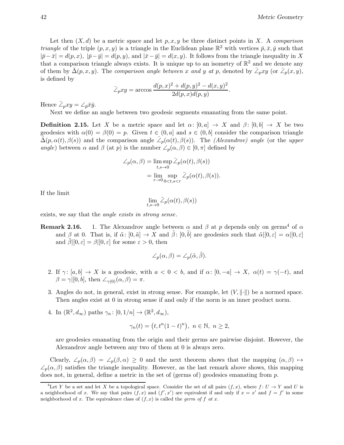Let then  $(X, d)$  be a metric space and let  $p, x, y$  be three distinct points in X. A comparison *triangle* of the triple  $(p, x, y)$  is a triangle in the Euclidean plane  $\mathbb{R}^2$  with vertices  $\bar{p}, \bar{x}, \bar{y}$  such that  $|\bar{p}-\bar{x}| = d(p, x), |\bar{p}-\bar{y}| = d(p, y)$ , and  $|\bar{x}-\bar{y}| = d(x, y)$ . It follows from the triangle inequality in X that a comparison triangle always exists. It is unique up to an isometry of  $\mathbb{R}^2$  and we denote any of them by  $\bar{\Delta}(p, x, y)$ . The comparison angle between x and y at p, denoted by  $\bar{\angle}_p xy$  (or  $\bar{\angle}_p(x, y)$ , is defined by

$$
\bar{\angle}_p xy = \arccos \frac{d(p,x)^2 + d(p,y)^2 - d(x,y)^2}{2d(p,x)d(p,y)}.
$$

Hence  $\bar{Z}_p xy = \angle_{\bar{p}} \bar{x}\bar{y}$ .

Next we define an angle between two geodesic segments emanating from the same point.

**Definition 2.15.** Let X be a metric space and let  $\alpha: [0, a] \to X$  and  $\beta: [0, b] \to X$  be two geodesics with  $\alpha(0) = \beta(0) = p$ . Given  $t \in (0, a]$  and  $s \in (0, b]$  consider the comparison triangle  $\bar{\Delta}(p, \alpha(t), \beta(s))$  and the comparison angle  $\bar{Z}_p(\alpha(t), \beta(s))$ . The *(Alexandrov) angle* (or the upper angle) between  $\alpha$  and  $\beta$  (at p) is the number  $\angle_p(\alpha, \beta) \in [0, \pi]$  defined by

$$
\angle_p(\alpha, \beta) = \limsup_{t, s \to 0} \overline{\angle}_p(\alpha(t), \beta(s))
$$

$$
= \lim_{r \to 0} \sup_{0 < t, s < r} \overline{\angle}_p(\alpha(t), \beta(s)).
$$

If the limit

$$
\lim_{t,s\to 0} \bar{\angle}_p(\alpha(t),\beta(s))
$$

exists, we say that the angle exists in strong sense.

**Remark 2.16.** 1. The Alexandrov angle between  $\alpha$  and  $\beta$  at p depends only on germs<sup>4</sup> of  $\alpha$ and  $\beta$  at 0. That is, if  $\tilde{\alpha}$ :  $[0, \tilde{a}] \to X$  and  $\tilde{\beta}$ :  $[0, \tilde{b}]$  are geodesics such that  $\tilde{\alpha} |[0, \varepsilon] = \alpha |[0, \varepsilon]$ and  $\tilde{\beta} |[0, \varepsilon] = \beta |[0, \varepsilon]$  for some  $\varepsilon > 0$ , then

$$
\angle_p(\alpha, \beta) = \angle_p(\tilde{\alpha}, \tilde{\beta}).
$$

- 2. If  $\gamma: [a, b] \to X$  is a geodesic, with  $a < 0 < b$ , and if  $\alpha: [0, -a] \to X$ ,  $\alpha(t) = \gamma(-t)$ , and  $\beta = \gamma$ [[0, b], then  $\angle_{\gamma(0)}(\alpha, \beta) = \pi$ .
- 3. Angles do not, in general, exist in strong sense. For example, let  $(V, \|\cdot\|)$  be a normed space. Then angles exist at 0 in strong sense if and only if the norm is an inner product norm.
- 4. In  $(\mathbb{R}^2, d_{\infty})$  paths  $\gamma_n : [0, 1/n] \to (\mathbb{R}^2, d_{\infty}),$

$$
\gamma_n(t) = (t, t^n (1-t)^n), \ n \in \mathbb{N}, \ n \ge 2,
$$

are geodesics emanating from the origin and their germs are pairwise disjoint. However, the Alexandrov angle between any two of them at 0 is always zero.

Clearly,  $\angle_p(\alpha, \beta) = \angle_p(\beta, \alpha) \geq 0$  and the next theorem shows that the mapping  $(\alpha, \beta) \mapsto$  $\angle_p(\alpha, \beta)$  satisfies the triangle inequality. However, as the last remark above shows, this mapping does not, in general, define a metric in the set of (germs of) geodesics emanating from  $p$ .

<sup>&</sup>lt;sup>4</sup>Let Y be a set and let X be a topological space. Consider the set of all pairs  $(f, x)$ , where  $f: U \to Y$  and U is a neighborhood of x. We say that pairs  $(f, x)$  and  $(f', x')$  are equivalent if and only if  $x = x'$  and  $f = f'$  in some neighborhood of x. The equivalence class of  $(f, x)$  is called the *germ of* f at x.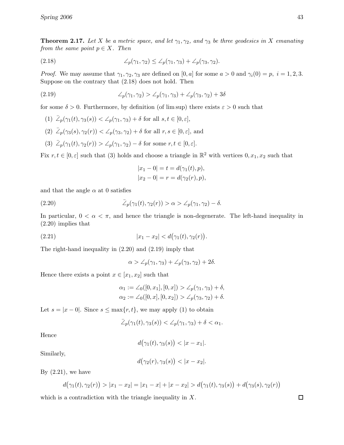**Theorem 2.17.** Let X be a metric space, and let  $\gamma_1, \gamma_2$ , and  $\gamma_3$  be three geodesics in X emanating from the same point  $p \in X$ . Then

(2.18) 
$$
\angle_p(\gamma_1, \gamma_2) \leq \angle_p(\gamma_1, \gamma_3) + \angle_p(\gamma_3, \gamma_2).
$$

*Proof.* We may assume that  $\gamma_1, \gamma_2, \gamma_3$  are defined on [0, a] for some  $a > 0$  and  $\gamma_i(0) = p$ ,  $i = 1, 2, 3$ . Suppose on the contrary that (2.18) does not hold. Then

(2.19) 
$$
\angle_p(\gamma_1, \gamma_2) > \angle_p(\gamma_1, \gamma_3) + \angle_p(\gamma_3, \gamma_2) + 3\delta
$$

for some  $\delta > 0$ . Furthermore, by definition (of lim sup) there exists  $\varepsilon > 0$  such that

- (1)  $\mathcal{Z}_p(\gamma_1(t), \gamma_3(s)) < \mathcal{Z}_p(\gamma_1, \gamma_3) + \delta$  for all  $s, t \in [0, \varepsilon],$ (2)  $\bar{\angle}_p(\gamma_3(s), \gamma_2(r)) < \angle_p(\gamma_3, \gamma_2) + \delta$  for all  $r, s \in [0, \varepsilon]$ , and
- (3)  $\bar{\angle}_p(\gamma_1(t), \gamma_2(r)) > \angle_p(\gamma_1, \gamma_2) \delta$  for some  $r, t \in [0, \varepsilon]$ .

Fix  $r, t \in [0, \varepsilon]$  such that (3) holds and choose a triangle in  $\mathbb{R}^2$  with vertices  $0, x_1, x_2$  such that

$$
|x_1 - 0| = t = d(\gamma_1(t), p),
$$
  
\n $|x_2 - 0| = r = d(\gamma_2(r), p),$ 

and that the angle  $\alpha$  at 0 satisfies

(2.20) 
$$
\bar{\angle}_p(\gamma_1(t), \gamma_2(r)) > \alpha > \angle_p(\gamma_1, \gamma_2) - \delta.
$$

In particular,  $0 < \alpha < \pi$ , and hence the triangle is non-degenerate. The left-hand inequality in (2.20) implies that

(2.21) 
$$
|x_1 - x_2| < d(\gamma_1(t), \gamma_2(r)).
$$

The right-hand inequality in (2.20) and (2.19) imply that

$$
\alpha > \angle_p(\gamma_1, \gamma_3) + \angle_p(\gamma_3, \gamma_2) + 2\delta.
$$

Hence there exists a point  $x \in [x_1, x_2]$  such that

$$
\alpha_1 := \angle_0([0, x_1], [0, x]) > \angle_p(\gamma_1, \gamma_3) + \delta,
$$
  

$$
\alpha_2 := \angle_0([0, x], [0, x_2]) > \angle_p(\gamma_3, \gamma_2) + \delta.
$$

Let  $s = |x - 0|$ . Since  $s \le \max\{r, t\}$ , we may apply (1) to obtain

$$
\bar{\angle}_{p}(\gamma_{1}(t),\gamma_{3}(s)) < \angle_{p}(\gamma_{1},\gamma_{3}) + \delta < \alpha_{1}.
$$

Hence

$$
d(\gamma_1(t), \gamma_3(s)) < |x - x_1|.
$$

Similarly,

$$
d(\gamma_2(r), \gamma_3(s)) < |x - x_2|.
$$

By  $(2.21)$ , we have

$$
d(\gamma_1(t), \gamma_2(r)) > |x_1 - x_2| = |x_1 - x| + |x - x_2| > d(\gamma_1(t), \gamma_3(s)) + d(\gamma_3(s), \gamma_2(r))
$$

which is a contradiction with the triangle inequality in  $X$ .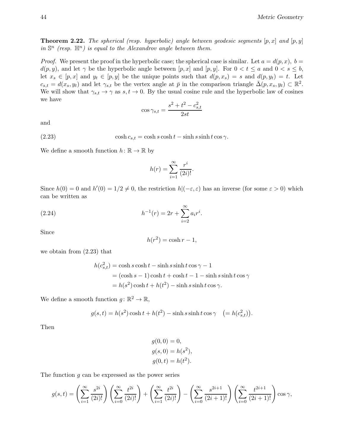**Theorem 2.22.** The spherical (resp. hyperbolic) angle between geodesic segments  $[p, x]$  and  $[p, y]$ in  $\mathbb{S}^n$  (resp.  $\mathbb{H}^n$ ) is equal to the Alexandrov angle between them.

*Proof.* We present the proof in the hyperbolic case; the spherical case is similar. Let  $a = d(p, x)$ ,  $b =$  $d(p, y)$ , and let  $\gamma$  be the hyperbolic angle between  $[p, x]$  and  $[p, y]$ . For  $0 < t \le a$  and  $0 < s \le b$ , let  $x_s \in [p, x]$  and  $y_t \in [p, y]$  be the unique points such that  $d(p, x_s) = s$  and  $d(p, y_t) = t$ . Let  $c_{s,t} = d(x_s, y_t)$  and let  $\gamma_{s,t}$  be the vertex angle at  $\bar{p}$  in the comparison triangle  $\bar{\Delta}(p, x_s, y_t) \subset \mathbb{R}^2$ . We will show that  $\gamma_{s,t} \to \gamma$  as  $s,t \to 0$ . By the usual cosine rule and the hyperbolic law of cosines we have

$$
\cos \gamma_{s,t} = \frac{s^2 + t^2 - c_{s,t}^2}{2st}
$$

and

(2.23) cosh  $c_{s,t} = \cosh s \cosh t - \sinh s \sinh t \cos \gamma$ .

We define a smooth function  $h: \mathbb{R} \to \mathbb{R}$  by

$$
h(r) = \sum_{i=1}^{\infty} \frac{r^i}{(2i)!}.
$$

Since  $h(0) = 0$  and  $h'(0) = 1/2 \neq 0$ , the restriction  $h|(-\varepsilon, \varepsilon)$  has an inverse (for some  $\varepsilon > 0$ ) which can be written as

(2.24) 
$$
h^{-1}(r) = 2r + \sum_{i=2}^{\infty} a_i r^i.
$$

Since

$$
h(r^2) = \cosh r - 1,
$$

we obtain from (2.23) that

$$
h(c_{s,t}^2) = \cosh s \cosh t - \sinh s \sinh t \cos \gamma - 1
$$
  
=  $(\cosh s - 1) \cosh t + \cosh t - 1 - \sinh s \sinh t \cos \gamma$   
=  $h(s^2) \cosh t + h(t^2) - \sinh s \sinh t \cos \gamma$ .

We define a smooth function  $g: \mathbb{R}^2 \to \mathbb{R}$ ,

$$
g(s,t) = h(s^2)\cosh t + h(t^2) - \sinh s \sinh t \cos \gamma \quad ( = h(c_{s,t}^2)).
$$

Then

$$
g(0, 0) = 0,
$$
  
\n
$$
g(s, 0) = h(s2),
$$
  
\n
$$
g(0, t) = h(t2).
$$

The function  $g$  can be expressed as the power series

$$
g(s,t) = \left(\sum_{i=1}^{\infty} \frac{s^{2i}}{(2i)!}\right) \left(\sum_{i=0}^{\infty} \frac{t^{2i}}{(2i)!}\right) + \left(\sum_{i=1}^{\infty} \frac{t^{2i}}{(2i)!}\right) - \left(\sum_{i=0}^{\infty} \frac{s^{2i+1}}{(2i+1)!}\right) \left(\sum_{i=0}^{\infty} \frac{t^{2i+1}}{(2i+1)!}\right) \cos \gamma,
$$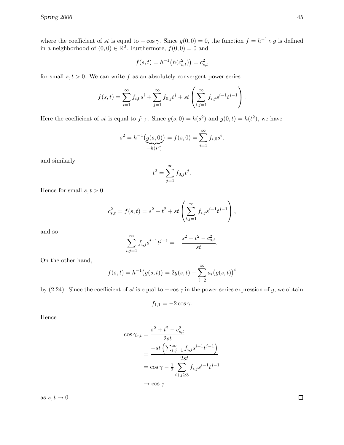where the coefficient of st is equal to  $-\cos \gamma$ . Since  $g(0,0) = 0$ , the function  $f = h^{-1} \circ g$  is defined in a neighborhood of  $(0,0) \in \mathbb{R}^2$ . Furthermore,  $f(0,0) = 0$  and

$$
f(s,t) = h^{-1}(h(c_{s,t}^2)) = c_{s,t}^2
$$

for small  $s, t > 0$ . We can write f as an absolutely convergent power series

$$
f(s,t) = \sum_{i=1}^{\infty} f_{i,0} s^i + \sum_{j=1}^{\infty} f_{0,j} t^j + st \left( \sum_{i,j=1}^{\infty} f_{i,j} s^{i-1} t^{j-1} \right).
$$

Here the coefficient of st is equal to  $f_{1,1}$ . Since  $g(s, 0) = h(s^2)$  and  $g(0, t) = h(t^2)$ , we have

$$
s^{2} = h^{-1}\underbrace{(g(s, 0))}_{=h(s^{2})} = f(s, 0) = \sum_{i=1}^{\infty} f_{i,0} s^{i},
$$

and similarly

$$
t^2 = \sum_{j=1}^{\infty} f_{0,j} t^j.
$$

Hence for small  $s, t > 0$ 

$$
c_{s,t}^2 = f(s,t) = s^2 + t^2 + st\left(\sum_{i,j=1}^{\infty} f_{i,j} s^{i-1} t^{j-1}\right),
$$

and so

$$
\sum_{i,j=1}^{\infty} f_{i,j} s^{i-1} t^{j-1} = -\frac{s^2 + t^2 - c_{s,t}^2}{st}.
$$

On the other hand,

$$
f(s,t) = h^{-1}(g(s,t)) = 2g(s,t) + \sum_{i=2}^{\infty} a_i (g(s,t))^i
$$

by (2.24). Since the coefficient of st is equal to  $-\cos \gamma$  in the power series expression of g, we obtain

$$
f_{1,1} = -2\cos\gamma.
$$

Hence

$$
\cos \gamma_{s,t} = \frac{s^2 + t^2 - c_{s,t}^2}{2st}
$$
  
= 
$$
\frac{-st\left(\sum_{i,j=1}^{\infty} f_{i,j} s^{i-1} t^{j-1}\right)}{2st}
$$
  
= 
$$
\cos \gamma - \frac{1}{2} \sum_{i+j \ge 3} f_{i,j} s^{i-1} t^{j-1}
$$
  

$$
\rightarrow \cos \gamma
$$

as  $s, t \to 0$ .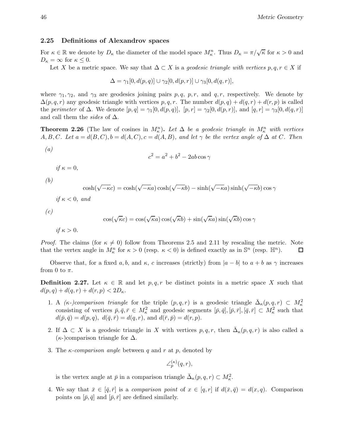### 2.25 Definitions of Alexandrov spaces

For  $\kappa \in \mathbb{R}$  we denote by  $D_{\kappa}$  the diameter of the model space  $M_{\kappa}^n$ . Thus  $D_{\kappa} = \pi/\sqrt{\kappa}$  for  $\kappa > 0$  and  $D_{\kappa} = \infty$  for  $\kappa \leq 0$ .

Let X be a metric space. We say that  $\Delta \subset X$  is a geodesic triangle with vertices  $p, q, r \in X$  if

$$
\Delta = \gamma_1[0, d(p, q)] \cup \gamma_2[0, d(p, r)] \cup \gamma_3[0, d(q, r)],
$$

where  $\gamma_1, \gamma_2$ , and  $\gamma_3$  are geodesics joining pairs p, q, p, r, and q, r, respectively. We denote by  $\Delta(p,q,r)$  any geodesic triangle with vertices p, q, r. The number  $d(p,q) + d(q,r) + d(r,p)$  is called the perimeter of  $\Delta$ . We denote  $[p, q] = \gamma_1[0, d(p, q)]$ ,  $[p, r] = \gamma_2[0, d(p, r)]$ , and  $[q, r] = \gamma_3[0, d(q, r)]$ and call them the sides of  $\Delta$ .

**Theorem 2.26** (The law of cosines in  $M_{\kappa}^n$ ). Let  $\Delta$  be a geodesic triangle in  $M_{\kappa}^n$  with vertices  $A, B, C$ . Let  $a = d(B, C), b = d(A, C), c = d(A, B),$  and let  $\gamma$  be the vertex angle of  $\Delta$  at C. Then

$$
c^2 = a^2 + b^2 - 2ab\cos\gamma
$$

if  $\kappa = 0$ ,

(b)

(a)

$$
\cosh(\sqrt{-\kappa}c) = \cosh(\sqrt{-\kappa}a)\cosh(\sqrt{-\kappa}b) - \sinh(\sqrt{-\kappa}a)\sinh(\sqrt{-\kappa}b)\cos\gamma
$$

if  $\kappa < 0$ , and

$$
(c)
$$

$$
\cos(\sqrt{\kappa}c) = \cos(\sqrt{\kappa}a)\cos(\sqrt{\kappa}b) + \sin(\sqrt{\kappa}a)\sin(\sqrt{\kappa}b)\cos\gamma
$$

if  $\kappa > 0$ .

*Proof.* The claims (for  $\kappa \neq 0$ ) follow from Theorems 2.5 and 2.11 by rescaling the metric. Note that the vertex angle in  $M_c^n$  for  $\kappa > 0$  (resp.  $\kappa < 0$ ) is defined exactly as in  $\mathbb{S}^n$  (resp.  $\mathbb{H}^n$ ). that the vertex angle in  $M_{\kappa}^n$  for  $\kappa > 0$  (resp.  $\kappa < 0$ ) is defined exactly as in  $\mathbb{S}^n$  (resp.  $\mathbb{H}^n$ ).

Observe that, for a fixed a, b, and  $\kappa$ , c increases (strictly) from  $|a - b|$  to  $a + b$  as  $\gamma$  increases from 0 to  $\pi$ .

**Definition 2.27.** Let  $\kappa \in \mathbb{R}$  and let p, q, r be distinct points in a metric space X such that  $d(p, q) + d(q, r) + d(r, p) < 2D_{\kappa}.$ 

- 1. A  $(\kappa \cdot)$ comparison triangle for the triple  $(p, q, r)$  is a geodesic triangle  $\bar{\Delta}_{\kappa}(p, q, r) \subset M_{\kappa}^2$ consisting of vertices  $\bar{p}, \bar{q}, \bar{r} \in M_{\kappa}^2$  and geodesic segments  $[\bar{p}, \bar{q}], [\bar{p}, \bar{r}], [\bar{q}, \bar{r}] \subset M_{\kappa}^2$  such that  $d(\bar{p}, \bar{q}) = d(p, q), d(\bar{q}, \bar{r}) = d(q, r), \text{ and } d(\bar{r}, \bar{p}) = d(r, p).$
- 2. If  $\Delta \subset X$  is a geodesic triangle in X with vertices  $p, q, r$ , then  $\bar{\Delta}_{\kappa}(p, q, r)$  is also called a  $(\kappa)$ comparison triangle for  $\Delta$ .
- 3. The  $\kappa$ -comparison angle between q and r at p, denoted by

$$
\angle_p^{(\kappa)}(q,r),
$$

is the vertex angle at  $\bar{p}$  in a comparison triangle  $\bar{\Delta}_{\kappa}(p,q,r) \subset M_{\kappa}^2$ .

4. We say that  $\bar{x} \in [\bar{q}, \bar{r}]$  is a *comparison point* of  $x \in [q, r]$  if  $d(\bar{x}, \bar{q}) = d(x, q)$ . Comparison points on  $[\bar{p}, \bar{q}]$  and  $[\bar{p}, \bar{r}]$  are defined similarly.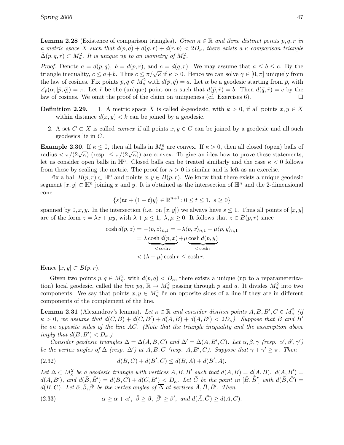**Lemma 2.28** (Existence of comparison triangles). Given  $\kappa \in \mathbb{R}$  and three distinct points p, q, r in a metric space X such that  $d(p,q) + d(q,r) + d(r,p) < 2D_{\kappa}$ , there exists a  $\kappa$ -comparison triangle  $\bar{\Delta}(p,q,r) \subset M_{\kappa}^2$ . It is unique up to an isometry of  $M_{\kappa}^2$ .

*Proof.* Denote  $a = d(p, q)$ ,  $b = d(p, r)$ , and  $c = d(q, r)$ . We may assume that  $a \leq b \leq c$ . By the triangle inequality,  $c \le a+b$ . Thus  $c \le \pi/\sqrt{\kappa}$  if  $\kappa > 0$ . Hence we can solve  $\gamma \in [0, \pi]$  uniquely from the law of cosines. Fix points  $\bar{p}, \bar{q} \in M_{\kappa}^2$  with  $d(\bar{p}, \bar{q}) = a$ . Let  $\alpha$  be a geodesic starting from  $\bar{p}$ , with  $\angle_{\bar{p}}(\alpha, [\bar{p}, \bar{q}]) = \pi$ . Let  $\bar{r}$  be the (unique) point on  $\alpha$  such that  $d(\bar{p}, \bar{r}) = b$ . Then  $d(\bar{q}, \bar{r}) = c$  by the law of cosines. We omit the proof of the claim on uniqueness (cf. Exercises 6).  $\Box$ 

- **Definition 2.29.** 1. A metric space X is called k-geodesic, with  $k > 0$ , if all points  $x, y \in X$ within distance  $d(x, y) < k$  can be joined by a geodesic.
	- 2. A set  $C \subset X$  is called *convex* if all points  $x, y \in C$  can be joined by a geodesic and all such geodesics lie in C.

**Example 2.30.** If  $\kappa \leq 0$ , then all balls in  $M_{\kappa}^n$  are convex. If  $\kappa > 0$ , then all closed (open) balls of radius  $\langle \pi/(2\sqrt{\kappa}) \rangle$  (resp.  $\leq \pi/(2\sqrt{\kappa})$ ) are convex. To give an idea how to prove these statements, let us consider open balls in  $\mathbb{H}^n$ . Closed balls can be treated similarly and the case  $\kappa < 0$  follows from these by scaling the metric. The proof for  $\kappa > 0$  is similar and is left as an exercise.

Fix a ball  $B(p, r) \subset \mathbb{H}^n$  and points  $x, y \in B(p, r)$ . We know that there exists a unique geodesic segment  $[x, y] \subset \mathbb{H}^n$  joining x and y. It is obtained as the intersection of  $\mathbb{H}^n$  and the 2-dimensional cone

$$
\{s(tx+(1-t)y) \in \mathbb{R}^{n+1} \colon 0 \le t \le 1, \ s \ge 0\}
$$

spanned by  $0, x, y$ . In the intersection (i.e. on  $[x, y]$ ) we always have  $s \leq 1$ . Thus all points of  $[x, y]$ are of the form  $z = \lambda x + \mu y$ , with  $\lambda + \mu \leq 1$ ,  $\lambda, \mu \geq 0$ . It follows that  $z \in B(p, r)$  since

$$
\cosh d(p, z) = -\langle p, z \rangle_{n,1} = -\lambda \langle p, x \rangle_{n,1} - \mu \langle p, y \rangle_{n,1}
$$

$$
= \lambda \underbrace{\cosh d(p, x)}_{\text{cosh } r} + \mu \underbrace{\cosh d(p, y)}_{\text{cosh } r}
$$

$$
< (\lambda + \mu) \cosh r \le \cosh r.
$$

Hence  $[x, y] \subset B(p, r)$ .

Given two points  $p, q \in M_\kappa^2$ , with  $d(p, q) < D_\kappa$ , there exists a unique (up to a reparameterization) local geodesic, called the *line*  $pq$ ,  $\mathbb{R} \to M_{\kappa}^2$  passing through p and q. It divides  $M_{\kappa}^2$  into two components. We say that points  $x, y \in M_\kappa^2$  lie on opposite sides of a line if they are in different components of the complement of the line.

**Lemma 2.31** (Alexandrov's lemma). Let  $\kappa \in \mathbb{R}$  and consider distinct points  $A, B, B', C \in M_{\kappa}^2$  (if  $\kappa > 0$ , we assume that  $d(C, B) + d(C, B') + d(A, B) + d(A, B') < 2D_{\kappa}$ ). Suppose that B and B' lie on opposite sides of the line AC. (Note that the triangle inequality and the assumption above imply that  $d(B, B') < D_{\kappa}$ .

Consider geodesic triangles  $\Delta = \Delta(A, B, C)$  and  $\Delta' = \Delta(A, B', C)$ . Let  $\alpha, \beta, \gamma$  (resp.  $\alpha', \beta', \gamma'$ ) be the vertex angles of  $\Delta$  (resp.  $\Delta'$ ) at  $A, B, C$  (resp.  $A, B', C$ ). Suppose that  $\gamma + \gamma' \geq \pi$ . Then

(2.32) 
$$
d(B,C) + d(B',C) \leq d(B,A) + d(B',A).
$$

Let  $\overline{\Delta} \subset M_\kappa^2$  be a geodesic triangle with vertices  $\overline{A}, \overline{B}, \overline{B'}$  such that  $d(\overline{A}, \overline{B}) = d(A, B), d(\overline{A}, \overline{B'}) =$  $d(A, B')$ , and  $d(\overline{B}, \overline{B'}) = d(B, C) + d(C, B') < D_{\kappa}$ . Let  $\overline{C}$  be the point in  $[\overline{B}, \overline{B'}]$  with  $d(\overline{B}, \overline{C}) =$  $d(B, C)$ . Let  $\bar{\alpha}, \bar{\beta}, \bar{\beta}'$  be the vertex angles of  $\bar{\Delta}$  at vertices  $\bar{A}, \bar{B}, \bar{B}'$ . Then

(2.33) 
$$
\bar{\alpha} \geq \alpha + \alpha', \ \bar{\beta} \geq \beta, \ \bar{\beta}' \geq \beta', \ and \ d(\bar{A}, \bar{C}) \geq d(A, C).
$$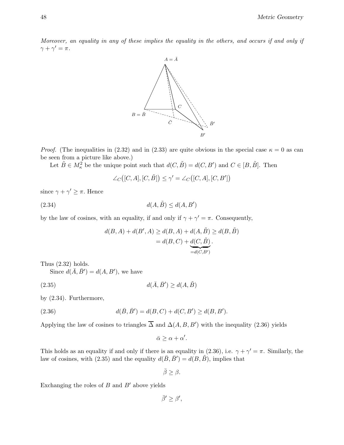Moreover, an equality in any of these implies the equality in the others, and occurs if and only if  $\gamma+\gamma'=\pi$  .



*Proof.* (The inequalities in (2.32) and in (2.33) are quite obvious in the special case  $\kappa = 0$  as can be seen from a picture like above.)

Let  $\tilde{B} \in M_{\kappa}^2$  be the unique point such that  $d(C, \tilde{B}) = d(C, B')$  and  $C \in [B, \tilde{B}]$ . Then

$$
\angle_C([C, A], [C, \tilde{B}]) \le \gamma' = \angle_C([C, A], [C, B'])
$$

since  $\gamma + \gamma' \geq \pi$ . Hence

$$
d(A, \tilde{B}) \le d(A, B')
$$

by the law of cosines, with an equality, if and only if  $\gamma + \gamma' = \pi$ . Consequently,

$$
d(B, A) + d(B', A) \ge d(B, A) + d(A, \tilde{B}) \ge d(B, \tilde{B})
$$
  
=  $d(B, C) + d(C, \tilde{B})$ .  
= $d(C, B')$ 

Thus (2.32) holds.

Since  $d(\overline{A}, \overline{B}') = d(A, B')$ , we have

$$
d(\bar{A}, \bar{B}') \ge d(A, \tilde{B})
$$

by (2.34). Furthermore,

(2.36) 
$$
d(\bar{B}, \bar{B}') = d(B, C) + d(C, B') \ge d(B, B').
$$

Applying the law of cosines to triangles  $\Delta$  and  $\Delta(A, B, B')$  with the inequality (2.36) yields

 $\bar{\alpha} \geq \alpha + \alpha'.$ 

This holds as an equality if and only if there is an equality in (2.36), i.e.  $\gamma + \gamma' = \pi$ . Similarly, the law of cosines, with (2.35) and the equality  $d(\bar{B}, \bar{B}') = d(B, \tilde{B})$ , implies that

$$
\bar{\beta}\geq\beta.
$$

Exchanging the roles of  $B$  and  $B'$  above yields

 $\bar{\beta}' \geq \beta',$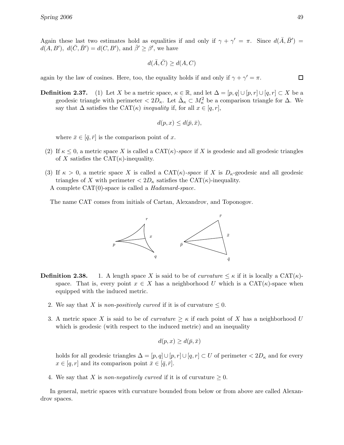Again these last two estimates hold as equalities if and only if  $\gamma + \gamma' = \pi$ . Since  $d(\bar{A}, \bar{B}') =$  $d(A, B'), d(\overline{C}, \overline{B'}) = d(C, B'), \text{ and } \overline{\beta'} \ge \beta'$ , we have

$$
d(\bar{A}, \bar{C}) \ge d(A, C)
$$

again by the law of cosines. Here, too, the equality holds if and only if  $\gamma + \gamma' = \pi$ .

**Definition 2.37.** (1) Let X be a metric space,  $\kappa \in \mathbb{R}$ , and let  $\Delta = [p, q] \cup [p, r] \cup [q, r] \subset X$  be a geodesic triangle with perimeter  $\langle 2D_{\kappa}$ . Let  $\bar{\Delta}_{\kappa} \subset M_{\kappa}^2$  be a comparison triangle for  $\Delta$ . We say that  $\Delta$  satisfies the CAT( $\kappa$ ) inequality if, for all  $x \in [q, r]$ ,

$$
d(p,x) \leq d(\bar{p},\bar{x}),
$$

where  $\bar{x} \in [\bar{q}, \bar{r}]$  is the comparison point of x.

- (2) If  $\kappa \leq 0$ , a metric space X is called a CAT( $\kappa$ )-space if X is geodesic and all geodesic triangles of X satisfies the CAT $(\kappa)$ -inequality.
- (3) If  $\kappa > 0$ , a metric space X is called a CAT( $\kappa$ )-space if X is  $D_{\kappa}$ -geodesic and all geodesic triangles of X with perimeter  $\langle 2D_{\kappa} \rangle$  satisfies the CAT( $\kappa$ )-inequality. A complete CAT(0)-space is called a Hadamard-space.

The name CAT comes from initials of Cartan, Alexandrov, and Toponogov.



- **Definition 2.38.** 1. A length space X is said to be of curvature  $\leq \kappa$  if it is locally a CAT( $\kappa$ )space. That is, every point  $x \in X$  has a neighborhood U which is a CAT( $\kappa$ )-space when equipped with the induced metric.
	- 2. We say that X is non-positively curved if it is of curvature  $\leq 0$ .
	- 3. A metric space X is said to be of *curvature*  $\geq \kappa$  if each point of X has a neighborhood U which is geodesic (with respect to the induced metric) and an inequality

$$
d(p, x) \ge d(\bar{p}, \bar{x})
$$

holds for all geodesic triangles  $\Delta = [p, q] \cup [p, r] \cup [q, r] \subset U$  of perimeter  $\langle 2D_{\kappa} \rangle$  and for every  $x \in [q, r]$  and its comparison point  $\bar{x} \in [\bar{q}, \bar{r}].$ 

4. We say that X is non-negatively curved if it is of curvature  $\geq 0$ .

In general, metric spaces with curvature bounded from below or from above are called Alexandrov spaces.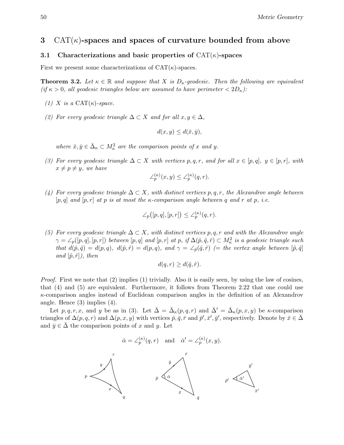50 Metric Geometry

# 3  $CAT(\kappa)$ -spaces and spaces of curvature bounded from above

# 3.1 Characterizations and basic properties of  $CAT(\kappa)$ -spaces

First we present some characterizations of  $CAT(\kappa)$ -spaces.

**Theorem 3.2.** Let  $\kappa \in \mathbb{R}$  and suppose that X is  $D_{\kappa}$ -geodesic. Then the following are equivalent (if  $\kappa > 0$ , all geodesic triangles below are assumed to have perimeter  $\langle 2D_{\kappa} \rangle$ :

- (1) X is a CAT $(\kappa)$ -space.
- (2) For every geodesic triangle  $\Delta \subset X$  and for all  $x, y \in \Delta$ ,

$$
d(x, y) \le d(\bar{x}, \bar{y}),
$$

where  $\bar{x}, \bar{y} \in \bar{\Delta}_{\kappa} \subset M_{\kappa}^2$  are the comparison points of x and y.

(3) For every geodesic triangle  $\Delta \subset X$  with vertices p,q,r, and for all  $x \in [p,q], y \in [p,r]$ , with  $x \neq p \neq y$ , we have

$$
\angle_p^{(\kappa)}(x,y) \le \angle_p^{(\kappa)}(q,r).
$$

(4) For every geodesic triangle  $\Delta \subset X$ , with distinct vertices p, q, r, the Alexandrov angle between  $[p, q]$  and  $[p, r]$  at p is at most the  $\kappa$ -comparison angle between q and r at p, i.e.

$$
\angle_p([p,q],[p,r]) \leq \angle_p^{(\kappa)}(q,r).
$$

(5) For every geodesic triangle  $\Delta \subset X$ , with distinct vertices p, q, r and with the Alexandrov angle  $\gamma = \angle_p([p,q],[p,r])$  between  $[p,q]$  and  $[p,r]$  at p, if  $\Delta(p,\hat{q},\hat{r}) \subset M_{\kappa}^2$  is a geodesic triangle such that  $d(\hat{p}, \hat{q}) = d(p, q), d(\hat{p}, \hat{r}) = d(p, q),$  and  $\gamma = \angle_{\hat{p}}(\hat{q}, \hat{r})$  (= the vertex angle between  $[\hat{p}, \hat{q}]$ and  $[\hat{p}, \hat{r}]$ ), then

$$
d(q,r) \ge d(\hat{q},\hat{r}).
$$

*Proof.* First we note that  $(2)$  implies  $(1)$  trivially. Also it is easily seen, by using the law of cosines, that (4) and (5) are equivalent. Furthermore, it follows from Theorem 2.22 that one could use  $\kappa$ -comparison angles instead of Euclidean comparison angles in the definition of an Alexandrov angle. Hence (3) implies (4).

Let p, q, r, x, and y be as in (3). Let  $\bar{\Delta} = \bar{\Delta}_{\kappa}(p,q,r)$  and  $\bar{\Delta}' = \bar{\Delta}_{\kappa}(p,x,y)$  be  $\kappa$ -comparison triangles of  $\Delta(p,q,r)$  and  $\Delta(p,x,y)$  with vertices  $\bar{p}, \bar{q}, \bar{r}$  and  $\bar{p}', \bar{x}', \bar{y}'$ , respectively. Denote by  $\bar{x} \in \bar{\Delta}$ and  $\bar{y} \in \Delta$  the comparison points of x and y. Let

$$
\bar{\alpha} = \angle_p^{(\kappa)}(q, r)
$$
 and  $\bar{\alpha}' = \angle_p^{(\kappa)}(x, y)$ .

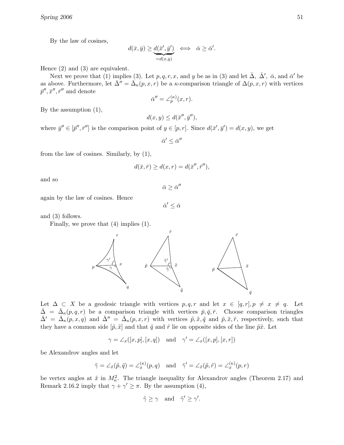By the law of cosines,

$$
d(\bar{x}, \bar{y}) \ge \underbrace{d(\bar{x}', \bar{y}')}_{=d(x,y)} \iff \bar{\alpha} \ge \bar{\alpha}'.
$$

Hence (2) and (3) are equivalent.

Next we prove that (1) implies (3). Let  $p, q, r, x$ , and y be as in (3) and let  $\bar{\Delta}$ ,  $\bar{\Delta}'$ ,  $\bar{\alpha}$ , and  $\bar{\alpha}'$  be as above. Furthermore, let  $\bar{\Delta}'' = \bar{\Delta}_{\kappa}(p, x, r)$  be a  $\kappa$ -comparison triangle of  $\Delta(p, x, r)$  with vertices  $\bar{p}^{\prime\prime}, \bar{x}^{\prime\prime}, \bar{r}^{\prime\prime}$  and denote

$$
\bar{\alpha}'' = \angle_p^{(\kappa)}(x, r).
$$

By the assumption (1),

$$
d(x, y) \le d(\bar{x}'', \bar{y}''),
$$

where  $\bar{y}'' \in [\bar{p}'', \bar{r}'']$  is the comparison point of  $y \in [p, r]$ . Since  $d(\bar{x}', \bar{y}') = d(x, y)$ , we get

 $\bar{\alpha}' \leq \bar{\alpha}''$ 

from the law of cosines. Similarly, by (1),

$$
d(\bar{x}, \bar{r}) \ge d(x, r) = d(\bar{x}^{\prime\prime}, \bar{r}^{\prime\prime}),
$$

and so

 $\bar{\alpha}\geq \bar{\alpha}''$ 

again by the law of cosines. Hence

 $\bar{\alpha}' \leq \bar{\alpha}$ 

and (3) follows.

Finally, we prove that (4) implies (1).



Let  $\Delta \subset X$  be a geodesic triangle with vertices  $p, q, r$  and let  $x \in [q, r], p \neq x \neq q$ . Let  $\bar{\Delta} = \bar{\Delta}_{\kappa}(p,q,r)$  be a comparison triangle with vertices  $\bar{p}, \bar{q}, \bar{r}$ . Choose comparison triangles  $\bar{\Delta}' = \bar{\Delta}_{\kappa}(p,x,q)$  and  $\bar{\Delta}'' = \bar{\Delta}_{\kappa}(p,x,r)$  with vertices  $\tilde{p}, \tilde{x}, \tilde{q}$  and  $\tilde{p}, \tilde{x}, \tilde{r}$ , respectively, such that they have a common side  $[\tilde{p}, \tilde{x}]$  and that  $\tilde{q}$  and  $\tilde{r}$  lie on opposite sides of the line  $\tilde{p}\tilde{x}$ . Let

$$
\gamma = \angle_x([x, p], [x, q]) \quad \text{and} \quad \gamma' = \angle_x([x, p], [x, r])
$$

be Alexandrov angles and let

$$
\tilde{\gamma} = \angle_{\tilde{x}}(\tilde{p}, \tilde{q}) = \angle_{x}^{(\kappa)}(p, q)
$$
 and  $\tilde{\gamma}' = \angle_{\tilde{x}}(\tilde{p}, \tilde{r}) = \angle_{x}^{(\kappa)}(p, r)$ 

be vertex angles at  $\tilde{x}$  in  $M_{\kappa}^2$ . The triangle inequality for Alexandrov angles (Theorem 2.17) and Remark 2.16.2 imply that  $\gamma + \gamma' \geq \pi$ . By the assumption (4),

$$
\tilde{\gamma} \ge \gamma \quad \text{and} \quad \tilde{\gamma}' \ge \gamma'.
$$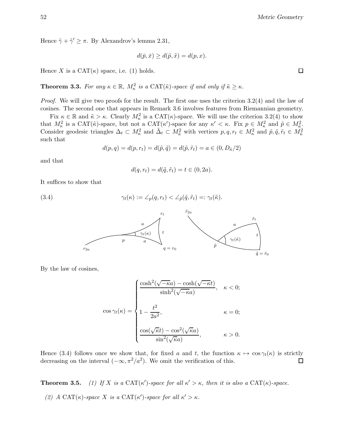Hence  $\tilde{\gamma} + \tilde{\gamma}' \geq \pi$ . By Alexandrov's lemma 2.31,

$$
d(\bar{p}, \bar{x}) \ge d(\tilde{p}, \tilde{x}) = d(p, x).
$$

Hence X is a  $CAT(\kappa)$  space, i.e. (1) holds.

**Theorem 3.3.** For any  $\kappa \in \mathbb{R}$ ,  $M_{\kappa}^2$  is a CAT( $\tilde{\kappa}$ )-space if and only if  $\tilde{\kappa} \geq \kappa$ .

Proof. We will give two proofs for the result. The first one uses the criterion 3.2(4) and the law of cosines. The second one that appears in Remark 3.6 involves features from Riemannian geometry.

Fix  $\kappa \in \mathbb{R}$  and  $\tilde{\kappa} > \kappa$ . Clearly  $M_{\kappa}^2$  is a CAT( $\kappa$ )-space. We will use the criterion 3.2(4) to show that  $M_{\kappa}^2$  is a CAT( $\tilde{\kappa}$ )-space, but not a CAT( $\kappa'$ )-space for any  $\kappa' < \kappa$ . Fix  $p \in M_{\kappa}^2$  and  $\tilde{p} \in M_{\kappa}^2$ . Consider geodesic triangles  $\Delta_t \subset M_\kappa^2$  and  $\tilde{\Delta}_t \subset M_{\tilde{\kappa}}^2$  with vertices  $p, q, r_t \in M_\kappa^2$  and  $\tilde{p}, \tilde{q}, \tilde{r}_t \in M_{\tilde{\kappa}}^2$ such that

$$
d(p,q) = d(p,r_t) = d(\tilde{p},\tilde{q}) = d(\tilde{p},\tilde{r}_t) = a \in (0, D_{\tilde{\kappa}}/2)
$$

and that

$$
d(q, r_t) = d(\tilde{q}, \tilde{r}_t) = t \in (0, 2a).
$$

It suffices to show that

(3.4) 
$$
\gamma_t(\kappa) := \angle_p(q, r_t) < \angle_{\tilde{p}}(\tilde{q}, \tilde{r}_t) =: \gamma_t(\tilde{\kappa}).
$$



By the law of cosines,

$$
\cos \gamma_t(\kappa) = \begin{cases} \frac{\cosh^2(\sqrt{-\kappa}a) - \cosh(\sqrt{-\kappa}t)}{\sinh^2(\sqrt{-\kappa}a)}, & \kappa < 0; \\ 1 - \frac{t^2}{2a^2}, & \kappa = 0; \\ \frac{\cos(\sqrt{\kappa}t) - \cos^2(\sqrt{\kappa}a)}{\sin^2(\sqrt{\kappa}a)}, & \kappa > 0. \end{cases}
$$

Hence (3.4) follows once we show that, for fixed a and t, the function  $\kappa \mapsto \cos \gamma_t(\kappa)$  is strictly decreasing on the interval  $(-\infty, \pi^2/a^2)$ . We omit the verification of this. decreasing on the interval  $(-\infty, \pi^2/a^2)$ . We omit the verification of this.

**Theorem 3.5.** (1) If X is a CAT( $\kappa'$ )-space for all  $\kappa' > \kappa$ , then it is also a CAT( $\kappa$ )-space.

(2) A CAT( $\kappa$ )-space X is a CAT( $\kappa'$ )-space for all  $\kappa' > \kappa$ .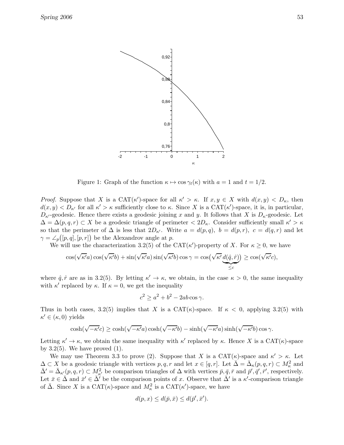

Figure 1: Graph of the function  $\kappa \mapsto \cos \gamma_t(\kappa)$  with  $a = 1$  and  $t = 1/2$ .

*Proof.* Suppose that X is a  $CAT(\kappa')$ -space for all  $\kappa' > \kappa$ . If  $x, y \in X$  with  $d(x, y) < D_{\kappa}$ , then  $d(x, y) < D_{\kappa'}$  for all  $\kappa' > \kappa$  sufficiently close to  $\kappa$ . Since X is a CAT( $\kappa'$ )-space, it is, in particular,  $D_{\kappa}$ -geodesic. Hence there exists a geodesic joining x and y. It follows that X is  $D_{\kappa}$ -geodesic. Let  $\Delta = \Delta(p, q, r) \subset X$  be a geodesic triangle of perimeter  $\langle 2D_{\kappa} \rangle$ . Consider sufficiently small  $\kappa' > \kappa$ so that the perimeter of  $\Delta$  is less that  $2D_{\kappa'}$ . Write  $a = d(p, q)$ ,  $b = d(p, r)$ ,  $c = d(q, r)$  and let  $\gamma = \angle_p([p, q], [p, r])$  be the Alexandrov angle at p.

We will use the characterization 3.2(5) of the CAT( $\kappa'$ )-property of X. For  $\kappa \geq 0$ , we have

$$
\cos(\sqrt{\kappa'}a)\cos(\sqrt{\kappa'}b) + \sin(\sqrt{\kappa'}a)\sin(\sqrt{\kappa'}b)\cos\gamma = \cos(\sqrt{\kappa'}\underbrace{d(\hat{q},\hat{r})}_{\leq c}) \geq \cos(\sqrt{\kappa'}c),
$$

where  $\hat{q}, \hat{r}$  are as in 3.2(5). By letting  $\kappa' \to \kappa$ , we obtain, in the case  $\kappa > 0$ , the same inequality with  $\kappa'$  replaced by  $\kappa$ . If  $\kappa = 0$ , we get the inequality

$$
c^2 \ge a^2 + b^2 - 2ab\cos\gamma.
$$

Thus in both cases, 3.2(5) implies that X is a  $CAT(\kappa)$ -space. If  $\kappa < 0$ , applying 3.2(5) with  $\kappa' \in (\kappa, 0)$  yields

$$
\cosh(\sqrt{-\kappa'}c) \geq \cosh(\sqrt{-\kappa'}a)\cosh(\sqrt{-\kappa'}b) - \sinh(\sqrt{-\kappa'}a)\sinh(\sqrt{-\kappa'}b)\cos\gamma.
$$

Letting  $\kappa' \to \kappa$ , we obtain the same inequality with  $\kappa'$  replaced by  $\kappa$ . Hence X is a CAT( $\kappa$ )-space by  $3.2(5)$ . We have proved  $(1)$ .

We may use Theorem 3.3 to prove (2). Suppose that X is a  $CAT(\kappa)$ -space and  $\kappa' > \kappa$ . Let  $\Delta \subset X$  be a geodesic triangle with vertices  $p, q, r$  and let  $x \in [q, r]$ . Let  $\bar{\Delta} = \bar{\Delta}_{\kappa}(p, q, r) \subset M_{\kappa}^2$  and  $\bar{\Delta}' = \bar{\Delta}_{\kappa}(p,q,r) \subset M_{\kappa'}^2$  be comparison triangles of  $\Delta$  with vertices  $\bar{p}, \bar{q}, \bar{r}$  and  $\bar{p}', \bar{q}', \bar{r}'$ , respectively. Let  $\bar{x} \in \bar{\Delta}$  and  $\bar{x}' \in \bar{\Delta}$  be the comparison points of x. Observe that  $\bar{\Delta}'$  is a  $\kappa'$ -comparison triangle of  $\bar{\Delta}$ . Since X is a CAT( $\kappa$ )-space and  $M_{\kappa}^2$  is a CAT( $\kappa'$ )-space, we have

$$
d(p, x) \le d(\bar{p}, \bar{x}) \le d(\bar{p}', \bar{x}').
$$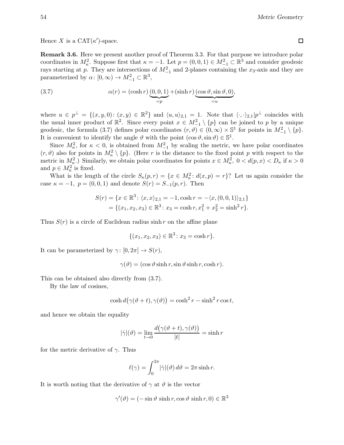Hence X is a  $CAT(\kappa')$ -space.

Remark 3.6. Here we present another proof of Theorem 3.3. For that purpose we introduce polar coordinates in  $M_{\kappa}^2$ . Suppose first that  $\kappa = -1$ . Let  $p = (0, 0, 1) \in M_{-1}^2 \subset \mathbb{R}^3$  and consider geodesic rays starting at p. They are intersections of  $M_{-1}^2$  and 2-planes containing the  $x_3$ -axis and they are parameterized by  $\alpha: [0, \infty) \to M^2_{-1} \subset \mathbb{R}^3$ ,

(3.7) 
$$
\alpha(r) = (\cosh r) \underbrace{(0,0,1)}_{=p} + (\sinh r) \underbrace{(\cos \vartheta, \sin \vartheta, 0)}_{=u},
$$

where  $u \in p^{\perp} = \{(x, y, 0): (x, y) \in \mathbb{R}^2\}$  and  $\langle u, u \rangle_{2,1} = 1$ . Note that  $\langle \cdot, \cdot \rangle_{2,1} | p^{\perp}$  coincides with the usual inner product of  $\mathbb{R}^2$ . Since every point  $x \in M^2_{-1} \setminus \{p\}$  can be joined to p by a unique geodesic, the formula (3.7) defines polar coordinates  $(r, \vartheta) \in (0, \infty) \times \mathbb{S}^1$  for points in  $M_{-1}^2 \setminus \{p\}.$ It is convenient to identify the angle  $\vartheta$  with the point  $(\cos \vartheta, \sin \vartheta) \in \mathbb{S}^1$ .

Since  $M_{\kappa}^2$ , for  $\kappa < 0$ , is obtained from  $M_{-1}^2$  by scaling the metric, we have polar coordinates  $(r, \vartheta)$  also for points in  $M_\kappa^2 \setminus \{p\}$ . (Here r is the distance to the fixed point p with respect to the metric in  $M_{\kappa}^2$ .) Similarly, we obtain polar coordinates for points  $x \in M_{\kappa}^2$ ,  $0 < d(p, x) < D_{\kappa}$  if  $\kappa > 0$ and  $p \in M_{\kappa}^2$  is fixed.

What is the length of the circle  $S_{\kappa}(p,r) = \{x \in M_{\kappa}^2 : d(x,p) = r\}$ ? Let us again consider the case  $\kappa = -1$ ,  $p = (0, 0, 1)$  and denote  $S(r) = S_{-1}(p, r)$ . Then

$$
S(r) = \{x \in \mathbb{R}^3 \colon \langle x, x \rangle_{2,1} = -1, \cosh r = -\langle x, (0, 0, 1) \rangle_{2,1}\}
$$

$$
= \{(x_1, x_2, x_3) \in \mathbb{R}^3 \colon x_3 = \cosh r, x_1^2 + x_2^2 = \sinh^2 r\}.
$$

Thus  $S(r)$  is a circle of Euclidean radius sinh r on the affine plane

$$
\{(x_1, x_2, x_3) \in \mathbb{R}^3 \colon x_3 = \cosh r\}.
$$

It can be parameterized by  $\gamma: [0, 2\pi] \to S(r)$ ,

 $\gamma(\vartheta) = (\cos \vartheta \sinh r, \sin \vartheta \sinh r, \cosh r).$ 

This can be obtained also directly from (3.7).

By the law of cosines,

$$
\cosh d(\gamma(\vartheta + t), \gamma(\vartheta)) = \cosh^2 r - \sinh^2 r \cos t,
$$

and hence we obtain the equality

$$
|\dot{\gamma}|(\vartheta) = \lim_{t \to 0} \frac{d(\gamma(\vartheta + t), \gamma(\vartheta))}{|t|} = \sinh r
$$

for the metric derivative of  $\gamma$ . Thus

$$
\ell(\gamma) = \int_0^{2\pi} |\dot{\gamma}|(\vartheta) d\vartheta = 2\pi \sinh r.
$$

It is worth noting that the derivative of  $\gamma$  at  $\vartheta$  is the vector

 $\gamma'(\vartheta) = (-\sin \vartheta \sinh r, \cos \vartheta \sinh r, 0) \in \mathbb{R}^3$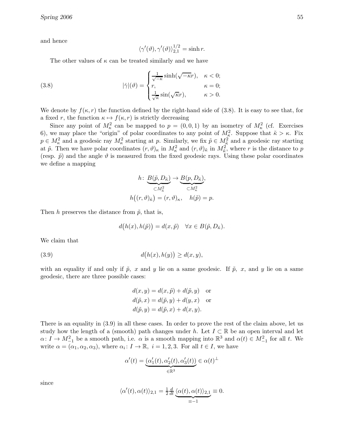and hence

$$
\langle \gamma'(\vartheta), \gamma'(\vartheta) \rangle_{2,1}^{1/2} = \sinh r.
$$

The other values of  $\kappa$  can be treated similarly and we have

(3.8) 
$$
|\dot{\gamma}|(\vartheta) = \begin{cases} \frac{1}{\sqrt{-\kappa}} \sinh(\sqrt{-\kappa}r), & \kappa < 0; \\ r, & \kappa = 0; \\ \frac{1}{\sqrt{\kappa}} \sin(\sqrt{\kappa}r), & \kappa > 0. \end{cases}
$$

We denote by  $f(\kappa, r)$  the function defined by the right-hand side of (3.8). It is easy to see that, for a fixed r, the function  $\kappa \mapsto f(\kappa, r)$  is strictly decreasing

Since any point of  $M_{\kappa}^2$  can be mapped to  $p = (0, 0, 1)$  by an isometry of  $M_{\kappa}^2$  (cf. Exercises 6), we may place the "origin" of polar coordinates to any point of  $M_{\kappa}^2$ . Suppose that  $\tilde{\kappa} > \kappa$ . Fix  $p \in M_\kappa^2$  and a geodesic ray  $M_\kappa^2$  starting at p. Similarly, we fix  $\tilde{p} \in M_{\tilde{\kappa}}^2$  and a geodesic ray starting at  $\tilde{p}$ . Then we have polar coordinates  $(r, \vartheta)_{\kappa}$  in  $M_{\kappa}^2$  and  $(r, \vartheta)_{\tilde{\kappa}}$  in  $M_{\tilde{\kappa}}^2$ , where r is the distance to p (resp.  $\tilde{p}$ ) and the angle  $\vartheta$  is measured from the fixed geodesic rays. Using these polar coordinates we define a mapping

$$
h: \underbrace{B(\tilde{p}, D_{\tilde{\kappa}})}_{\subset M_{\tilde{\kappa}}^2} \to \underbrace{B(p, D_{\tilde{\kappa}})}_{\subset M_{\kappa}^2},
$$
  

$$
h((r, \vartheta)_{\tilde{\kappa}}) = (r, \vartheta)_{\kappa}, \quad h(\tilde{p}) = p.
$$

Then h preserves the distance from  $\tilde{p}$ , that is,

$$
d(h(x), h(\tilde{p})) = d(x, \tilde{p}) \quad \forall x \in B(\tilde{p}, D_{\tilde{\kappa}}).
$$

We claim that

 $(3.9)$  $(h(x), h(y)) \ge d(x, y),$ 

with an equality if and only if  $\tilde{p}$ , x and y lie on a same geodesic. If  $\tilde{p}$ , x, and y lie on a same geodesic, there are three possible cases:

$$
d(x, y) = d(x, \tilde{p}) + d(\tilde{p}, y) \text{ or}
$$
  
\n
$$
d(\tilde{p}, x) = d(\tilde{p}, y) + d(y, x) \text{ or}
$$
  
\n
$$
d(\tilde{p}, y) = d(\tilde{p}, x) + d(x, y).
$$

There is an equality in (3.9) in all these cases. In order to prove the rest of the claim above, let us study how the length of a (smooth) path changes under h. Let  $I \subset \mathbb{R}$  be an open interval and let  $\alpha: I \to M_{-1}^2$  be a smooth path, i.e.  $\alpha$  is a smooth mapping into  $\mathbb{R}^3$  and  $\alpha(t) \in M_{-1}^2$  for all t. We write  $\alpha = (\alpha_1, \alpha_2, \alpha_3)$ , where  $\alpha_i : I \to \mathbb{R}$ ,  $i = 1, 2, 3$ . For all  $t \in I$ , we have

$$
\alpha'(t) = \underbrace{(\alpha'_1(t), \alpha'_2(t), \alpha'_3(t))}_{\in \mathbb{R}^3} \in \alpha(t)^{\perp}
$$

since

$$
\langle \alpha'(t), \alpha(t) \rangle_{2,1} = \frac{1}{2} \frac{d}{dt} \underbrace{\langle \alpha(t), \alpha(t) \rangle_{2,1}}_{\equiv -1} \equiv 0.
$$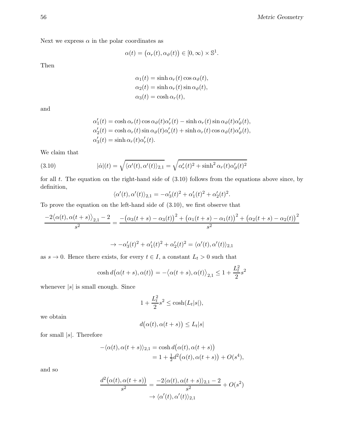Next we express  $\alpha$  in the polar coordinates as

$$
\alpha(t) = (\alpha_r(t), \alpha_{\vartheta}(t)) \in [0, \infty) \times \mathbb{S}^1.
$$

Then

$$
\alpha_1(t) = \sinh \alpha_r(t) \cos \alpha_\vartheta(t),
$$
  
\n
$$
\alpha_2(t) = \sinh \alpha_r(t) \sin \alpha_\vartheta(t),
$$
  
\n
$$
\alpha_3(t) = \cosh \alpha_r(t),
$$

and

$$
\alpha'_1(t) = \cosh \alpha_r(t) \cos \alpha_\vartheta(t) \alpha'_r(t) - \sinh \alpha_r(t) \sin \alpha_\vartheta(t) \alpha'_\vartheta(t),
$$
  
\n
$$
\alpha'_2(t) = \cosh \alpha_r(t) \sin \alpha_\vartheta(t) \alpha'_r(t) + \sinh \alpha_r(t) \cos \alpha_\vartheta(t) \alpha'_\vartheta(t),
$$
  
\n
$$
\alpha'_3(t) = \sinh \alpha_r(t) \alpha'_r(t).
$$

We claim that

(3.10) 
$$
|\dot{\alpha}|(t) = \sqrt{\langle \alpha'(t), \alpha'(t) \rangle_{2,1}} = \sqrt{\alpha'_r(t)^2 + \sinh^2 \alpha_r(t) \alpha'_\theta(t)^2}
$$

for all  $t$ . The equation on the right-hand side of  $(3.10)$  follows from the equations above since, by definition,

$$
\langle \alpha'(t), \alpha'(t) \rangle_{2,1} = -\alpha'_3(t)^2 + \alpha'_1(t)^2 + \alpha'_2(t)^2.
$$

To prove the equation on the left-hand side of (3.10), we first observe that

$$
\frac{-2\langle \alpha(t), \alpha(t+s) \rangle_{2,1} - 2}{s^2} = \frac{-(\alpha_3(t+s) - \alpha_3(t))^2 + (\alpha_1(t+s) - \alpha_1(t))^2 + (\alpha_2(t+s) - \alpha_2(t))^2}{s^2}
$$

$$
\rightarrow -\alpha'_3(t)^2 + \alpha'_1(t)^2 + \alpha'_2(t)^2 = \langle \alpha'(t), \alpha'(t) \rangle_{2,1}
$$

as  $s \to 0$ . Hence there exists, for every  $t \in I$ , a constant  $L_t > 0$  such that

$$
\cosh d(\alpha(t+s), \alpha(t)) = -\langle \alpha(t+s), \alpha(t) \rangle_{2,1} \le 1 + \frac{L_t^2}{2} s^2
$$

whenever  $|s|$  is small enough. Since

$$
1 + \frac{L_t^2}{2} s^2 \le \cosh(L_t|s|),
$$

we obtain

$$
d(\alpha(t), \alpha(t+s)) \le L_t|s|
$$

for small  $|s|$ . Therefore

$$
-\langle \alpha(t), \alpha(t+s) \rangle_{2,1} = \cosh d(\alpha(t), \alpha(t+s))
$$
  
= 1 +  $\frac{1}{2}d^2(\alpha(t), \alpha(t+s)) + O(s^4),$ 

and so

$$
\frac{d^2(\alpha(t), \alpha(t+s))}{s^2} = \frac{-2\langle \alpha(t), \alpha(t+s) \rangle_{2,1} - 2}{s^2} + O(s^2)
$$

$$
\rightarrow \langle \alpha'(t), \alpha'(t) \rangle_{2,1}
$$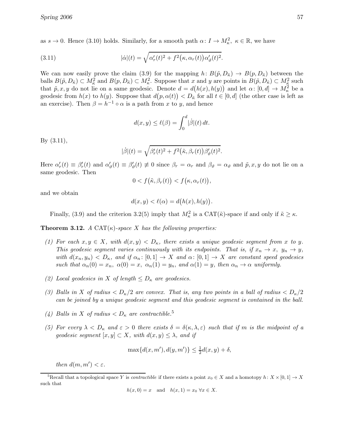as  $s \to 0$ . Hence (3.10) holds. Similarly, for a smooth path  $\alpha: I \to M_{\kappa}^2$ ,  $\kappa \in \mathbb{R}$ , we have

(3.11) 
$$
|\dot{\alpha}|(t) = \sqrt{\alpha'_r(t)^2 + f^2(\kappa, \alpha_r(t))\alpha'_\vartheta(t)^2}.
$$

We can now easily prove the claim (3.9) for the mapping  $h: B(\tilde{p}, D_{\tilde{\kappa}}) \to B(p, D_{\tilde{\kappa}})$  between the balls  $B(\tilde{p}, D_{\tilde{\kappa}}) \subset M_{\tilde{\kappa}}^2$  and  $B(p, D_{\tilde{\kappa}}) \subset M_{\kappa}^2$ . Suppose that x and y are points in  $B(\tilde{p}, D_{\tilde{\kappa}}) \subset M_{\tilde{\kappa}}^2$  such that  $\tilde{p}, x, y$  do not lie on a same geodesic. Denote  $d = d(h(x), h(y))$  and let  $\alpha: [0, d] \to M_{\kappa}^2$  be a geodesic from  $h(x)$  to  $h(y)$ . Suppose that  $d(p, \alpha(t)) < D_{\tilde{\kappa}}$  for all  $t \in [0, d]$  (the other case is left as an exercise). Then  $\beta = h^{-1} \circ \alpha$  is a path from x to y, and hence

$$
d(x, y) \le \ell(\beta) = \int_0^d |\dot{\beta}|(t) dt.
$$

By (3.11),

$$
|\dot{\beta}|(t) = \sqrt{\beta_r'(t)^2 + f^2(\tilde{\kappa}, \beta_r(t))\beta_{\vartheta}'(t)^2}.
$$

Here  $\alpha'_r(t) \equiv \beta'_r(t)$  and  $\alpha'_\vartheta(t) \equiv \beta'_\vartheta(t) \not\equiv 0$  since  $\beta_r = \alpha_r$  and  $\beta_\vartheta = \alpha_\vartheta$  and  $\tilde{p}, x, y$  do not lie on a same geodesic. Then

$$
0 < f(\tilde{\kappa}, \beta_r(t)) < f(\kappa, \alpha_r(t)),
$$

and we obtain

$$
d(x, y) < \ell(\alpha) = d(h(x), h(y)).
$$

Finally, (3.9) and the criterion 3.2(5) imply that  $M_{\kappa}^2$  is a CAT( $\tilde{\kappa}$ )-space if and only if  $\tilde{\kappa} \geq \kappa$ .

**Theorem 3.12.** A CAT( $\kappa$ )-space X has the following properties:

- (1) For each  $x, y \in X$ , with  $d(x, y) < D_{\kappa}$ , there exists a unique geodesic segment from x to y. This geodesic segment varies continuously with its endpoints. That is, if  $x_n \to x$ ,  $y_n \to y$ , with  $d(x_n, y_n) < D_{\kappa}$ , and if  $\alpha_n : [0,1] \to X$  and  $\alpha : [0,1] \to X$  are constant speed geodesics such that  $\alpha_n(0) = x_n$ ,  $\alpha(0) = x$ ,  $\alpha_n(1) = y_n$ , and  $\alpha(1) = y$ , then  $\alpha_n \to \alpha$  uniformly.
- (2) Local geodesics in X of length  $\leq D_{\kappa}$  are geodesics.
- (3) Balls in X of radius  $\langle D_{\kappa}/2 \rangle$  are convex. That is, any two points in a ball of radius  $\langle D_{\kappa}/2 \rangle$ can be joined by a unique geodesic segment and this geodesic segment is contained in the ball.
- (4) Balls in X of radius  $\langle D_{\kappa} \rangle$  are contractible.<sup>5</sup>
- (5) For every  $\lambda < D_{\kappa}$  and  $\varepsilon > 0$  there exists  $\delta = \delta(\kappa, \lambda, \varepsilon)$  such that if m is the midpoint of a geodesic segment  $[x, y] \subset X$ , with  $d(x, y) \leq \lambda$ , and if

$$
\max\{d(x, m'), d(y, m')\} \le \frac{1}{2}d(x, y) + \delta,
$$

then  $d(m, m') < \varepsilon$ .

$$
h(x,0) = x \quad \text{and} \quad h(x,1) = x_0 \,\forall x \in X.
$$

<sup>&</sup>lt;sup>5</sup>Recall that a topological space Y is *contractible* if there exists a point  $x_0 \in X$  and a homotopy  $h: X \times [0, 1] \to X$ such that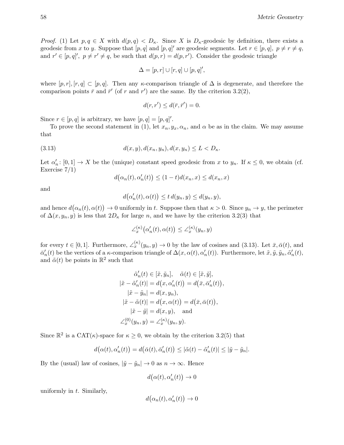*Proof.* (1) Let  $p, q \in X$  with  $d(p, q) < D_{\kappa}$ . Since X is  $D_{\kappa}$ -geodesic by definition, there exists a geodesic from x to y. Suppose that  $[p, q]$  and  $[p, q]'$  are geodesic segments. Let  $r \in [p, q]$ ,  $p \neq r \neq q$ , and  $r' \in [p, q]'$ ,  $p \neq r' \neq q$ , be such that  $d(p, r) = d(p, r')$ . Consider the geodesic triangle

$$
\Delta = [p, r] \cup [r, q] \cup [p, q]',
$$

where  $[p, r], [r, q] \subset [p, q]$ . Then any  $\kappa$ -comparison triangle of  $\Delta$  is degenerate, and therefore the comparison points  $\bar{r}$  and  $\bar{r}'$  (of r and r') are the same. By the criterion 3.2(2),

$$
d(r, r') \leq d(\bar{r}, \bar{r}') = 0.
$$

Since  $r \in [p, q]$  is arbitrary, we have  $[p, q] = [p, q]'$ .

To prove the second statement in (1), let  $x_n, y_x, \alpha_n$ , and  $\alpha$  be as in the claim. We may assume that

(3.13) 
$$
d(x, y), d(x_n, y_n), d(x, y_n) \le L < D_{\kappa}.
$$

Let  $\alpha'_n: [0,1] \to X$  be the (unique) constant speed geodesic from x to  $y_n$ . If  $\kappa \leq 0$ , we obtain (cf. Exercise 7/1)

$$
d(\alpha_n(t), \alpha'_n(t)) \le (1-t)d(x_n, x) \le d(x_n, x)
$$

and

$$
d(\alpha'_n(t), \alpha(t)) \leq t d(y_n, y) \leq d(y_n, y),
$$

and hence  $d(\alpha_n(t), \alpha(t)) \to 0$  uniformly in t. Suppose then that  $\kappa > 0$ . Since  $y_n \to y$ , the perimeter of  $\Delta(x, y_n, y)$  is less that  $2D_{\kappa}$  for large n, and we have by the criterion 3.2(3) that

$$
\angle_x^{(\kappa)}(\alpha_n'(t), \alpha(t)) \le \angle_x^{(\kappa)}(y_n, y)
$$

for every  $t \in [0,1]$ . Furthermore,  $\angle_x^{(\kappa)}(y_n, y) \to 0$  by the law of cosines and (3.13). Let  $\bar{x}, \bar{\alpha}(t)$ , and  $\bar{\alpha}'_n(t)$  be the vertices of a  $\kappa$ -comparison triangle of  $\Delta(x, \alpha(t), \alpha'_n(t))$ . Furthermore, let  $\tilde{x}, \tilde{y}, \tilde{y}_n, \tilde{\alpha}'_n(t)$ , and  $\tilde{\alpha}(t)$  be points in  $\mathbb{R}^2$  such that

$$
\tilde{\alpha}'_n(t) \in [\tilde{x}, \tilde{y}_n], \quad \tilde{\alpha}(t) \in [\tilde{x}, \tilde{y}],
$$

$$
|\tilde{x} - \tilde{\alpha}'_n(t)| = d(x, \alpha'_n(t)) = d(\bar{x}, \bar{\alpha}'_n(t)),
$$

$$
|\tilde{x} - \tilde{y}_n| = d(x, y_n),
$$

$$
|\tilde{x} - \tilde{\alpha}(t)| = d(x, \alpha(t)) = d(\bar{x}, \bar{\alpha}(t)),
$$

$$
|\tilde{x} - \tilde{y}| = d(x, y), \text{ and}
$$

$$
\angle_{x}^{(0)}(y_n, y) = \angle_{x}^{(\kappa)}(y_n, y).
$$

Since  $\mathbb{R}^2$  is a CAT( $\kappa$ )-space for  $\kappa \geq 0$ , we obtain by the criterion 3.2(5) that

$$
d(\alpha(t), \alpha'_n(t)) = d(\bar{\alpha}(t), \bar{\alpha}'_n(t)) \leq |\tilde{\alpha}(t) - \tilde{\alpha}'_n(t)| \leq |\tilde{y} - \tilde{y}_n|.
$$

By the (usual) law of cosines,  $|\tilde{y} - \tilde{y}_n| \to 0$  as  $n \to \infty$ . Hence

$$
d\big(\alpha(t),\alpha_n'(t)\big)\to 0
$$

uniformly in  $t$ . Similarly,

$$
d(\alpha_n(t), \alpha'_n(t)) \to 0
$$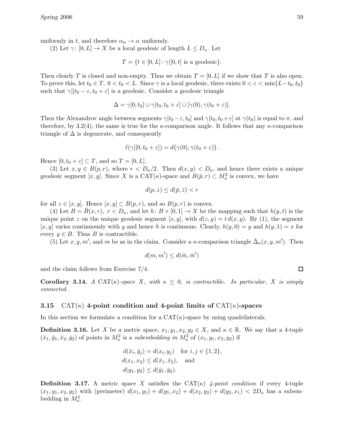uniformly in t, and therefore  $\alpha_n \to \alpha$  uniformly.

(2) Let  $\gamma: [0, L] \to X$  be a local geodesic of length  $L \leq D_{\kappa}$ . Let

$$
T = \{ t \in [0, L] \colon \gamma | [0, t] \text{ is a geodesic} \}.
$$

Then clearly T is closed and non-empty. Thus we obtain  $T = [0, L]$  if we show that T is also open. To prove this, let  $t_0 \in T$ ,  $0 < t_0 < L$ . Since  $\gamma$  is a local geodesic, there exists  $0 < \varepsilon < \min\{L-t_0, t_0\}$ such that  $\gamma$ [ $[t_0 - \varepsilon, t_0 + \varepsilon]$  is a geodesic. Consider a geodesic triangle

$$
\Delta = \gamma[0, t_0] \cup \gamma[t_0, t_0 + \varepsilon] \cup [\gamma(0), \gamma(t_0 + \varepsilon)].
$$

Then the Alexandrov angle between segments  $\gamma[t_0 - \varepsilon, t_0]$  and  $\gamma[t_0, t_0 + \varepsilon]$  at  $\gamma(t_0)$  is equal to  $\pi$ , and therefore, by 3.2(4), the same is true for the  $\kappa$ -comparison angle. It follows that any  $\kappa$ -comparison triangle of  $\Delta$  is degenerate, and consequently

$$
\ell(\gamma|[0, t_0 + \varepsilon]) = d(\gamma(0), \gamma(t_0 + \varepsilon)).
$$

Hence  $[0, t_0 + \varepsilon] \subset T$ , and so  $T = [0, L]$ .

(3) Let  $x, y \in B(p, r)$ , where  $r < D_{\kappa}/2$ . Then  $d(x, y) < D_{\kappa}$ , and hence there exists a unique geodesic segment [x, y]. Since X is a CAT( $\kappa$ )-space and  $B(\bar{p}, r) \subset M_{\kappa}^2$  is convex, we have

$$
d(p, z) \le d(\bar{p}, \bar{z}) < r
$$

for all  $z \in [x, y]$ . Hence  $[x, y] \subset B(p, r)$ , and so  $B(p, r)$  is convex.

(4) Let  $B = \overline{B}(x, r), r < D_{\kappa}$ , and let  $h: B \times [0, 1] \rightarrow X$  be the mapping such that  $h(y, t)$  is the unique point z on the unique geodesic segment  $[x, y]$ , with  $d(z, y) = t d(x, y)$ . By (1), the segment [x, y] varies continuously with y and hence h is continuous. Clearly,  $h(y, 0) = y$  and  $h(y, 1) = x$  for every  $y \in B$ . Thus B is contractible.

(5) Let  $x, y, m'$ , and m be as in the claim. Consider a  $\kappa$ -comparison triangle  $\bar{\Delta}_{\kappa}(x, y, m')$ . Then

$$
d(m, m') \leq d(\bar{m}, \bar{m}')
$$

and the claim follows from Exercise 7/4.

Corollary 3.14. A CAT( $\kappa$ )-space X, with  $\kappa \leq 0$ , is contractible. In particular, X is simply connected.

### 3.15 CAT( $\kappa$ ) 4-point condition and 4-point limits of CAT( $\kappa$ )-spaces

In this section we formulate a condition for a  $CAT(\kappa)$ -space by using quadrilaterals.

**Definition 3.16.** Let X be a metric space,  $x_1, y_1, x_2, y_2 \in X$ , and  $\kappa \in \mathbb{R}$ . We say that a 4-tuple  $(\bar{x}_1, \bar{y}_1, \bar{x}_2, \bar{y}_2)$  of points in  $M_\kappa^2$  is a subembedding in  $M_\kappa^2$  of  $(x_1, y_1, x_2, y_2)$  if

$$
d(\bar{x}_i, \bar{y}_j) = d(x_i, y_j) \text{ for } i, j \in \{1, 2\},
$$
  
\n
$$
d(x_1, x_2) \le d(\bar{x}_1, \bar{x}_2), \text{ and}
$$
  
\n
$$
d(y_1, y_2) \le d(\bar{y}_1, \bar{y}_2).
$$

**Definition 3.17.** A metric space X satisfies the  $CAT(\kappa)$  4-point condition if every 4-tuple  $(x_1, y_1, x_2, y_2)$  with (perimeter)  $d(x_1, y_1) + d(y_1, x_2) + d(x_2, y_2) + d(y_2, x_1) < 2D_\kappa$  has a subembedding in  $M_\kappa^2$ .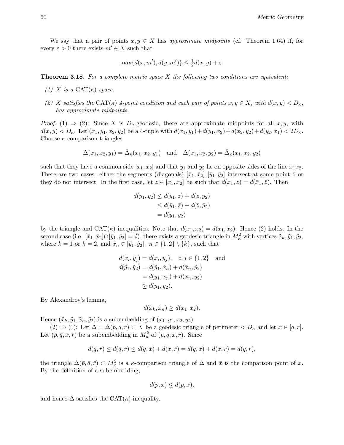We say that a pair of points  $x, y \in X$  has approximate midpoints (cf. Theorem 1.64) if, for every  $\varepsilon > 0$  there exists  $m' \in X$  such that

$$
\max\{d(x, m'), d(y, m')\} \le \frac{1}{2}d(x, y) + \varepsilon.
$$

**Theorem 3.18.** For a complete metric space  $X$  the following two conditions are equivalent:

- (1) X is a CAT $(\kappa)$ -space.
- (2) X satisfies the CAT( $\kappa$ ) 4-point condition and each pair of points  $x, y \in X$ , with  $d(x, y) < D_{\kappa}$ , has approximate midpoints.

*Proof.* (1)  $\Rightarrow$  (2): Since X is  $D_{\kappa}$ -geodesic, there are approximate midpoints for all  $x, y$ , with  $d(x, y) < D_{\kappa}$ . Let  $(x_1, y_1, x_2, y_2)$  be a 4-tuple with  $d(x_1, y_1) + d(y_1, x_2) + d(x_2, y_2) + d(y_2, x_1) < 2D_{\kappa}$ . Choose  $\kappa$ -comparison triangles

$$
\Delta(\bar{x}_1,\bar{x}_2,\bar{y}_1)=\bar{\Delta}_{\kappa}(x_1,x_2,y_1)\quad\text{and}\quad\Delta(\bar{x}_1,\bar{x}_2,\bar{y}_2)=\bar{\Delta}_{\kappa}(x_1,x_2,y_2)
$$

such that they have a common side  $[\bar{x}_1, \bar{x}_2]$  and that  $\bar{y}_1$  and  $\bar{y}_2$  lie on opposite sides of the line  $\bar{x}_1\bar{x}_2$ . There are two cases: either the segments (diagonals)  $[\bar{x}_1, \bar{x}_2], [\bar{y}_1, \bar{y}_2]$  intersect at some point  $\bar{z}$  or they do not intersect. In the first case, let  $z \in [x_1, x_2]$  be such that  $d(x_1, z) = d(\bar{x}_1, \bar{z})$ . Then

$$
d(y_1, y_2) \le d(y_1, z) + d(z, y_2)
$$
  
\n
$$
\le d(\bar{y}_1, \bar{z}) + d(\bar{z}, \bar{y}_2)
$$
  
\n
$$
= d(\bar{y}_1, \bar{y}_2)
$$

by the triangle and CAT( $\kappa$ ) inequalities. Note that  $d(x_1, x_2) = d(\bar{x}_1, \bar{x}_2)$ . Hence (2) holds. In the second case (i.e.  $[\bar{x}_1, \bar{x}_2] \cap [\bar{y}_1, \bar{y}_2] = \emptyset$ ), there exists a geodesic triangle in  $M_\kappa^2$  with vertices  $\tilde{x}_k, \tilde{y}_1, \tilde{y}_2$ , where  $k = 1$  or  $k = 2$ , and  $\tilde{x}_n \in [\tilde{y}_1, \tilde{y}_2]$ ,  $n \in \{1, 2\} \setminus \{k\}$ , such that

$$
d(\tilde{x}_i, \tilde{y}_j) = d(x_i, y_j), \quad i, j \in \{1, 2\} \text{ and } d(\tilde{y}_1, \tilde{y}_2) = d(\tilde{y}_1, \tilde{x}_n) + d(\tilde{x}_n, \tilde{y}_2) = d(y_1, x_n) + d(x_n, y_2) \ge d(y_1, y_2).
$$

By Alexandrov's lemma,

$$
d(\tilde{x}_k, \tilde{x}_n) \ge d(x_1, x_2).
$$

Hence  $(\tilde{x}_k, \tilde{y}_1, \tilde{x}_n, \tilde{y}_2)$  is a subembedding of  $(x_1, y_1, x_2, y_2)$ .

 $(2) \Rightarrow (1)$ : Let  $\Delta = \Delta(p, q, r) \subset X$  be a geodesic triangle of perimeter  $\langle D_{\kappa}$  and let  $x \in [q, r]$ . Let  $(\bar{p}, \bar{q}, \bar{x}, \bar{r})$  be a subembedding in  $M_{\kappa}^2$  of  $(p, q, x, r)$ . Since

$$
d(q,r) \le d(\bar{q},\bar{r}) \le d(\bar{q},\bar{x}) + d(\bar{x},\bar{r}) = d(q,x) + d(x,r) = d(q,r),
$$

the triangle  $\Delta(\bar{p}, \bar{q}, \bar{r}) \subset M_{\kappa}^2$  is a  $\kappa$ -comparison triangle of  $\Delta$  and  $\bar{x}$  is the comparison point of x. By the definition of a subembedding,

$$
d(p, x) \le d(\bar{p}, \bar{x}),
$$

and hence  $\Delta$  satisfies the CAT( $\kappa$ )-inequality.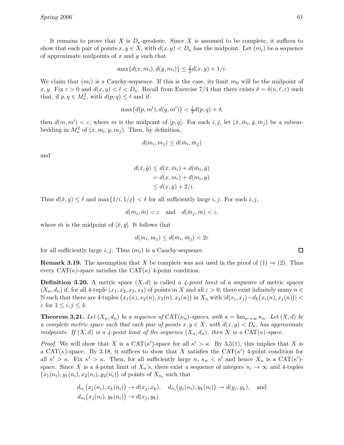It remains to prove that X is  $D_k$ -geodesic. Since X is assumed to be complete, it suffices to show that each pair of points  $x, y \in X$ , with  $d(x, y) < D_{\kappa}$  has the midpoint. Let  $(m_i)$  be a sequence of approximate midpoints of  $x$  and  $y$  such that

$$
\max\{d(x, m_i), d(y, m_i)\} \le \frac{1}{2}d(x, y) + 1/i.
$$

We claim that  $(m_i)$  is a Cauchy-sequence. If this is the case, its limit  $m_0$  will be the midpoint of x, y. Fix  $\varepsilon > 0$  and  $d(x, y) < \ell < D_{\kappa}$ . Recall from Exercise 7/4 that there exists  $\delta = \delta(\kappa, \ell, \varepsilon)$  such that, if  $p, q \in M_{\kappa}^2$ , with  $d(p, q) \leq \ell$  and if

$$
\max\{d(p, m'), d(q, m')\} < \frac{1}{2}d(p, q) + \delta,
$$

then  $d(m, m') < \varepsilon$ , where m is the midpoint of  $[p, q]$ . For each  $i, j$ , let  $(\bar{x}, \bar{m}_i, \bar{y}, \bar{m}_j)$  be a subembedding in  $M_{\kappa}^2$  of  $(x, m_i, y, m_j)$ . Then, by definition,

$$
d(m_i, m_j) \le d(\bar{m}_i, \bar{m}_j)
$$

and

$$
d(\bar{x}, \bar{y}) \le d(\bar{x}, \bar{m}_i) + d(\bar{m}_i, \bar{y})
$$
  
= d(x, m\_i) + d(m\_i, y)  

$$
\le d(x, y) + 2/i.
$$

Thus  $d(\bar{x}, \bar{y}) \leq \ell$  and  $\max\{1/i, 1/j\} < \delta$  for all sufficiently large i, j. For such i, j.

$$
d(\bar{m}_i, \bar{m}) < \varepsilon \quad \text{and} \quad d(\bar{m}_j, \bar{m}) < \varepsilon,
$$

where  $\bar{m}$  is the midpoint of  $[\bar{x}, \bar{y}]$ . It follows that

$$
d(m_i, m_j) \le d(\bar{m}_i, \bar{m}_j) < 2\varepsilon
$$

for all sufficiently large i, j. Thus  $(m_i)$  is a Cauchy-sequence.

**Remark 3.19.** The assumption that X be complete was not used in the proof of  $(1) \Rightarrow (2)$ . Thus every  $CAT(\kappa)$ -space satisfies the  $CAT(\kappa)$  4-point condition.

**Definition 3.20.** A metric space  $(X, d)$  is called a 4-point limit of a sequence of metric spaces  $(X_n, d_n)$  if, for all 4-tuple  $(x_1, x_2, x_3, x_4)$  of points in X and all  $\varepsilon > 0$ , there exist infinitely many  $n \in$ N such that there are 4-tuples  $(x_1(n), x_2(n), x_3(n), x_4(n))$  in  $X_n$  with  $|d(x_i, x_j) - d_k(x_i(n), x_j(n))|$  $\varepsilon$  for  $1 \leq i, j \leq 4$ .

**Theorem 3.21.** Let  $(X_n, d_n)$  be a sequence of  $CAT(\kappa_n)$ -spaces, with  $\kappa = \lim_{n \to \infty} \kappa_n$ . Let  $(X, d)$  be a complete metric space such that each pair of points  $x, y \in X$ , with  $d(x, y) < D_{\kappa}$ , has approximate midpoints. If  $(X, d)$  is a 4-point limit of the sequence  $(X_n, d_n)$ , then X is a CAT $(\kappa)$ -space.

*Proof.* We will show that X is a  $CAT(\kappa')$ -space for all  $\kappa' > \kappa$ . By 3.5(1), this implies that X is a CAT( $\kappa$ )-space. By 3.18, it suffices to show that X satisfies the CAT( $\kappa'$ ) 4-point condition for all  $\kappa' > \kappa$ . Fix  $\kappa' > \kappa$ . Then, for all sufficiently large  $n, \kappa_n < \kappa'$  and hence  $X_n$  is a  $CAT(\kappa')$ space. Since X is a 4-point limit of  $X_n$ 's, there exist a sequence of integers  $n_i \to \infty$  and 4-tuples  $(x_1(n_i), y_1(n_i), x_2(n_i), y_2(n_i))$  of points of  $X_{n_i}$  such that

$$
d_{n_i}(x_j(n_i), x_k(n_i)) \to d(x_j, x_k), \quad d_{n_i}(y_j(n_i), y_k(n_i)) \to d(y_j, y_k), \quad \text{and}
$$
  

$$
d_{n_i}(x_j(n_i), y_k(n_i)) \to d(x_j, y_k)
$$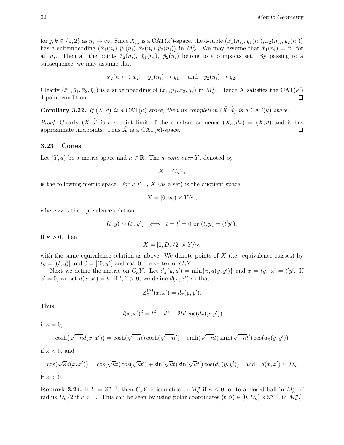for  $j, k \in \{1, 2\}$  as  $n_i \to \infty$ . Since  $X_{n_i}$  is a CAT $(\kappa')$ -space, the 4-tuple  $(x_1(n_i), y_1(n_i), x_2(n_i), y_2(n_i))$ has a subembedding  $(\bar{x}_1(n_i), \bar{y}_1(n_i), \bar{x}_2(n_i), \bar{y}_2(n_i))$  in  $M_{\kappa'}^2$ . We may assume that  $\bar{x}_1(n_i) = \bar{x}_1$  for all  $n_i$ . Then all the points  $\bar{x}_2(n_i)$ ,  $\bar{y}_1(n_i)$ ,  $\bar{y}_2(n_i)$  belong to a compacts set. By passing to a subsequence, we may assume that

$$
\bar{x}_2(n_i) \rightarrow \bar{x}_2
$$
,  $\bar{y}_1(n_i) \rightarrow \bar{y}_1$ , and  $\bar{y}_2(n_i) \rightarrow \bar{y}_2$ .

Clearly  $(\bar{x}_1, \bar{y}_1, \bar{x}_2, \bar{y}_2)$  is a subembedding of  $(x_1, y_1, x_2, y_2)$  in  $M_{\kappa'}^2$ . Hence X satisfies the CAT( $\kappa'$ ) 4-point condition.

Corollary 3.22. If  $(X, d)$  is a CAT $(\kappa)$ -space, then its completion  $(\tilde{X}, \tilde{d})$  is a CAT $(\kappa)$ -space.

*Proof.* Clearly  $(\tilde{X}, \tilde{d})$  is a 4-point limit of the constant sequence  $(X_n, d_n) = (X, d)$  and it has approximate midpoints. Thus  $\tilde{X}$  is a CAT( $\kappa$ )-space.  $\Box$ 

## 3.23 Cones

Let  $(Y, d)$  be a metric space and  $\kappa \in \mathbb{R}$ . The  $\kappa$ -cone over Y, denoted by

$$
X=C_{\kappa}Y,
$$

is the following metric space. For  $\kappa \leq 0$ , X (as a set) is the quotient space

∠

$$
X = [0, \infty) \times Y/\sim,
$$

where  $\sim$  is the equivalence relation

$$
(t, y) \sim (t', y') \iff t = t' = 0 \text{ or } (t, y) = (t'y').
$$

If  $\kappa > 0$ , then

$$
X=[0,D_\kappa/2]\times Y/{\sim},
$$

with the same equivalence relation as above. We denote points of  $X$  (i.e. equivalence classes) by  $ty = [(t, y)]$  and  $0 = [(0, y)]$  and call 0 the vertex of  $C_{\kappa}Y$ .

Next we define the metric on  $C_{\kappa}Y$ . Let  $d_{\pi}(y, y') = \min{\pi, d(y, y')}$  and  $x = ty, x' = t'y'$ . If  $x' = 0$ , we set  $d(x, x') = t$ . If  $t, t' > 0$ , we define  $d(x, x')$  so that

$$
\angle_0^{(\kappa)}(x, x') = d_\pi(y, y').
$$

Thus

$$
d(x, x')^{2} = t^{2} + t'^{2} - 2tt'\cos(d_{\pi}(y, y'))
$$

if  $\kappa = 0$ ,

$$
\cosh(\sqrt{-\kappa}d(x,x')) = \cosh(\sqrt{-\kappa}t)\cosh(\sqrt{-\kappa}t') - \sinh(\sqrt{-\kappa}t)\sinh(\sqrt{-\kappa}t')\cos(d_{\pi}(y,y'))
$$

if  $\kappa < 0$ , and

$$
\cos(\sqrt{\kappa}d(x, x')) = \cos(\sqrt{\kappa}t)\cos(\sqrt{\kappa}t') + \sin(\sqrt{\kappa}t)\sin(\sqrt{\kappa}t')\cos(d_{\pi}(y, y')) \text{ and } d(x, x') \le D_{\kappa}
$$

if  $\kappa > 0$ .

**Remark 3.24.** If  $Y = \mathbb{S}^{n-1}$ , then  $C_{\kappa}Y$  is isometric to  $M_{\kappa}^n$  if  $\kappa \leq 0$ , or to a closed ball in  $M_{\kappa}^n$  of radius  $D_{\kappa}/2$  if  $\kappa > 0$ . [This can be seen by using polar coordinates  $(t, \vartheta) \in [0, D_{\kappa}] \times \mathbb{S}^{n-1}$  in  $M_{\kappa}^{n}$ .]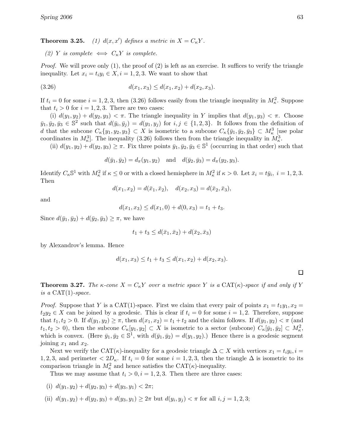**Theorem 3.25.** (1)  $d(x, x')$  defines a metric in  $X = C_{\kappa}Y$ .

(2) Y is complete  $\iff C_{\kappa}Y$  is complete.

*Proof.* We will prove only  $(1)$ , the proof of  $(2)$  is left as an exercise. It suffices to verify the triangle inequality. Let  $x_i = t_i y_i \in X, i = 1, 2, 3$ . We want to show that

$$
(3.26) \t d(x_1, x_3) \le d(x_1, x_2) + d(x_2, x_3).
$$

If  $t_i = 0$  for some  $i = 1, 2, 3$ , then (3.26) follows easily from the triangle inequality in  $M_\kappa^2$ . Suppose that  $t_i > 0$  for  $i = 1, 2, 3$ . There are two cases:

(i)  $d(y_1, y_2) + d(y_2, y_3) < \pi$ . The triangle inequality in Y implies that  $d(y_1, y_3) < \pi$ . Choose  $\bar{y}_1, \bar{y}_2, \bar{y}_3 \in \mathbb{S}^2$  such that  $d(\bar{y}_i, \bar{y}_j) = d(y_1, y_j)$  for  $i, j \in \{1, 2, 3\}$ . It follows from the definition of d that the subcone  $C_{\kappa} \{y_1, y_2, y_3\} \subset X$  is isometric to a subcone  $C_{\kappa} \{\bar{y}_1, \bar{y}_2, \bar{y}_3\} \subset M_{\kappa}^3$  [use polar coordinates in  $M_{\kappa}^3$ . The inequality (3.26) follows then from the triangle inequality in  $M_{\kappa}^3$ .

(ii)  $d(y_1, y_2) + d(y_2, y_3) \geq \pi$ . Fix three points  $\bar{y}_1, \bar{y}_2, \bar{y}_3 \in \mathbb{S}^1$  (occurring in that order) such that

$$
d(\bar{y}_1, \bar{y}_2) = d_{\pi}(y_1, y_2)
$$
 and  $d(\bar{y}_2, \bar{y}_3) = d_{\pi}(y_2, y_3)$ .

Identify  $C_{\kappa} \mathbb{S}^1$  with  $M_{\kappa}^2$  if  $\kappa \leq 0$  or with a closed hemisphere in  $M_{\kappa}^2$  if  $\kappa > 0$ . Let  $\bar{x}_i = t\bar{y}_i$ ,  $i = 1, 2, 3$ . Then

$$
d(x_1, x_2) = d(\bar{x}_1, \bar{x}_2), \quad d(x_2, x_3) = d(\bar{x}_2, \bar{x}_3),
$$

and

$$
d(x_1, x_3) \le d(x_1, 0) + d(0, x_3) = t_1 + t_3.
$$

Since  $d(\bar{y}_1, \bar{y}_2) + d(\bar{y}_2, \bar{y}_3) \geq \pi$ , we have

$$
t_1 + t_3 \le d(\bar{x}_1, \bar{x}_2) + d(\bar{x}_2, \bar{x}_3)
$$

by Alexandrov's lemma. Hence

$$
d(x_1, x_3) \le t_1 + t_3 \le d(x_1, x_2) + d(x_2, x_3).
$$

 $\Box$ 

**Theorem 3.27.** The  $\kappa$ -cone  $X = C_{\kappa}Y$  over a metric space Y is a CAT( $\kappa$ )-space if and only if Y is a  $CAT(1)$ -space.

*Proof.* Suppose that Y is a CAT(1)-space. First we claim that every pair of points  $x_1 = t_1y_1, x_2 =$  $t_2y_2 \in X$  can be joined by a geodesic. This is clear if  $t_i = 0$  for some  $i = 1, 2$ . Therefore, suppose that  $t_1, t_2 > 0$ . If  $d(y_1, y_2) \geq \pi$ , then  $d(x_1, x_2) = t_1 + t_2$  and the claim follows. If  $d(y_1, y_2) < \pi$  (and  $t_1, t_2 > 0$ , then the subcone  $C_{\kappa}[y_1, y_2] \subset X$  is isometric to a sector (subcone)  $C_{\kappa}[\bar{y}_1, \bar{y}_2] \subset M_{\kappa}^2$ , which is convex. (Here  $\bar{y}_1, \bar{y}_2 \in \mathbb{S}^1$ , with  $d(\bar{y}_1, \bar{y}_2) = d(y_1, y_2)$ .) Hence there is a geodesic segment joining  $x_1$  and  $x_2$ .

Next we verify the CAT( $\kappa$ )-inequality for a geodesic triangle  $\Delta \subset X$  with vertices  $x_1 = t_i y_i$ ,  $i =$ 1, 2, 3, and perimeter  $\langle 2D_{\kappa}$ . If  $t_i = 0$  for some  $i = 1, 2, 3$ , then the triangle  $\Delta$  is isometric to its comparison triangle in  $M_{\kappa}^2$  and hence satisfies the CAT( $\kappa$ )-inequality.

Thus we may assume that  $t_i > 0, i = 1, 2, 3$ . Then there are three cases:

(i) 
$$
d(y_1, y_2) + d(y_2, y_3) + d(y_3, y_1) < 2\pi;
$$

(ii) 
$$
d(y_1, y_2) + d(y_2, y_3) + d(y_3, y_1) \ge 2\pi
$$
 but  $d(y_i, y_j) < \pi$  for all  $i, j = 1, 2, 3$ ;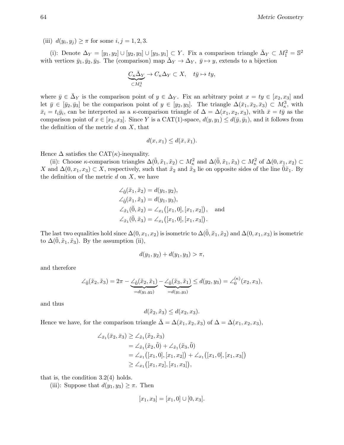(iii)  $d(y_i, y_j) \geq \pi$  for some  $i, j = 1, 2, 3$ .

(i): Denote  $\Delta_Y = [y_1, y_2] \cup [y_2, y_3] \cup [y_3, y_1] \subset Y$ . Fix a comparison triangle  $\bar{\Delta}_Y \subset M_1^2 = \mathbb{S}^2$ with vertices  $\bar{y}_1, \bar{y}_2, \bar{y}_3$ . The (comparison) map  $\bar{\Delta}_Y \to \Delta_Y$ ,  $\bar{y} \mapsto y$ , extends to a bijection

$$
\underbrace{C_\kappa \bar\Delta_Y}_{\subset M^3_\kappa} \to C_\kappa \Delta_Y \subset X, \quad t\bar y \mapsto t y,
$$

where  $\bar{y} \in \bar{\Delta}_Y$  is the comparison point of  $y \in \Delta_Y$ . Fix an arbitrary point  $x = ty \in [x_2, x_3]$  and let  $\bar{y} \in [\bar{y}_2, \bar{y}_3]$  be the comparison point of  $y \in [y_2, y_3]$ . The triangle  $\Delta(\bar{x}_1, \bar{x}_2, \bar{x}_3) \subset M_{\kappa}^3$ , with  $\bar{x}_i = t_i \bar{y}_i$ , can be interpreted as a  $\kappa$ -comparison triangle of  $\Delta = \Delta(x_1, x_2, x_3)$ , with  $\bar{x} = t\bar{y}$  as the comparison point of  $x \in [x_2, x_3]$ . Since Y is a CAT(1)-space,  $d(y, y_1) \leq d(\bar{y}, \bar{y}_1)$ , and it follows from the definition of the metric  $d$  on  $X$ , that

$$
d(x, x_1) \leq d(\bar{x}, \bar{x}_1).
$$

Hence  $\Delta$  satisfies the CAT( $\kappa$ )-inequality.

(ii): Choose  $\kappa$ -comparison triangles  $\Delta(\tilde{0}, \tilde{x}_1, \tilde{x}_2) \subset M_\kappa^2$  and  $\Delta(\tilde{0}, \tilde{x}_1, \tilde{x}_3) \subset M_\kappa^2$  of  $\Delta(0, x_1, x_2) \subset$ X and  $\Delta(0, x_1, x_3) \subset X$ , respectively, such that  $\tilde{x}_2$  and  $\tilde{x}_3$  lie on opposite sides of the line  $0\tilde{x}_1$ . By the definition of the metric  $d$  on  $X$ , we have

$$
\angle_{\tilde{0}}(\tilde{x}_1, \tilde{x}_2) = d(y_1, y_2),
$$
  
\n
$$
\angle_{\tilde{0}}(\tilde{x}_1, \tilde{x}_3) = d(y_1, y_3),
$$
  
\n
$$
\angle_{\tilde{x}_1}(\tilde{0}, \tilde{x}_2) = \angle_{x_1}([x_1, 0], [x_1, x_2]),
$$
 and  
\n
$$
\angle_{\tilde{x}_1}(\tilde{0}, \tilde{x}_3) = \angle_{x_1}([x_1, 0], [x_1, x_3]).
$$

The last two equalities hold since  $\Delta(0, x_1, x_2)$  is isometric to  $\Delta(\tilde{0}, \tilde{x}_1, \tilde{x}_2)$  and  $\Delta(0, x_1, x_3)$  is isometric to  $\Delta(\tilde{0}, \tilde{x}_1, \tilde{x}_3)$ . By the assumption (ii),

$$
d(y_1, y_2) + d(y_1, y_3) > \pi,
$$

and therefore

$$
\angle_{\tilde{0}}(\tilde{x}_2, \tilde{x}_3) = 2\pi - \underbrace{\angle_{\tilde{0}}(\tilde{x}_2, \tilde{x}_1)}_{=d(y_1, y_2)} - \underbrace{\angle_{\tilde{0}}(\tilde{x}_3, \tilde{x}_1)}_{=d(y_1, y_3)} \leq d(y_2, y_3) = \angle_{0}^{(\kappa)}(x_2, x_3),
$$

and thus

$$
d(\tilde{x}_2, \tilde{x}_3) \le d(x_2, x_3).
$$

Hence we have, for the comparison triangle  $\Delta = \Delta(\bar{x}_1, \bar{x}_2, \bar{x}_3)$  of  $\Delta = \Delta(x_1, x_2, x_3)$ ,

$$
\angle_{\bar{x}_1}(\bar{x}_2, \bar{x}_3) \ge \angle_{\tilde{x}_1}(\tilde{x}_2, \tilde{x}_3)
$$
  
=  $\angle_{\tilde{x}_1}(\tilde{x}_2, \tilde{0}) + \angle_{\tilde{x}_1}(\tilde{x}_3, \tilde{0})$   
=  $\angle_{x_1}([x_1, 0], [x_1, x_2]) + \angle_{x_1}([x_1, 0], [x_1, x_3])$   
 $\ge \angle_{x_1}([x_1, x_2], [x_1, x_3]),$ 

that is, the condition  $3.2(4)$  holds.

(iii): Suppose that  $d(y_1, y_3) \geq \pi$ . Then

$$
[x_1, x_3] = [x_1, 0] \cup [0, x_3].
$$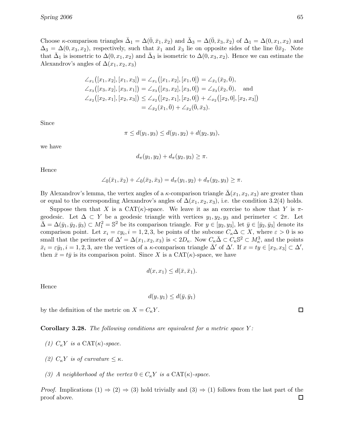Choose  $\kappa$ -comparison triangles  $\bar{\Delta}_1 = \Delta(\bar{0}, \bar{x}_1, \bar{x}_2)$  and  $\bar{\Delta}_3 = \Delta(\bar{0}, \bar{x}_3, \bar{x}_2)$  of  $\Delta_1 = \Delta(0, x_1, x_2)$  and  $\Delta_3 = \Delta(0, x_3, x_2)$ , respectively, such that  $\bar{x}_1$  and  $\bar{x}_3$  lie on opposite sides of the line  $0\bar{x}_2$ . Note that  $\bar{\Delta}_1$  is isometric to  $\Delta(0, x_1, x_2)$  and  $\bar{\Delta}_3$  is isometric to  $\Delta(0, x_3, x_2)$ . Hence we can estimate the Alexandrov's angles of  $\Delta(x_1, x_2, x_3)$ 

$$
\angle_{x_1}([x_1, x_2], [x_1, x_3]) = \angle_{x_1}([x_1, x_2], [x_1, 0]) = \angle_{\bar{x}_1}(\bar{x}_2, \bar{0}),
$$
  

$$
\angle_{x_3}([x_3, x_2], [x_3, x_1]) = \angle_{x_3}([x_3, x_2], [x_3, 0]) = \angle_{\bar{x}_3}(\bar{x}_2, \bar{0}),
$$
and  

$$
\angle_{x_2}([x_2, x_1], [x_2, x_3]) \leq \angle_{x_2}([x_2, x_1], [x_2, 0]) + \angle_{x_2}([x_2, 0], [x_2, x_3])
$$
  

$$
= \angle_{\bar{x}_2}(\bar{x}_1, \bar{0}) + \angle_{\bar{x}_2}(\bar{0}, \bar{x}_3).
$$

Since

$$
\pi \le d(y_1, y_3) \le d(y_1, y_2) + d(y_2, y_3),
$$

we have

$$
d_{\pi}(y_1, y_2) + d_{\pi}(y_2, y_3) \geq \pi.
$$

Hence

$$
\angle_{\bar{0}}(\bar{x}_1,\bar{x}_2) + \angle_{\bar{0}}(\bar{x}_2,\bar{x}_3) = d_{\pi}(y_1,y_2) + d_{\pi}(y_2,y_3) \geq \pi.
$$

By Alexandrov's lemma, the vertex angles of a  $\kappa$ -comparison triangle  $\bar{\Delta}(x_1, x_2, x_3)$  are greater than or equal to the corresponding Alexandrov's angles of  $\Delta(x_1, x_2, x_3)$ , i.e. the condition 3.2(4) holds.

Suppose then that X is a  $CAT(\kappa)$ -space. We leave it as an exercise to show that Y is  $\pi$ geodesic. Let  $\Delta \subset Y$  be a geodesic triangle with vertices  $y_1, y_2, y_3$  and perimeter  $\langle 2\pi, \text{Let} \rangle$  $\bar{\Delta} = \Delta(\bar{y}_1, \bar{y}_2, \bar{y}_3) \subset M_1^2 = \mathbb{S}^2$  be its comparison triangle. For  $y \in [y_2, y_3]$ , let  $\bar{y} \in [\bar{y}_2, \bar{y}_3]$  denote its comparison point. Let  $x_i = \varepsilon y_i, i = 1, 2, 3$ , be points of the subcone  $C_{\kappa} \Delta \subset X$ , where  $\varepsilon > 0$  is so small that the perimeter of  $\Delta' = \Delta(x_1, x_2, x_3)$  is  $\langle 2D_\kappa, \text{ Now } C_\kappa \bar{\Delta} \subset C_\kappa \mathbb{S}^2 \subset M_\kappa^3$ , and the points  $\bar{x}_i = \varepsilon \bar{y}_1, i = 1, 2, 3$ , are the vertices of a  $\kappa$ -comparison triangle  $\bar{\Delta}'$  of  $\Delta'$ . If  $x = ty \in [x_2, x_3] \subset \Delta'$ , then  $\bar{x} = t\bar{y}$  is its comparison point. Since X is a CAT( $\kappa$ )-space, we have

$$
d(x, x_1) \le d(\bar{x}, \bar{x}_1).
$$

Hence

$$
d(y, y_1) \leq d(\bar{y}, \bar{y}_1)
$$

by the definition of the metric on  $X = C_{\kappa} Y$ .

Corollary 3.28. The following conditions are equivalent for a metric space 
$$
Y
$$
:

- (1)  $C_{\kappa} Y$  is a CAT( $\kappa$ )-space.
- (2)  $C_{\kappa} Y$  is of curvature  $\leq \kappa$ .
- (3) A neighborhood of the vertex  $0 \in C_{\kappa}Y$  is a CAT( $\kappa$ )-space.

*Proof.* Implications (1)  $\Rightarrow$  (2)  $\Rightarrow$  (3) hold trivially and (3)  $\Rightarrow$  (1) follows from the last part of the proof above. proof above.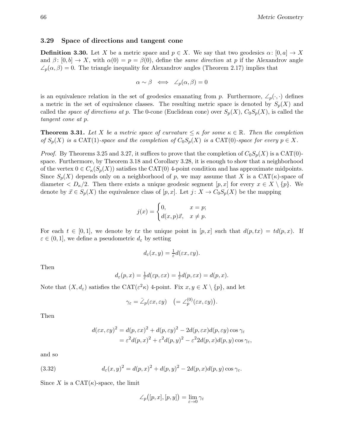## 3.29 Space of directions and tangent cone

**Definition 3.30.** Let X be a metric space and  $p \in X$ . We say that two geodesics  $\alpha : [0, a] \to X$ and  $\beta: [0, b] \to X$ , with  $\alpha(0) = p = \beta(0)$ , define the same direction at p if the Alexandrov angle  $\angle_p(\alpha, \beta) = 0$ . The triangle inequality for Alexandrov angles (Theorem 2.17) implies that

$$
\alpha \sim \beta \iff \angle_p(\alpha, \beta) = 0
$$

is an equivalence relation in the set of geodesics emanating from p. Furthermore,  $\angle_p(\cdot, \cdot)$  defines a metric in the set of equivalence classes. The resulting metric space is denoted by  $S_p(X)$  and called the space of directions at p. The 0-cone (Euclidean cone) over  $S_p(X)$ ,  $C_0S_p(X)$ , is called the tangent cone at p.

**Theorem 3.31.** Let X be a metric space of curvature  $\leq \kappa$  for some  $\kappa \in \mathbb{R}$ . Then the completion of  $S_p(X)$  is a CAT(1)-space and the completion of  $C_0S_p(X)$  is a CAT(0)-space for every  $p \in X$ .

*Proof.* By Theorems 3.25 and 3.27, it suffices to prove that the completion of  $C_0S_p(X)$  is a CAT(0)space. Furthermore, by Theorem 3.18 and Corollary 3.28, it is enough to show that a neighborhood of the vertex  $0 \in C_{\kappa}(S_p(X))$  satisfies the CAT(0) 4-point condition and has approximate midpoints. Since  $S_p(X)$  depends only on a neighborhood of p, we may assume that X is a CAT( $\kappa$ )-space of diameter  $\langle D_{\kappa}/2$ . Then there exists a unique geodesic segment  $[p, x]$  for every  $x \in X \setminus \{p\}$ . We denote by  $\vec{x} \in S_p(X)$  the equivalence class of  $[p, x]$ . Let  $j: X \to C_0S_p(X)$  be the mapping

$$
j(x) = \begin{cases} 0, & x = p; \\ d(x, p)\vec{x}, & x \neq p. \end{cases}
$$

For each  $t \in [0,1]$ , we denote by tx the unique point in  $[p, x]$  such that  $d(p, tx) = td(p, x)$ . If  $\varepsilon \in (0,1]$ , we define a pseudometric  $d_{\varepsilon}$  by setting

$$
d_{\varepsilon}(x,y) = \frac{1}{\varepsilon}d(\varepsilon x, \varepsilon y).
$$

Then

$$
d_{\varepsilon}(p,x) = \frac{1}{\varepsilon}d(\varepsilon p, \varepsilon x) = \frac{1}{\varepsilon}d(p,\varepsilon x) = d(p,x).
$$

Note that  $(X, d_{\varepsilon})$  satisfies the CAT $({\varepsilon}^2 \kappa)$  4-point. Fix  $x, y \in X \setminus \{p\}$ , and let

$$
\gamma_\varepsilon=\bar{\angle}_p(\varepsilon x, \varepsilon y) \quad \big(={\angle}_p^{(0)}(\varepsilon x, \varepsilon y)\big).
$$

Then

$$
d(\varepsilon x, \varepsilon y)^2 = d(p, \varepsilon x)^2 + d(p, \varepsilon y)^2 - 2d(p, \varepsilon x)d(p, \varepsilon y)\cos \gamma_{\varepsilon}
$$
  
=  $\varepsilon^2 d(p, x)^2 + \varepsilon^2 d(p, y)^2 - \varepsilon^2 2d(p, x)d(p, y)\cos \gamma_{\varepsilon}$ ,

and so

(3.32) 
$$
d_{\varepsilon}(x,y)^{2} = d(p,x)^{2} + d(p,y)^{2} - 2d(p,x)d(p,y)\cos\gamma_{\varepsilon}.
$$

Since X is a CAT $(\kappa)$ -space, the limit

$$
\angle_p\big([p,x],[p,y]\big) = \lim_{\varepsilon \to 0} \gamma_{\varepsilon}
$$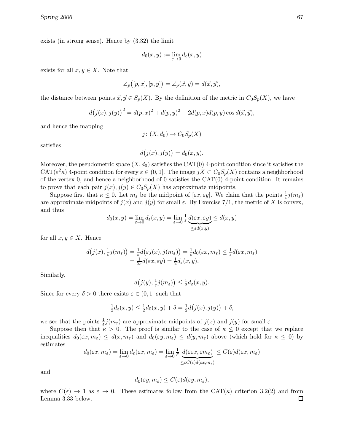exists (in strong sense). Hence by (3.32) the limit

$$
d_0(x, y) := \lim_{\varepsilon \to 0} d_{\varepsilon}(x, y)
$$

exists for all  $x, y \in X$ . Note that

$$
\angle_p([p, x], [p, y]) = \angle_p(\vec{x}, \vec{y}) = d(\vec{x}, \vec{y}),
$$

the distance between points  $\vec{x}, \vec{y} \in S_p(X)$ . By the definition of the metric in  $C_0S_p(X)$ , we have

$$
d(j(x),j(y))^{2} = d(p,x)^{2} + d(p,y)^{2} - 2d(p,x)d(p,y)\cos d(\vec{x},\vec{y}),
$$

and hence the mapping

$$
j\colon (X,d_0)\to C_0S_p(X)
$$

satisfies

$$
d(j(x), j(y)) = d_0(x, y).
$$

Moreover, the pseudometric space  $(X, d_0)$  satisfies the CAT(0) 4-point condition since it satisfies the  $CAT(\varepsilon^2 \kappa)$  4-point condition for every  $\varepsilon \in (0,1]$ . The image  $jX \subset C_0S_p(X)$  contains a neighborhood of the vertex 0, and hence a neighborhood of 0 satisfies the  $CAT(0)$  4-point condition. It remains to prove that each pair  $j(x), j(y) \in C_0S_p(X)$  has approximate midpoints.

Suppose first that  $\kappa \leq 0$ . Let  $m_{\varepsilon}$  be the midpoint of  $[\varepsilon x, \varepsilon y]$ . We claim that the points  $\frac{1}{\varepsilon}j(m_{\varepsilon})$ are approximate midpoints of  $j(x)$  and  $j(y)$  for small  $\varepsilon$ . By Exercise 7/1, the metric of X is convex, and thus

$$
d_0(x, y) = \lim_{\varepsilon \to 0} d_{\varepsilon}(x, y) = \lim_{\varepsilon \to 0} \frac{1}{\varepsilon} \underbrace{d(\varepsilon x, \varepsilon y)}_{\leq \varepsilon d(x, y)} \leq d(x, y)
$$

for all  $x, y \in X$ . Hence

$$
d(j(x), \frac{1}{\varepsilon}j(m_{\varepsilon})) = \frac{1}{\varepsilon}d(\varepsilon j(x), j(m_{\varepsilon})) = \frac{1}{\varepsilon}d_0(\varepsilon x, m_{\varepsilon}) \leq \frac{1}{\varepsilon}d(\varepsilon x, m_{\varepsilon})
$$
  
=  $\frac{1}{2\varepsilon}d(\varepsilon x, \varepsilon y) = \frac{1}{2}d_{\varepsilon}(x, y).$ 

Similarly,

$$
d(j(y), \frac{1}{\varepsilon}j(m_{\varepsilon})) \leq \frac{1}{2}d_{\varepsilon}(x, y).
$$

Since for every  $\delta > 0$  there exists  $\varepsilon \in (0,1]$  such that

$$
\frac{1}{2}d_{\varepsilon}(x,y) \le \frac{1}{2}d_0(x,y) + \delta = \frac{1}{2}d(j(x),j(y)) + \delta,
$$

we see that the points  $\frac{1}{\varepsilon}j(m_{\varepsilon})$  are approximate midpoints of  $j(x)$  and  $j(y)$  for small  $\varepsilon$ .

Suppose then that  $\kappa > 0$ . The proof is similar to the case of  $\kappa \leq 0$  except that we replace inequalities  $d_0(\varepsilon x, m_\varepsilon) \leq d(x, m_\varepsilon)$  and  $d_0(\varepsilon y, m_\varepsilon) \leq d(y, m_\varepsilon)$  above (which hold for  $\kappa \leq 0$ ) by estimates

$$
d_0(\varepsilon x, m_\varepsilon) = \lim_{\bar{\varepsilon}\to 0} d_{\bar{\varepsilon}}(\varepsilon x, m_\varepsilon) = \lim_{\bar{\varepsilon}\to 0} \frac{1}{\bar{\varepsilon}} \underbrace{d(\bar{\varepsilon}\varepsilon x, \bar{\varepsilon}m_\varepsilon)}_{\leq \bar{\varepsilon}C(\varepsilon)d(\varepsilon x, m_\varepsilon)} \leq C(\varepsilon)d(\varepsilon x, m_\varepsilon)
$$

and

$$
d_0(\varepsilon y, m_\varepsilon) \le C(\varepsilon) d(\varepsilon y, m_\varepsilon),
$$

where  $C(\varepsilon) \to 1$  as  $\varepsilon \to 0$ . These estimates follow from the CAT( $\kappa$ ) criterion 3.2(2) and from Lemma 3.33 below. Lemma 3.33 below.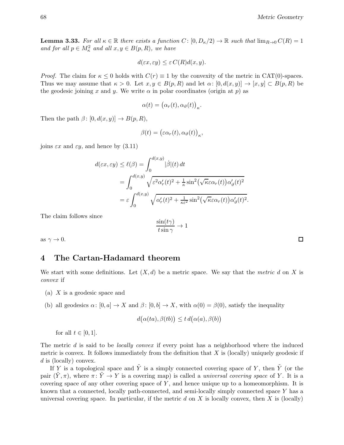**Lemma 3.33.** For all  $\kappa \in \mathbb{R}$  there exists a function  $C : [0, D_{\kappa}/2) \to \mathbb{R}$  such that  $\lim_{R\to 0} C(R) = 1$ and for all  $p \in M_{\kappa}^2$  and all  $x, y \in B(p, R)$ , we have

$$
d(\varepsilon x, \varepsilon y) \le \varepsilon C(R) d(x, y).
$$

*Proof.* The claim for  $\kappa \leq 0$  holds with  $C(r) \equiv 1$  by the convexity of the metric in CAT(0)-spaces. Thus we may assume that  $\kappa > 0$ . Let  $x, y \in B(p, R)$  and let  $\alpha : [0, d(x, y)] \to [x, y] \subset B(p, R)$  be the geodesic joining x and y. We write  $\alpha$  in polar coordinates (origin at p) as

$$
\alpha(t) = (\alpha_r(t), \alpha_\vartheta(t))_{\kappa}.
$$

Then the path  $\beta$ :  $[0, d(x, y)] \rightarrow B(p, R)$ ,

$$
\beta(t) = (\varepsilon \alpha_r(t), \alpha_{\vartheta}(t))_{\kappa},
$$

joins  $\varepsilon x$  and  $\varepsilon y$ , and hence by (3.11)

$$
d(\varepsilon x, \varepsilon y) \leq \ell(\beta) = \int_0^{d(x,y)} |\dot{\beta}|(t) dt
$$
  
= 
$$
\int_0^{d(x,y)} \sqrt{\varepsilon^2 \alpha'_r(t)^2 + \frac{1}{\kappa} \sin^2(\sqrt{\kappa \varepsilon} \alpha_r(t)) \alpha'_\theta(t)^2}
$$
  
= 
$$
\varepsilon \int_0^{d(x,y)} \sqrt{\alpha'_r(t)^2 + \frac{1}{\kappa \varepsilon^2} \sin^2(\sqrt{\kappa \varepsilon} \alpha_r(t)) \alpha'_\theta(t)^2}.
$$

The claim follows since

$$
\frac{\sin(t\gamma)}{t\sin\gamma} \to 1
$$

as  $\gamma \to 0$ .

# 4 The Cartan-Hadamard theorem

We start with some definitions. Let  $(X, d)$  be a metric space. We say that the metric d on X is convex if

- (a) X is a geodesic space and
- (b) all geodesics  $\alpha: [0, a] \to X$  and  $\beta: [0, b] \to X$ , with  $\alpha(0) = \beta(0)$ , satisfy the inequality

$$
d(\alpha(ta), \beta(tb)) \leq t d(\alpha(a), \beta(b))
$$

for all  $t \in [0, 1]$ .

The metric  $d$  is said to be *locally convex* if every point has a neighborhood where the induced metric is convex. It follows immediately from the definition that  $X$  is (locally) uniquely geodesic if d is (locally) convex.

If Y is a topological space and  $\tilde{Y}$  is a simply connected covering space of Y, then  $\tilde{Y}$  (or the pair  $(\tilde{Y}, \pi)$ , where  $\pi \colon \tilde{Y} \to Y$  is a covering map) is called a *universal covering space* of Y. It is a covering space of any other covering space of  $Y$ , and hence unique up to a homeomorphism. It is known that a connected, locally path-connected, and semi-locally simply connected space Y has a universal covering space. In particular, if the metric  $d$  on  $X$  is locally convex, then  $X$  is (locally)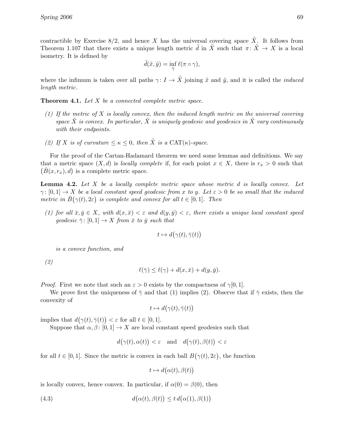contractible by Exercise 8/2, and hence X has the universal covering space  $\tilde{X}$ . It follows from Theorem 1.107 that there exists a unique length metric d in  $\ddot{X}$  such that  $\pi: \ddot{X} \to X$  is a local isometry. It is defined by

$$
\tilde{d}(\tilde{x}, \tilde{y}) = \inf_{\tilde{\gamma}} \ell(\pi \circ \gamma),
$$

where the infimum is taken over all paths  $\gamma: I \to \tilde{X}$  joining  $\tilde{x}$  and  $\tilde{y}$ , and it is called the *induced* length metric.

**Theorem 4.1.** Let X be a connected complete metric space.

- (1) If the metric of X is locally convex, then the induced length metric on the universal covering space  $\tilde{X}$  is convex. In particular,  $\tilde{X}$  is uniquely geodesic and geodesics in  $\tilde{X}$  vary continuously with their endpoints.
- (2) If X is of curvature  $\leq \kappa \leq 0$ , then  $\tilde{X}$  is a CAT( $\kappa$ )-space.

For the proof of the Cartan-Hadamard theorem we need some lemmas and definitions. We say that a metric space  $(X, d)$  is *locally complete* if, for each point  $x \in X$ , there is  $r_x > 0$  such that  $(\bar{B}(x, r_x), d)$  is a complete metric space.

**Lemma 4.2.** Let  $X$  be a locally complete metric space whose metric  $d$  is locally convex. Let  $\gamma: [0,1] \to X$  be a local constant speed geodesic from x to y. Let  $\varepsilon > 0$  be so small that the induced metric in  $\bar{B}(\gamma(t), 2\varepsilon)$  is complete and convex for all  $t \in [0, 1]$ . Then

(1) for all  $\bar{x}, \bar{y} \in X$ , with  $d(x, \bar{x}) < \varepsilon$  and  $d(y, \bar{y}) < \varepsilon$ , there exists a unique local constant speed geodesic  $\bar{\gamma}$ : [0, 1]  $\rightarrow X$  from  $\bar{x}$  to  $\bar{y}$  such that

$$
t \mapsto d\big(\gamma(t), \bar{\gamma}(t)\big)
$$

is a convex function, and

(2)

$$
\ell(\bar{\gamma}) \le \ell(\gamma) + d(x, \bar{x}) + d(y, \bar{y}).
$$

*Proof.* First we note that such an  $\varepsilon > 0$  exists by the compactness of  $\gamma[0,1]$ .

We prove first the uniqueness of  $\bar{\gamma}$  and that (1) implies (2). Observe that if  $\bar{\gamma}$  exists, then the convexity of

$$
t\mapsto d\bigl(\gamma(t),\bar\gamma(t)\bigr)
$$

implies that  $d(\gamma(t), \bar{\gamma}(t)) < \varepsilon$  for all  $t \in [0, 1]$ .

Suppose that  $\alpha, \beta$ :  $[0, 1] \rightarrow X$  are local constant speed geodesics such that

$$
d(\gamma(t), \alpha(t)) < \varepsilon \quad \text{and} \quad d(\gamma(t), \beta(t)) < \varepsilon
$$

for all  $t \in [0,1]$ . Since the metric is convex in each ball  $B(\gamma(t), 2\varepsilon)$ , the function

$$
t \mapsto d\big(\alpha(t), \beta(t)\big)
$$

is locally convex, hence convex. In particular, if  $\alpha(0) = \beta(0)$ , then

(4.3) 
$$
d(\alpha(t), \beta(t)) \leq t d(\alpha(1), \beta(1))
$$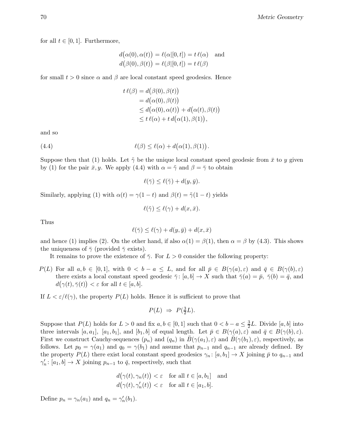for all  $t \in [0, 1]$ . Furthermore,

$$
d(\alpha(0), \alpha(t)) = \ell(\alpha|[0, t]) = t \ell(\alpha) \text{ and}
$$
  

$$
d(\beta(0), \beta(t)) = \ell(\beta|[0, t]) = t \ell(\beta)
$$

for small  $t > 0$  since  $\alpha$  and  $\beta$  are local constant speed geodesics. Hence

$$
t \ell(\beta) = d(\beta(0), \beta(t))
$$
  
=  $d(\alpha(0), \beta(t))$   
 $\leq d(\alpha(0), \alpha(t)) + d(\alpha(t), \beta(t))$   
 $\leq t \ell(\alpha) + t d(\alpha(1), \beta(1)),$ 

and so

(4.4) 
$$
\ell(\beta) \leq \ell(\alpha) + d(\alpha(1), \beta(1)).
$$

Suppose then that (1) holds. Let  $\tilde{\gamma}$  be the unique local constant speed geodesic from  $\bar{x}$  to y given by (1) for the pair  $\bar{x}, y$ . We apply (4.4) with  $\alpha = \tilde{\gamma}$  and  $\beta = \bar{\gamma}$  to obtain

$$
\ell(\bar{\gamma}) \leq \ell(\tilde{\gamma}) + d(y, \bar{y}).
$$

Similarly, applying (1) with  $\alpha(t) = \gamma(1-t)$  and  $\beta(t) = \tilde{\gamma}(1-t)$  yields

$$
\ell(\tilde{\gamma}) \le \ell(\gamma) + d(x, \bar{x}).
$$

Thus

$$
\ell(\bar{\gamma}) \le \ell(\gamma) + d(y, \bar{y}) + d(x, \bar{x})
$$

and hence (1) implies (2). On the other hand, if also  $\alpha(1) = \beta(1)$ , then  $\alpha = \beta$  by (4.3). This shows the uniqueness of  $\bar{\gamma}$  (provided  $\bar{\gamma}$  exists).

It remains to prove the existence of  $\bar{\gamma}$ . For  $L > 0$  consider the following property:

 $P(L)$  For all  $a, b \in [0, 1]$ , with  $0 < b - a \leq L$ , and for all  $\overline{p} \in B(\gamma(a), \varepsilon)$  and  $\overline{q} \in B(\gamma(b), \varepsilon)$ there exists a local constant speed geodesic  $\bar{\gamma}$ : [a, b]  $\rightarrow X$  such that  $\bar{\gamma}(a) = \bar{p}$ ,  $\bar{\gamma}(b) = \bar{q}$ , and  $d(\gamma(t), \bar{\gamma}(t)) < \varepsilon$  for all  $t \in [a, b]$ .

If  $L < \varepsilon/\ell(\gamma)$ , the property  $P(L)$  holds. Hence it is sufficient to prove that

$$
P(L) \Rightarrow P(\frac{3}{2}L).
$$

Suppose that  $P(L)$  holds for  $L > 0$  and fix  $a, b \in [0, 1]$  such that  $0 < b - a \leq \frac{3}{2}$  $\frac{3}{2}L$ . Divide  $[a, b]$  into three intervals  $[a, a_1]$ ,  $[a_1, b_1]$ , and  $[b_1, b]$  of equal length. Let  $\overline{p} \in B(\gamma(a), \varepsilon)$  and  $\overline{q} \in B(\gamma(b), \varepsilon)$ . First we construct Cauchy-sequences  $(p_n)$  and  $(q_n)$  in  $B(\gamma(a_1), \varepsilon)$  and  $B(\gamma(b_1), \varepsilon)$ , respectively, as follows. Let  $p_0 = \gamma(a_1)$  and  $q_0 = \gamma(b_1)$  and assume that  $p_{n-1}$  and  $q_{n-1}$  are already defined. By the property  $P(L)$  there exist local constant speed geodesics  $\gamma_n : [a, b_1] \to X$  joining  $\bar{p}$  to  $q_{n-1}$  and  $\gamma'_n: [a_1, b] \to X$  joining  $p_{n-1}$  to  $\bar{q}$ , respectively, such that

$$
d(\gamma(t), \gamma_n(t)) < \varepsilon \quad \text{for all } t \in [a, b_1] \quad \text{and} \quad d(\gamma(t), \gamma_n'(t)) < \varepsilon \quad \text{for all } t \in [a_1, b].
$$

Define  $p_n = \gamma_n(a_1)$  and  $q_n = \gamma'_n(b_1)$ .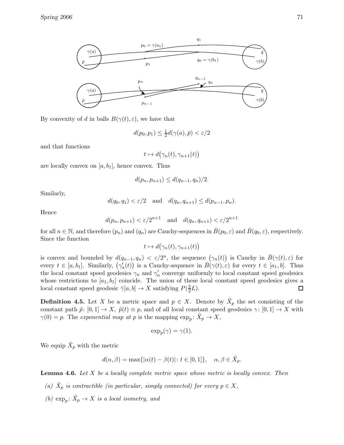

By convexity of d in balls  $B(\gamma(t), \varepsilon)$ , we have that

$$
d(p_0, p_1) \le \frac{1}{2}d(\gamma(a), \bar{p}) < \varepsilon/2
$$

and that functions

$$
t \mapsto d\big(\gamma_n(t), \gamma_{n+1}(t)\big)
$$

are locally convex on  $[a, b_1]$ , hence convex. Thus

$$
d(p_n, p_{n+1}) \le d(q_{n-1}, q_n)/2.
$$

Similarly,

$$
d(q_0, q_1) < \varepsilon/2 \quad \text{and} \quad d(q_n, q_{n+1}) \leq d(p_{n-1}, p_n).
$$

Hence

$$
d(p_n, p_{n+1}) < \varepsilon/2^{n+1} \quad \text{and} \quad d(q_n, q_{n+1}) < \varepsilon/2^{n+1}
$$

for all  $n \in \mathbb{N}$ , and therefore  $(p_n)$  and  $(q_n)$  are Cauchy-sequences in  $\overline{B}(p_0, \varepsilon)$  and  $\overline{B}(q_0, \varepsilon)$ , respectively. Since the function

$$
t \mapsto d(\gamma_n(t), \gamma_{n+1}(t))
$$

is convex and bounded by  $d(q_{n-1}, q_n) < \varepsilon/2^n$ , the sequence  $(\gamma_n(t))$  is Cauchy in  $\bar{B}(\gamma(t), \varepsilon)$  for every  $t \in [a, b_1]$ . Similarly,  $(\gamma'_n(t))$  is a Cauchy-sequence in  $\overline{B}(\gamma(t), \varepsilon)$  for every  $t \in [a_1, b]$ . Thus the local constant speed geodesics  $\gamma_n$  and  $\gamma'_n$  converge uniformly to local constant speed geodesics whose restrictions to  $[a_1, b_1]$  coincide. The union of these local constant speed geodesics gives a local constant speed geodesic  $\bar{\gamma}[a, b] \to X$  satisfying  $P(\frac{3}{2})$  $\Box$  $\frac{3}{2}L$ ).

**Definition 4.5.** Let X be a metric space and  $p \in X$ . Denote by  $\tilde{X}_p$  the set consisting of the constant path  $\tilde{p}: [0, 1] \to X$ ,  $\tilde{p}(t) \equiv p$ , and of all local constant speed geodesics  $\gamma: [0, 1] \to X$  with  $\gamma(0) = p$ . The exponential map at p is the mapping  $\exp_p: \tilde{X}_p \to X$ ,

$$
\exp_p(\gamma) = \gamma(1).
$$

We equip  $\tilde{X}_p$  with the metric

$$
d(\alpha, \beta) = \max\{|\alpha(t) - \beta(t)| : t \in [0, 1]\}, \quad \alpha, \beta \in \tilde{X}_p.
$$

**Lemma 4.6.** Let X be a locally complete metric space whose metric is locally convex. Then

- (a)  $\tilde{X}_p$  is contractible (in particular, simply connected) for every  $p \in X$ ,
- (b)  $\exp_p: \tilde{X}_p \to X$  is a local isometry, and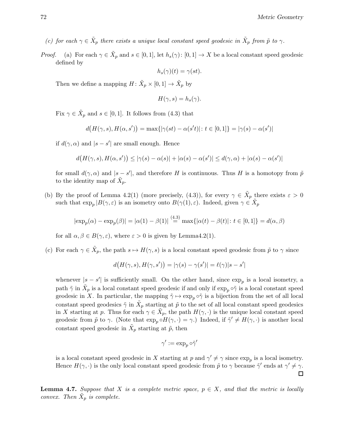(c) for each  $\gamma \in \tilde{X}_p$  there exists a unique local constant speed geodesic in  $\tilde{X}_p$  from  $\tilde{p}$  to  $\gamma$ .

*Proof.* (a) For each  $\gamma \in \tilde{X}_p$  and  $s \in [0,1]$ , let  $h_s(\gamma)$ :  $[0,1] \to X$  be a local constant speed geodesic defined by

$$
h_s(\gamma)(t) = \gamma(st).
$$

Then we define a mapping  $H: \tilde{X}_p \times [0,1] \to \tilde{X}_p$  by

$$
H(\gamma, s) = h_s(\gamma).
$$

Fix  $\gamma \in \tilde{X}_p$  and  $s \in [0,1]$ . It follows from (4.3) that

$$
d\big(H(\gamma, s), H(\alpha, s')\big) = \max\{|\gamma(st) - \alpha(s't)| \colon t \in [0, 1]\} = |\gamma(s) - \alpha(s')|
$$

if  $d(\gamma, \alpha)$  and  $|s - s'|$  are small enough. Hence

$$
d\big(H(\gamma,s),H(\alpha,s')\big) \le |\gamma(s)-\alpha(s)| + |\alpha(s)-\alpha(s')| \le d(\gamma,\alpha) + |\alpha(s)-\alpha(s')|
$$

for small  $d(\gamma, \alpha)$  and  $|s - s'|$ , and therefore H is continuous. Thus H is a homotopy from  $\tilde{p}$ to the identity map of  $\tilde{X}_p$ .

(b) By the proof of Lemma 4.2(1) (more precisely, (4.3)), for every  $\gamma \in \tilde{X}_p$  there exists  $\varepsilon > 0$ such that  $\exp_p |B(\gamma, \varepsilon)|$  is an isometry onto  $B(\gamma(1), \varepsilon)$ . Indeed, given  $\gamma \in \tilde{X}_p$ 

$$
|\exp_p(\alpha) - \exp_p(\beta)| = |\alpha(1) - \beta(1)| \stackrel{(4.3)}{=} \max\{|\alpha(t) - \beta(t)| : t \in [0, 1]\} = d(\alpha, \beta)
$$

for all  $\alpha, \beta \in B(\gamma, \varepsilon)$ , where  $\varepsilon > 0$  is given by Lemma4.2(1).

(c) For each  $\gamma \in \tilde{X}_p$ , the path  $s \mapsto H(\gamma, s)$  is a local constant speed geodesic from  $\tilde{p}$  to  $\gamma$  since

$$
d\big(H(\gamma,s),H(\gamma,s')\big)=|\gamma(s)-\gamma(s')|=\ell(\gamma)|s-s'|
$$

whenever  $|s - s'|$  is sufficiently small. On the other hand, since  $\exp_p$  is a local isometry, a path  $\tilde{\gamma}$  in  $\tilde{X}_p$  is a local constant speed geodesic if and only if  $\exp_p \circ \tilde{\gamma}$  is a local constant speed geodesic in X. In particular, the mapping  $\tilde{\gamma} \mapsto \exp_p \circ \tilde{\gamma}$  is a bijection from the set of all local constant speed geodesics  $\tilde{\gamma}$  in  $\tilde{X}_p$  starting at  $\tilde{p}$  to the set of all local constant speed geodesics in X starting at p. Thus for each  $\gamma \in \tilde{X}_p$ , the path  $H(\gamma, \cdot)$  is the unique local constant speed geodesic from  $\tilde{p}$  to  $\gamma$ . (Note that  $\exp_p \circ H(\gamma, \cdot) = \gamma$ .) Indeed, if  $\tilde{\gamma}' \neq H(\gamma, \cdot)$  is another local constant speed geodesic in  $\tilde{X}_p$  starting at  $\tilde{p}$ , then

$$
\gamma':=\exp_p\circ\tilde{\gamma}'
$$

is a local constant speed geodesic in X starting at p and  $\gamma' \neq \gamma$  since  $\exp_p$  is a local isometry. Hence  $H(\gamma, \cdot)$  is the only local constant speed geodesic from  $\tilde{p}$  to  $\gamma$  because  $\tilde{\gamma}'$  ends at  $\gamma' \neq \gamma$ .

**Lemma 4.7.** Suppose that X is a complete metric space,  $p \in X$ , and that the metric is locally convex. Then  $\tilde{X}_p$  is complete.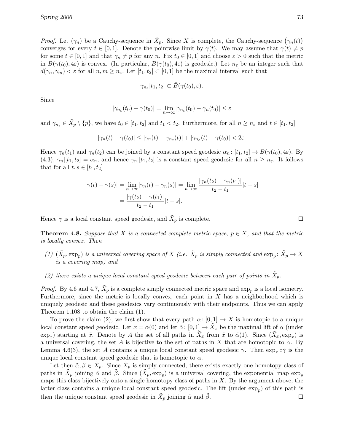*Proof.* Let  $(\gamma_n)$  be a Cauchy-sequence in  $\tilde{X}_p$ . Since X is complete, the Cauchy-sequence  $(\gamma_n(t))$ converges for every  $t \in [0,1]$ . Denote the pointwise limit by  $\gamma(t)$ . We may assume that  $\gamma(t) \neq p$ for some  $t \in [0,1]$  and that  $\gamma_n \neq \tilde{p}$  for any n. Fix  $t_0 \in [0,1]$  and choose  $\varepsilon > 0$  such that the metric in  $B(\gamma(t_0), 4\varepsilon)$  is convex. (In particular,  $B(\gamma(t_0), 4\varepsilon)$  is geodesic.) Let  $n_{\varepsilon}$  be an integer such that  $d(\gamma_n, \gamma_m) < \varepsilon$  for all  $n, m \geq n_{\varepsilon}$ . Let  $[t_1, t_2] \subset [0, 1]$  be the maximal interval such that

$$
\gamma_{n_{\varepsilon}}[t_1, t_2] \subset \bar{B}(\gamma(t_0), \varepsilon).
$$

Since

$$
|\gamma_{n_{\varepsilon}}(t_0) - \gamma(t_0)| = \lim_{n \to \infty} |\gamma_{n_{\varepsilon}}(t_0) - \gamma_n(t_0)| \leq \varepsilon
$$

and  $\gamma_{n_{\varepsilon}} \in \tilde{X}_p \setminus \{\tilde{p}\},\$  we have  $t_0 \in [t_1, t_2]$  and  $t_1 < t_2$ . Furthermore, for all  $n \geq n_{\varepsilon}$  and  $t \in [t_1, t_2]$ 

$$
|\gamma_n(t)-\gamma(t_0)|\leq |\gamma_n(t)-\gamma_{n_{\varepsilon}}(t)|+|\gamma_{n_{\varepsilon}}(t)-\gamma(t_0)|<2\varepsilon.
$$

Hence  $\gamma_n(t_1)$  and  $\gamma_n(t_2)$  can be joined by a constant speed geodesic  $\alpha_n : [t_1, t_2] \to B(\gamma(t_0), 4\varepsilon)$ . By  $(4.3), \gamma_n|[t_1, t_2] = \alpha_n$ , and hence  $\gamma_n|[t_1, t_2]$  is a constant speed geodesic for all  $n \geq n_{\varepsilon}$ . It follows that for all  $t, s \in [t_1, t_2]$ 

$$
|\gamma(t) - \gamma(s)| = \lim_{n \to \infty} |\gamma_n(t) - \gamma_n(s)| = \lim_{n \to \infty} \frac{|\gamma_n(t_2) - \gamma_n(t_1)|}{t_2 - t_1} |t - s|
$$
  
= 
$$
\frac{|\gamma(t_2) - \gamma(t_1)|}{t_2 - t_1} |t - s|.
$$

Hence  $\gamma$  is a local constant speed geodesic, and  $\tilde{X}_p$  is complete.

 $\Box$ 

**Theorem 4.8.** Suppose that X is a connected complete metric space,  $p \in X$ , and that the metric is locally convex. Then

- (1)  $(\tilde{X}_p, \exp_p)$  is a universal covering space of X (i.e.  $\tilde{X}_p$  is simply connected and  $\exp_p \colon \tilde{X}_p \to X$ is a covering map) and
- (2) there exists a unique local constant speed geodesic between each pair of points in  $\tilde{X}_p$ .

*Proof.* By 4.6 and 4.7,  $\tilde{X}_p$  is a complete simply connected metric space and  $\exp_p$  is a local isometry. Furthermore, since the metric is locally convex, each point in  $X$  has a neighborhood which is uniquely geodesic and these geodesics vary continuously with their endpoints. Thus we can apply Theorem 1.108 to obtain the claim (1).

To prove the claim (2), we first show that every path  $\alpha: [0,1] \to X$  is homotopic to a unique local constant speed geodesic. Let  $x = \alpha(0)$  and let  $\tilde{\alpha}$ :  $[0,1] \to \tilde{X}_x$  be the maximal lift of  $\alpha$  (under  $\exp_x$ ) starting at  $\tilde{x}$ . Denote by A the set of all paths in  $\tilde{X}_x$  from  $\tilde{x}$  to  $\tilde{\alpha}(1)$ . Since  $(\tilde{X}_x, \exp_x)$  is a universal covering, the set A is bijective to the set of paths in X that are homotopic to  $\alpha$ . By Lemma 4.6(3), the set A contains a unique local constant speed geodesic  $\tilde{\gamma}$ . Then  $\exp_x \circ \tilde{\gamma}$  is the unique local constant speed geodesic that is homotopic to  $\alpha$ .

Let then  $\tilde{\alpha}, \tilde{\beta} \in \tilde{X}_p$ . Since  $\tilde{X}_p$  is simply connected, there exists exactly one homotopy class of paths in  $\tilde{X}_p$  joining  $\tilde{\alpha}$  and  $\tilde{\beta}$ . Since  $(\tilde{X}_p, \exp_p)$  is a universal covering, the exponential map  $\exp_p$ maps this class bijectively onto a single homotopy class of paths in  $X$ . By the argument above, the latter class contains a unique local constant speed geodesic. The lift (under  $\exp_p$ ) of this path is then the unique constant speed geodesic in  $\tilde{X}_p$  joining  $\tilde{\alpha}$  and  $\tilde{\beta}$ . □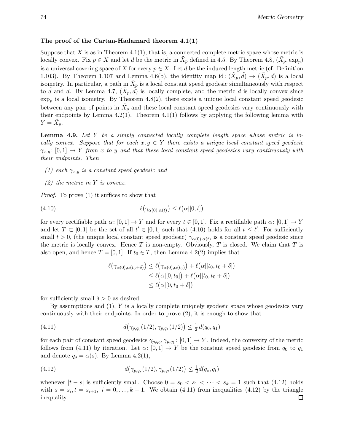## The proof of the Cartan-Hadamard theorem 4.1(1)

Suppose that  $X$  is as in Theorem 4.1(1), that is, a connected complete metric space whose metric is locally convex. Fix  $p \in X$  and let d be the metric in  $\tilde{X}_p$  defined in 4.5. By Theorem 4.8,  $(\tilde{X}_p, \exp_p)$ is a universal covering space of X for every  $p \in X$ . Let d be the induced length metric (cf. Definition 1.103). By Theorem 1.107 and Lemma 4.6(b), the identity map id:  $(\tilde{X}_p, \tilde{d}) \to (\tilde{X}_p, d)$  is a local isometry. In particular, a path in  $\tilde{X}_p$  is a local constant speed geodesic simultaneously with respect to  $\tilde{d}$  and d. By Lemma 4.7,  $(\tilde{X}_p, \tilde{d})$  is locally complete, and the metric  $\tilde{d}$  is locally convex since  $\exp_p$  is a local isometry. By Theorem 4.8(2), there exists a unique local constant speed geodesic between any pair of points in  $\tilde{X}_p$  and these local constant speed geodesics vary continuously with their endpoints by Lemma  $4.2(1)$ . Theorem  $4.1(1)$  follows by applying the following lemma with  $Y = \tilde{X}_p.$ 

**Lemma 4.9.** Let Y be a simply connected locally complete length space whose metric is locally convex. Suppose that for each  $x, y \in Y$  there exists a unique local constant speed geodesic  $\gamma_{x,y}:[0,1] \to Y$  from x to y and that these local constant speed geodesics vary continuously with their endpoints. Then

- (1) each  $\gamma_{x,y}$  is a constant speed geodesic and
- $(2)$  the metric in Y is convex.

*Proof.* To prove (1) it suffices to show that

(4.10) 
$$
\ell(\gamma_{\alpha(0),\alpha(t)}) \leq \ell(\alpha|[0,t])
$$

for every rectifiable path  $\alpha: [0, 1] \to Y$  and for every  $t \in [0, 1]$ . Fix a rectifiable path  $\alpha: [0, 1] \to Y$ and let  $T \subset [0,1]$  be the set of all  $t' \in [0,1]$  such that  $(4.10)$  holds for all  $t \leq t'$ . For sufficiently small  $t > 0$ , (the unique local constant speed geodesic)  $\gamma_{\alpha(0),\alpha(t)}$  is a constant speed geodesic since the metric is locally convex. Hence T is non-empty. Obviously, T is closed. We claim that T is also open, and hence  $T = [0, 1]$ . If  $t_0 \in T$ , then Lemma 4.2(2) implies that

$$
\ell(\gamma_{\alpha(0),\alpha(t_0+\delta)}) \leq \ell(\gamma_{\alpha(0),\alpha(t_0)}) + \ell(\alpha|[t_0,t_0+\delta])
$$
  
\n
$$
\leq \ell(\alpha|[0,t_0]) + \ell(\alpha|[t_0,t_0+\delta])
$$
  
\n
$$
\leq \ell(\alpha|[0,t_0+\delta])
$$

for sufficiently small  $\delta > 0$  as desired.

By assumptions and  $(1)$ , Y is a locally complete uniquely geodesic space whose geodesics vary continuously with their endpoints. In order to prove (2), it is enough to show that

(4.11) 
$$
d(\gamma_{p,q_0}(1/2), \gamma_{p,q_1}(1/2)) \leq \frac{1}{2} d(q_0, q_1)
$$

for each pair of constant speed geodesics  $\gamma_{p,q_0}, \gamma_{p,q_1} : [0,1] \to Y$ . Indeed, the convexity of the metric follows from (4.11) by iteration. Let  $\alpha: [0,1] \to Y$  be the constant speed geodesic from  $q_0$  to  $q_1$ and denote  $q_s = \alpha(s)$ . By Lemma 4.2(1),

(4.12) 
$$
d(\gamma_{p,q_s}(1/2), \gamma_{p,q_t}(1/2)) \leq \frac{1}{2}d(q_s, q_t)
$$

whenever  $|t - s|$  is sufficiently small. Choose  $0 = s_0 < s_1 < \cdots < s_k = 1$  such that (4.12) holds with  $s = s_i, t = s_{i+1}, i = 0, \ldots, k-1$ . We obtain (4.11) from inequalities (4.12) by the triangle inequality.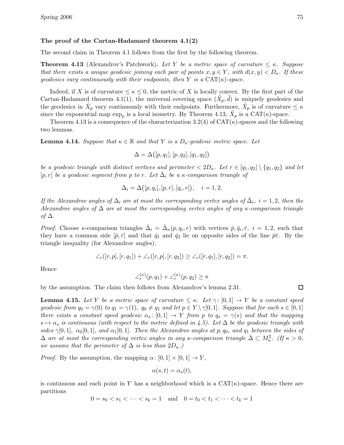## The proof of the Cartan-Hadamard theorem 4.1(2)

The second claim in Theorem 4.1 follows from the first by the following theorem.

**Theorem 4.13** (Alexandrov's Patchwork). Let Y be a metric space of curvature  $\leq \kappa$ . Suppose that there exists a unique geodesic joining each pair of points  $x, y \in Y$ , with  $d(x, y) < D_{\kappa}$ . If these geodesics vary continuously with their endpoints, then Y is a  $CAT(\kappa)$ -space.

Indeed, if X is of curvature  $\leq \kappa \leq 0$ , the metric of X is locally convex. By the first part of the Cartan-Hadamard theorem 4.1(1), the universal covering space  $(\tilde{X}_p, \tilde{d})$  is uniquely geodesics and the geodesics in  $\tilde{X}_p$  vary continuously with their endpoints. Furthermore,  $\tilde{X}_p$  is of curvature  $\leq \kappa$ since the exponential map  $\exp_p$  is a local isometry. By Theorem 4.13,  $\tilde{X}_p$  is a CAT( $\kappa$ )-space.

Theorem 4.13 is a consequence of the characterization 3.2(4) of  $CAT(\kappa)$ -spaces and the following two lemmas.

**Lemma 4.14.** Suppose that  $\kappa \in \mathbb{R}$  and that Y is a  $D_{\kappa}$ -geodesic metric space. Let

$$
\Delta = \Delta([p, q_1], [p, q_2], [q_1, q_2])
$$

be a geodesic triangle with distinct vertices and perimeter  $\langle 2D_{\kappa}, L_{\kappa} \rangle \in [q_1, q_2] \setminus \{q_1, q_2\}$  and let [p, r] be a geodesic segment from p to r. Let  $\bar{\Delta}_i$  be a  $\kappa$ -comparison triangle of

$$
\Delta_i = \Delta([p, q_i], [p, r], [q_i, r]), \quad i = 1, 2.
$$

If the Alexandrov angles of  $\Delta_i$  are at most the corresponding vertex angles of  $\bar{\Delta}_i$ ,  $i = 1, 2$ , then the Alexandrov angles of  $\Delta$  are at most the corresponding vertex angles of any  $\kappa$ -comparison triangle of  $\Delta$ .

*Proof.* Choose  $\kappa$ -comparison triangles  $\bar{\Delta}_i = \bar{\Delta}_\kappa(p, q_i, r)$  with vertices  $\bar{p}, \bar{q}_i, \bar{r}, i = 1, 2$ , such that they have a common side  $[\bar{p}, \bar{r}]$  and that  $\bar{q}_1$  and  $\bar{q}_2$  lie on opposite sides of the line  $\bar{p}\bar{r}$ . By the triangle inequality (for Alexandrov angles),

$$
\angle_r([r,p],[r,q_1]) + \angle_r([r,p],[r,q_2]) \ge \angle_r([r,q_1],[r,q_2]) = \pi.
$$

Hence

$$
\angle_r^{(\kappa)}(p,q_1) + \angle_r^{(\kappa)}(p,q_2) \ge \pi
$$

by the assumption. The claim then follows from Alexandrov's lemma 2.31.

 $\Box$ 

**Lemma 4.15.** Let Y be a metric space of curvature  $\leq \kappa$ . Let  $\gamma: [0,1] \to Y$  be a constant speed geodesic from  $q_0 = \gamma(0)$  to  $q_1 = \gamma(1)$ ,  $q_0 \neq q_1$  and let  $p \in Y \setminus \gamma[0,1]$ . Suppose that for each  $s \in [0,1]$ there exists a constant speed geodesic  $\alpha_s: [0,1] \to Y$  from p to  $q_s = \gamma(s)$  and that the mapping  $s \mapsto \alpha_s$  is continuous (with respect to the metric defined in 4.5). Let  $\Delta$  be the geodesic triangle with sides  $\gamma[0,1], \alpha_0[0,1],$  and  $\alpha_1[0,1].$  Then the Alexandrov angles at p,  $q_0$ , and  $q_1$  between the sides of  $\Delta$  are at most the corresponding vertex angles in any  $\kappa$ -comparison triangle  $\bar{\Delta} \subset M_{\kappa}^2$ . (If  $\kappa > 0$ , we assume that the perimeter of  $\Delta$  is less than  $2D_{\kappa}$ .

*Proof.* By the assumption, the mapping  $\alpha: [0, 1] \times [0, 1] \rightarrow Y$ ,

$$
\alpha(s,t) = \alpha_s(t),
$$

is continuous and each point in Y has a neighborhood which is a  $CAT(\kappa)$ -space. Hence there are partitions

 $0 = s_0 < s_1 < \cdots < s_k = 1$  and  $0 = t_0 < t_1 < \cdots < t_k = 1$